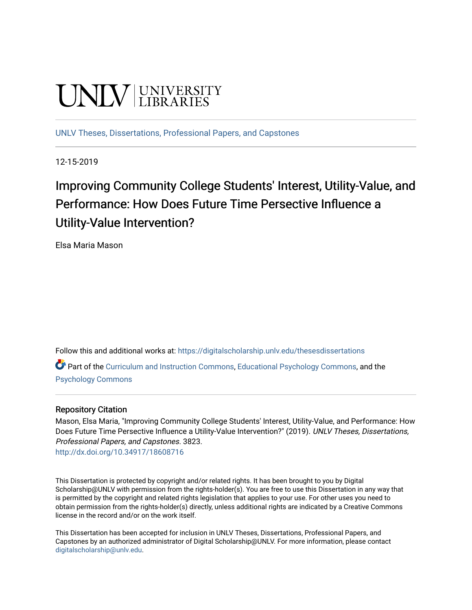# UNIV UNIVERSITY

[UNLV Theses, Dissertations, Professional Papers, and Capstones](https://digitalscholarship.unlv.edu/thesesdissertations)

12-15-2019

## Improving Community College Students' Interest, Utility-Value, and Performance: How Does Future Time Persective Influence a Utility-Value Intervention?

Elsa Maria Mason

Follow this and additional works at: [https://digitalscholarship.unlv.edu/thesesdissertations](https://digitalscholarship.unlv.edu/thesesdissertations?utm_source=digitalscholarship.unlv.edu%2Fthesesdissertations%2F3823&utm_medium=PDF&utm_campaign=PDFCoverPages)

Part of the [Curriculum and Instruction Commons,](http://network.bepress.com/hgg/discipline/786?utm_source=digitalscholarship.unlv.edu%2Fthesesdissertations%2F3823&utm_medium=PDF&utm_campaign=PDFCoverPages) [Educational Psychology Commons,](http://network.bepress.com/hgg/discipline/798?utm_source=digitalscholarship.unlv.edu%2Fthesesdissertations%2F3823&utm_medium=PDF&utm_campaign=PDFCoverPages) and the [Psychology Commons](http://network.bepress.com/hgg/discipline/404?utm_source=digitalscholarship.unlv.edu%2Fthesesdissertations%2F3823&utm_medium=PDF&utm_campaign=PDFCoverPages) 

## Repository Citation

Mason, Elsa Maria, "Improving Community College Students' Interest, Utility-Value, and Performance: How Does Future Time Persective Influence a Utility-Value Intervention?" (2019). UNLV Theses, Dissertations, Professional Papers, and Capstones. 3823. <http://dx.doi.org/10.34917/18608716>

This Dissertation is protected by copyright and/or related rights. It has been brought to you by Digital Scholarship@UNLV with permission from the rights-holder(s). You are free to use this Dissertation in any way that is permitted by the copyright and related rights legislation that applies to your use. For other uses you need to obtain permission from the rights-holder(s) directly, unless additional rights are indicated by a Creative Commons license in the record and/or on the work itself.

This Dissertation has been accepted for inclusion in UNLV Theses, Dissertations, Professional Papers, and Capstones by an authorized administrator of Digital Scholarship@UNLV. For more information, please contact [digitalscholarship@unlv.edu](mailto:digitalscholarship@unlv.edu).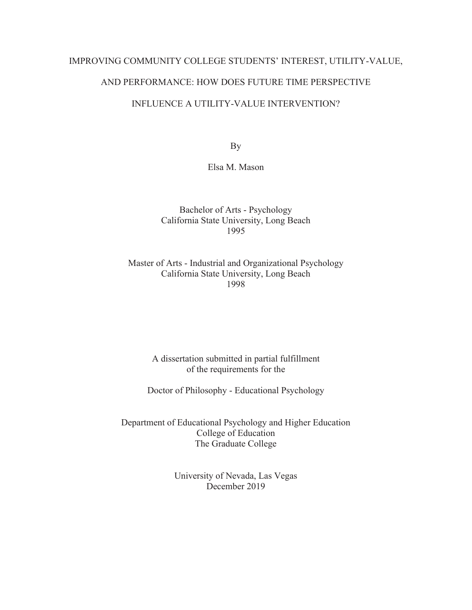## IMPROVING COMMUNITY COLLEGE STUDENTS' INTEREST, UTILITY-VALUE,

## AND PERFORMANCE: HOW DOES FUTURE TIME PERSPECTIVE

## INFLUENCE A UTILITY-VALUE INTERVENTION?

By

Elsa M. Mason

Bachelor of Arts - Psychology California State University, Long Beach 1995

Master of Arts - Industrial and Organizational Psychology California State University, Long Beach 1998

> A dissertation submitted in partial fulfillment of the requirements for the

Doctor of Philosophy - Educational Psychology

Department of Educational Psychology and Higher Education College of Education The Graduate College

> University of Nevada, Las Vegas December 2019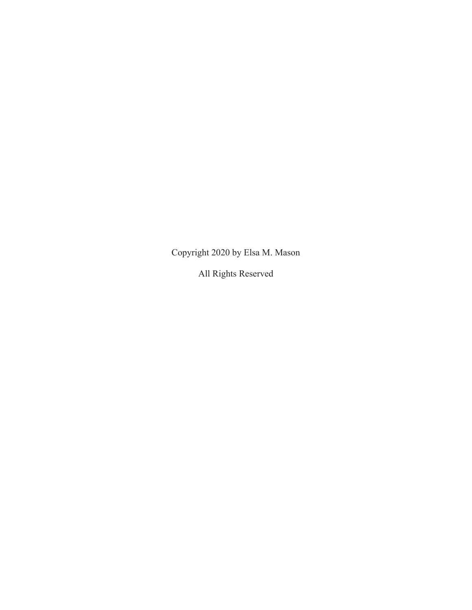Copyright 2020 by Elsa M. Mason

All Rights Reserved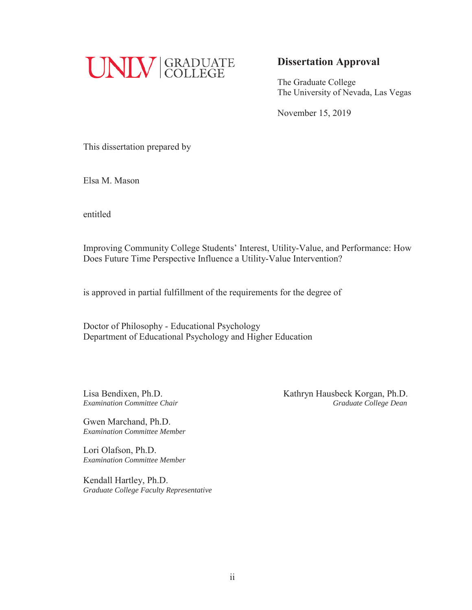

## **Dissertation Approval**

The Graduate College The University of Nevada, Las Vegas

November 15, 2019

This dissertation prepared by

Elsa M. Mason

entitled

Improving Community College Students' Interest, Utility-Value, and Performance: How Does Future Time Perspective Influence a Utility-Value Intervention?

is approved in partial fulfillment of the requirements for the degree of

Doctor of Philosophy - Educational Psychology Department of Educational Psychology and Higher Education

Gwen Marchand, Ph.D. *Examination Committee Member* 

Lori Olafson, Ph.D. *Examination Committee Member* 

Kendall Hartley, Ph.D. *Graduate College Faculty Representative* 

Lisa Bendixen, Ph.D.<br> **Kathryn Hausbeck Korgan, Ph.D. Examination Committee Chair** Graduate College Dean **Graduate College Dean**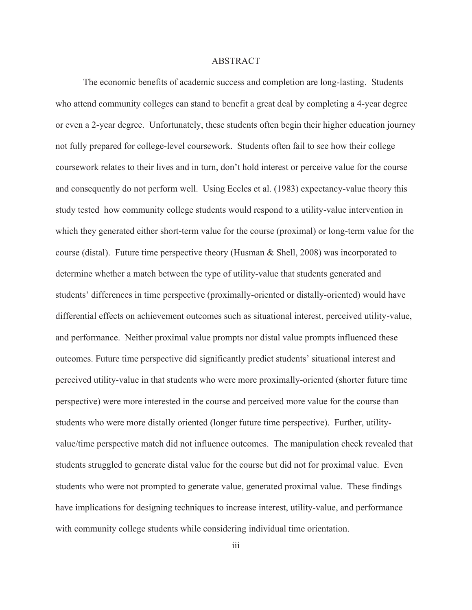#### ABSTRACT

The economic benefits of academic success and completion are long-lasting. Students who attend community colleges can stand to benefit a great deal by completing a 4-year degree or even a 2-year degree. Unfortunately, these students often begin their higher education journey not fully prepared for college-level coursework. Students often fail to see how their college coursework relates to their lives and in turn, don't hold interest or perceive value for the course and consequently do not perform well. Using Eccles et al. (1983) expectancy-value theory this study tested how community college students would respond to a utility-value intervention in which they generated either short-term value for the course (proximal) or long-term value for the course (distal). Future time perspective theory (Husman & Shell, 2008) was incorporated to determine whether a match between the type of utility-value that students generated and students' differences in time perspective (proximally-oriented or distally-oriented) would have differential effects on achievement outcomes such as situational interest, perceived utility-value, and performance. Neither proximal value prompts nor distal value prompts influenced these outcomes. Future time perspective did significantly predict students' situational interest and perceived utility-value in that students who were more proximally-oriented (shorter future time perspective) were more interested in the course and perceived more value for the course than students who were more distally oriented (longer future time perspective). Further, utilityvalue/time perspective match did not influence outcomes. The manipulation check revealed that students struggled to generate distal value for the course but did not for proximal value. Even students who were not prompted to generate value, generated proximal value. These findings have implications for designing techniques to increase interest, utility-value, and performance with community college students while considering individual time orientation.

iii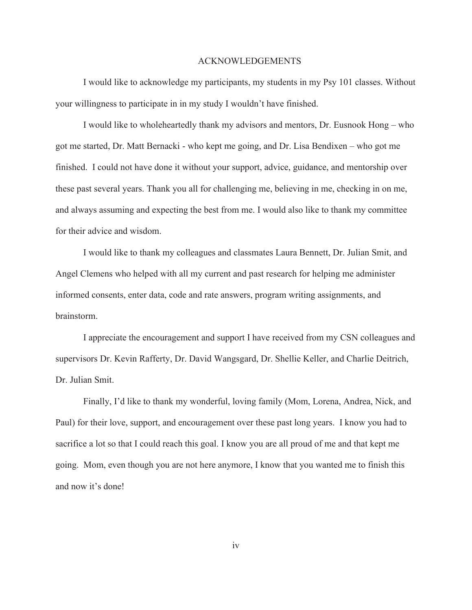#### ACKNOWLEDGEMENTS

I would like to acknowledge my participants, my students in my Psy 101 classes. Without your willingness to participate in in my study I wouldn't have finished.

I would like to wholeheartedly thank my advisors and mentors, Dr. Eusnook Hong – who got me started, Dr. Matt Bernacki - who kept me going, and Dr. Lisa Bendixen – who got me finished. I could not have done it without your support, advice, guidance, and mentorship over these past several years. Thank you all for challenging me, believing in me, checking in on me, and always assuming and expecting the best from me. I would also like to thank my committee for their advice and wisdom.

I would like to thank my colleagues and classmates Laura Bennett, Dr. Julian Smit, and Angel Clemens who helped with all my current and past research for helping me administer informed consents, enter data, code and rate answers, program writing assignments, and brainstorm.

I appreciate the encouragement and support I have received from my CSN colleagues and supervisors Dr. Kevin Rafferty, Dr. David Wangsgard, Dr. Shellie Keller, and Charlie Deitrich, Dr. Julian Smit.

Finally, I'd like to thank my wonderful, loving family (Mom, Lorena, Andrea, Nick, and Paul) for their love, support, and encouragement over these past long years. I know you had to sacrifice a lot so that I could reach this goal. I know you are all proud of me and that kept me going. Mom, even though you are not here anymore, I know that you wanted me to finish this and now it's done!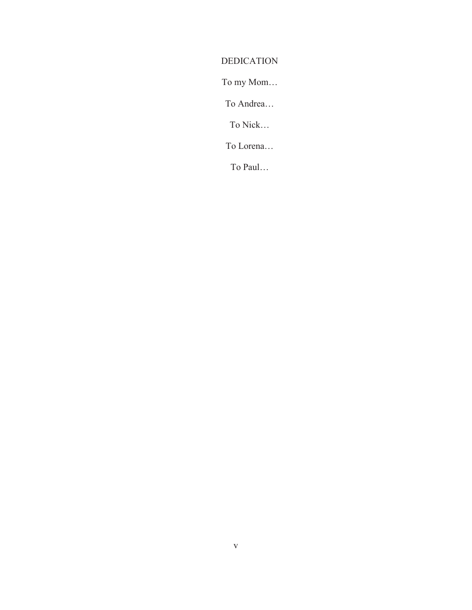## DEDICATION

To my Mom…

To Andrea…

To Nick…

To Lorena…

To Paul…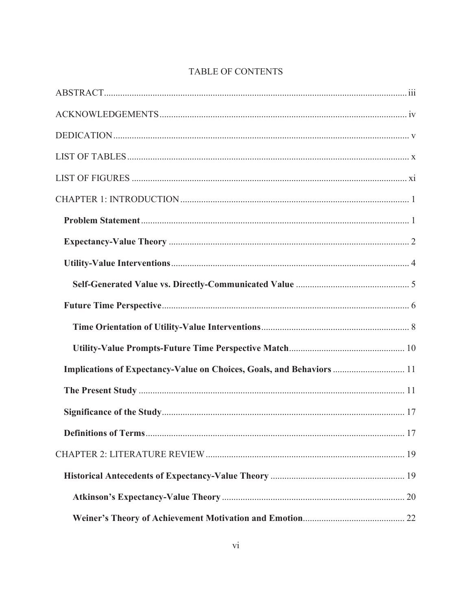| Implications of Expectancy-Value on Choices, Goals, and Behaviors  11 |  |
|-----------------------------------------------------------------------|--|
|                                                                       |  |
|                                                                       |  |
|                                                                       |  |
|                                                                       |  |
|                                                                       |  |
|                                                                       |  |
|                                                                       |  |

## TABLE OF CONTENTS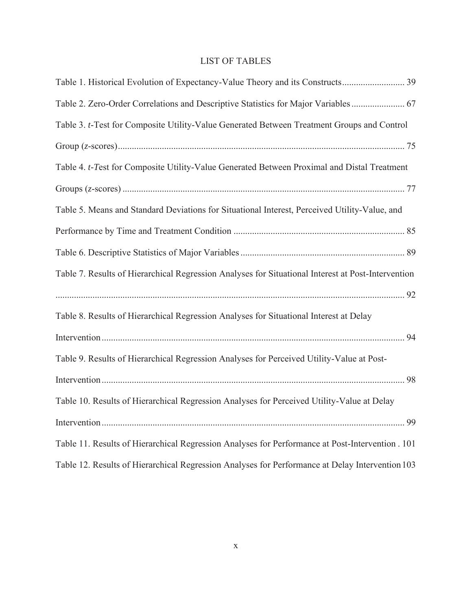## LIST OF TABLES

| Table 1. Historical Evolution of Expectancy-Value Theory and its Constructs 39                     |
|----------------------------------------------------------------------------------------------------|
| Table 2. Zero-Order Correlations and Descriptive Statistics for Major Variables  67                |
| Table 3. t-Test for Composite Utility-Value Generated Between Treatment Groups and Control         |
|                                                                                                    |
| Table 4. t-Test for Composite Utility-Value Generated Between Proximal and Distal Treatment        |
|                                                                                                    |
| Table 5. Means and Standard Deviations for Situational Interest, Perceived Utility-Value, and      |
|                                                                                                    |
|                                                                                                    |
| Table 7. Results of Hierarchical Regression Analyses for Situational Interest at Post-Intervention |
|                                                                                                    |
| Table 8. Results of Hierarchical Regression Analyses for Situational Interest at Delay             |
|                                                                                                    |
| Table 9. Results of Hierarchical Regression Analyses for Perceived Utility-Value at Post-          |
|                                                                                                    |
| Table 10. Results of Hierarchical Regression Analyses for Perceived Utility-Value at Delay         |
|                                                                                                    |
| Table 11. Results of Hierarchical Regression Analyses for Performance at Post-Intervention . 101   |
| Table 12. Results of Hierarchical Regression Analyses for Performance at Delay Intervention 103    |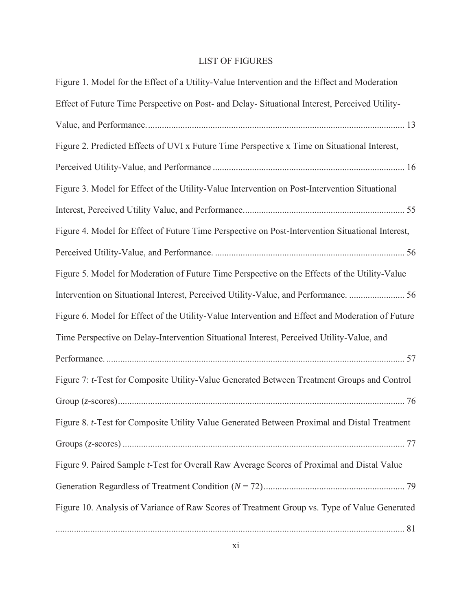## LIST OF FIGURES

| Figure 1. Model for the Effect of a Utility-Value Intervention and the Effect and Moderation     |
|--------------------------------------------------------------------------------------------------|
| Effect of Future Time Perspective on Post- and Delay- Situational Interest, Perceived Utility-   |
|                                                                                                  |
| Figure 2. Predicted Effects of UVI x Future Time Perspective x Time on Situational Interest,     |
|                                                                                                  |
| Figure 3. Model for Effect of the Utility-Value Intervention on Post-Intervention Situational    |
|                                                                                                  |
| Figure 4. Model for Effect of Future Time Perspective on Post-Intervention Situational Interest, |
|                                                                                                  |
| Figure 5. Model for Moderation of Future Time Perspective on the Effects of the Utility-Value    |
| Intervention on Situational Interest, Perceived Utility-Value, and Performance.  56              |
| Figure 6. Model for Effect of the Utility-Value Intervention and Effect and Moderation of Future |
| Time Perspective on Delay-Intervention Situational Interest, Perceived Utility-Value, and        |
|                                                                                                  |
| Figure 7: t-Test for Composite Utility-Value Generated Between Treatment Groups and Control      |
|                                                                                                  |
| Figure 8. t-Test for Composite Utility Value Generated Between Proximal and Distal Treatment     |
|                                                                                                  |
| Figure 9. Paired Sample t-Test for Overall Raw Average Scores of Proximal and Distal Value       |
|                                                                                                  |
| Figure 10. Analysis of Variance of Raw Scores of Treatment Group vs. Type of Value Generated     |
|                                                                                                  |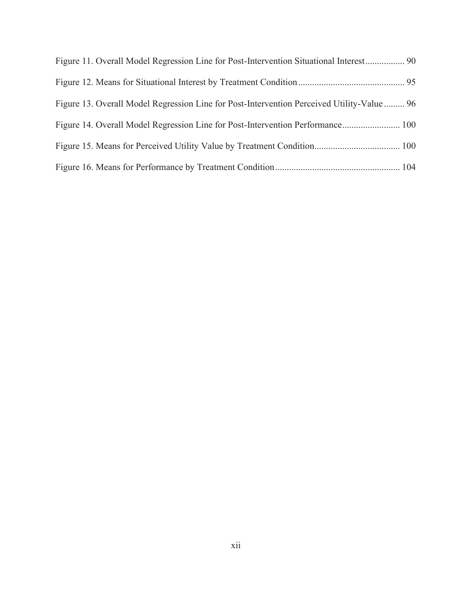| Figure 11. Overall Model Regression Line for Post-Intervention Situational Interest 90    |  |
|-------------------------------------------------------------------------------------------|--|
|                                                                                           |  |
| Figure 13. Overall Model Regression Line for Post-Intervention Perceived Utility-Value 96 |  |
| Figure 14. Overall Model Regression Line for Post-Intervention Performance 100            |  |
|                                                                                           |  |
|                                                                                           |  |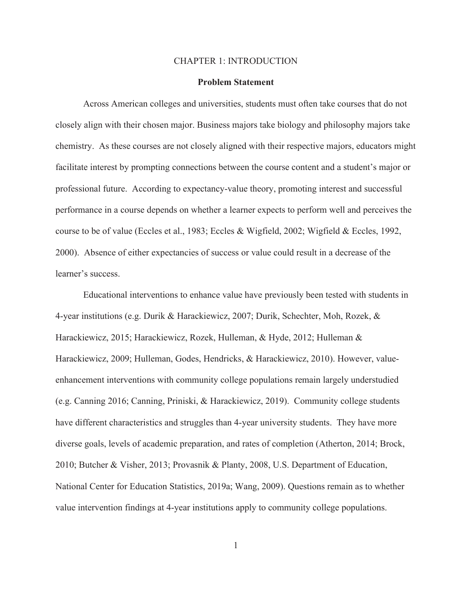#### CHAPTER 1: INTRODUCTION

#### **Problem Statement**

Across American colleges and universities, students must often take courses that do not closely align with their chosen major. Business majors take biology and philosophy majors take chemistry. As these courses are not closely aligned with their respective majors, educators might facilitate interest by prompting connections between the course content and a student's major or professional future. According to expectancy-value theory, promoting interest and successful performance in a course depends on whether a learner expects to perform well and perceives the course to be of value (Eccles et al., 1983; Eccles & Wigfield, 2002; Wigfield & Eccles, 1992, 2000). Absence of either expectancies of success or value could result in a decrease of the learner's success.

Educational interventions to enhance value have previously been tested with students in 4-year institutions (e.g. Durik & Harackiewicz, 2007; Durik, Schechter, Moh, Rozek, & Harackiewicz, 2015; Harackiewicz, Rozek, Hulleman, & Hyde, 2012; Hulleman & Harackiewicz, 2009; Hulleman, Godes, Hendricks, & Harackiewicz, 2010). However, valueenhancement interventions with community college populations remain largely understudied (e.g. Canning 2016; Canning, Priniski, & Harackiewicz, 2019). Community college students have different characteristics and struggles than 4-year university students. They have more diverse goals, levels of academic preparation, and rates of completion (Atherton, 2014; Brock, 2010; Butcher & Visher, 2013; Provasnik & Planty, 2008, U.S. Department of Education, National Center for Education Statistics, 2019a; Wang, 2009). Questions remain as to whether value intervention findings at 4-year institutions apply to community college populations.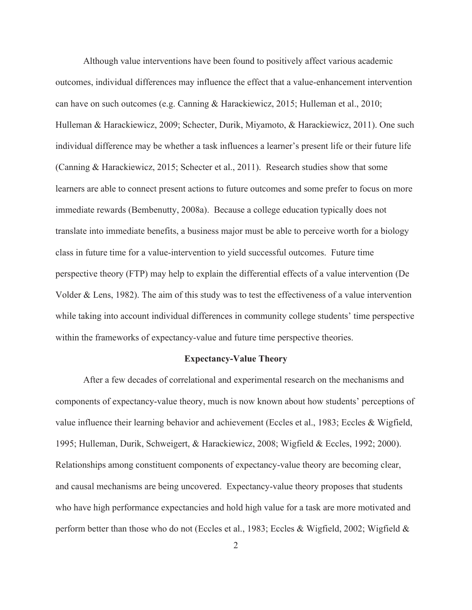Although value interventions have been found to positively affect various academic outcomes, individual differences may influence the effect that a value-enhancement intervention can have on such outcomes (e.g. Canning & Harackiewicz, 2015; Hulleman et al., 2010; Hulleman & Harackiewicz, 2009; Schecter, Durik, Miyamoto, & Harackiewicz, 2011). One such individual difference may be whether a task influences a learner's present life or their future life (Canning & Harackiewicz, 2015; Schecter et al., 2011). Research studies show that some learners are able to connect present actions to future outcomes and some prefer to focus on more immediate rewards (Bembenutty, 2008a). Because a college education typically does not translate into immediate benefits, a business major must be able to perceive worth for a biology class in future time for a value-intervention to yield successful outcomes. Future time perspective theory (FTP) may help to explain the differential effects of a value intervention (De Volder & Lens, 1982). The aim of this study was to test the effectiveness of a value intervention while taking into account individual differences in community college students' time perspective within the frameworks of expectancy-value and future time perspective theories.

#### **Expectancy-Value Theory**

After a few decades of correlational and experimental research on the mechanisms and components of expectancy-value theory, much is now known about how students' perceptions of value influence their learning behavior and achievement (Eccles et al., 1983; Eccles & Wigfield, 1995; Hulleman, Durik, Schweigert, & Harackiewicz, 2008; Wigfield & Eccles, 1992; 2000). Relationships among constituent components of expectancy-value theory are becoming clear, and causal mechanisms are being uncovered. Expectancy-value theory proposes that students who have high performance expectancies and hold high value for a task are more motivated and perform better than those who do not (Eccles et al., 1983; Eccles & Wigfield, 2002; Wigfield &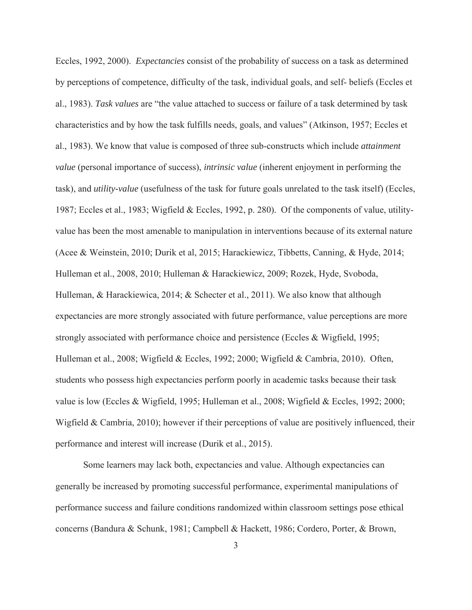Eccles, 1992, 2000). *Expectancies* consist of the probability of success on a task as determined by perceptions of competence, difficulty of the task, individual goals, and self- beliefs (Eccles et al., 1983). *Task values* are "the value attached to success or failure of a task determined by task characteristics and by how the task fulfills needs, goals, and values" (Atkinson, 1957; Eccles et al., 1983). We know that value is composed of three sub-constructs which include *attainment value* (personal importance of success), *intrinsic value* (inherent enjoyment in performing the task), and *utility-value* (usefulness of the task for future goals unrelated to the task itself) (Eccles, 1987; Eccles et al., 1983; Wigfield & Eccles, 1992, p. 280). Of the components of value, utilityvalue has been the most amenable to manipulation in interventions because of its external nature (Acee & Weinstein, 2010; Durik et al, 2015; Harackiewicz, Tibbetts, Canning, & Hyde, 2014; Hulleman et al., 2008, 2010; Hulleman & Harackiewicz, 2009; Rozek, Hyde, Svoboda, Hulleman, & Harackiewica, 2014; & Schecter et al., 2011). We also know that although expectancies are more strongly associated with future performance, value perceptions are more strongly associated with performance choice and persistence (Eccles & Wigfield, 1995; Hulleman et al., 2008; Wigfield & Eccles, 1992; 2000; Wigfield & Cambria, 2010). Often, students who possess high expectancies perform poorly in academic tasks because their task value is low (Eccles & Wigfield, 1995; Hulleman et al., 2008; Wigfield & Eccles, 1992; 2000; Wigfield & Cambria, 2010); however if their perceptions of value are positively influenced, their performance and interest will increase (Durik et al., 2015).

Some learners may lack both, expectancies and value. Although expectancies can generally be increased by promoting successful performance, experimental manipulations of performance success and failure conditions randomized within classroom settings pose ethical concerns (Bandura & Schunk, 1981; Campbell & Hackett, 1986; Cordero, Porter, & Brown,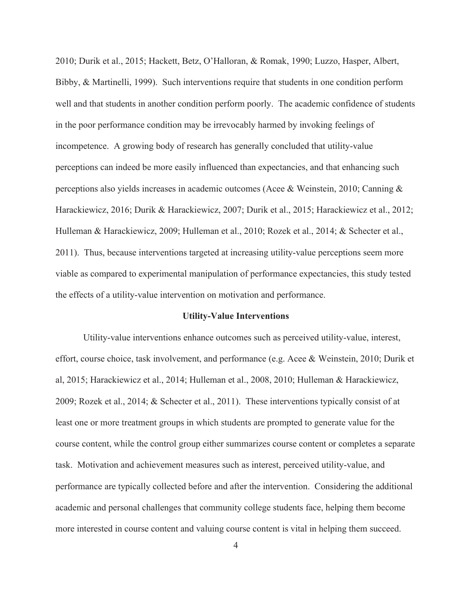2010; Durik et al., 2015; Hackett, Betz, O'Halloran, & Romak, 1990; Luzzo, Hasper, Albert, Bibby, & Martinelli, 1999). Such interventions require that students in one condition perform well and that students in another condition perform poorly. The academic confidence of students in the poor performance condition may be irrevocably harmed by invoking feelings of incompetence. A growing body of research has generally concluded that utility-value perceptions can indeed be more easily influenced than expectancies, and that enhancing such perceptions also yields increases in academic outcomes (Acee & Weinstein, 2010; Canning & Harackiewicz, 2016; Durik & Harackiewicz, 2007; Durik et al., 2015; Harackiewicz et al., 2012; Hulleman & Harackiewicz, 2009; Hulleman et al., 2010; Rozek et al., 2014; & Schecter et al., 2011). Thus, because interventions targeted at increasing utility-value perceptions seem more viable as compared to experimental manipulation of performance expectancies, this study tested the effects of a utility-value intervention on motivation and performance.

#### **Utility-Value Interventions**

Utility-value interventions enhance outcomes such as perceived utility-value, interest, effort, course choice, task involvement, and performance (e.g. Acee & Weinstein, 2010; Durik et al, 2015; Harackiewicz et al., 2014; Hulleman et al., 2008, 2010; Hulleman & Harackiewicz, 2009; Rozek et al., 2014; & Schecter et al., 2011). These interventions typically consist of at least one or more treatment groups in which students are prompted to generate value for the course content, while the control group either summarizes course content or completes a separate task. Motivation and achievement measures such as interest, perceived utility-value, and performance are typically collected before and after the intervention. Considering the additional academic and personal challenges that community college students face, helping them become more interested in course content and valuing course content is vital in helping them succeed.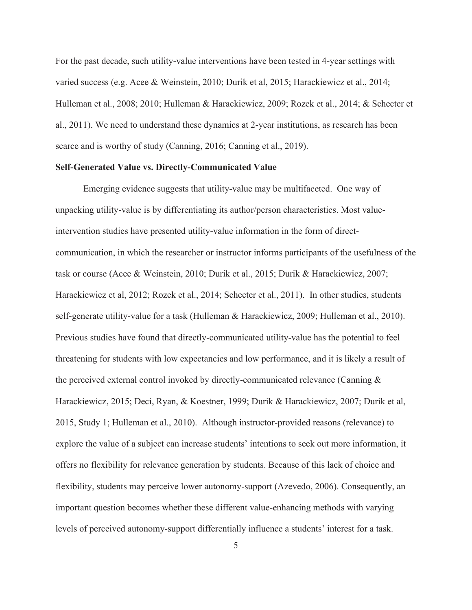For the past decade, such utility-value interventions have been tested in 4-year settings with varied success (e.g. Acee & Weinstein, 2010; Durik et al, 2015; Harackiewicz et al., 2014; Hulleman et al., 2008; 2010; Hulleman & Harackiewicz, 2009; Rozek et al., 2014; & Schecter et al., 2011). We need to understand these dynamics at 2-year institutions, as research has been scarce and is worthy of study (Canning, 2016; Canning et al., 2019).

#### **Self-Generated Value vs. Directly-Communicated Value**

Emerging evidence suggests that utility-value may be multifaceted. One way of unpacking utility-value is by differentiating its author/person characteristics. Most valueintervention studies have presented utility-value information in the form of directcommunication, in which the researcher or instructor informs participants of the usefulness of the task or course (Acee & Weinstein, 2010; Durik et al., 2015; Durik & Harackiewicz, 2007; Harackiewicz et al, 2012; Rozek et al., 2014; Schecter et al., 2011). In other studies, students self-generate utility-value for a task (Hulleman & Harackiewicz, 2009; Hulleman et al., 2010). Previous studies have found that directly-communicated utility-value has the potential to feel threatening for students with low expectancies and low performance, and it is likely a result of the perceived external control invoked by directly-communicated relevance (Canning & Harackiewicz, 2015; Deci, Ryan, & Koestner, 1999; Durik & Harackiewicz, 2007; Durik et al, 2015, Study 1; Hulleman et al., 2010). Although instructor-provided reasons (relevance) to explore the value of a subject can increase students' intentions to seek out more information, it offers no flexibility for relevance generation by students. Because of this lack of choice and flexibility, students may perceive lower autonomy-support (Azevedo, 2006). Consequently, an important question becomes whether these different value-enhancing methods with varying levels of perceived autonomy-support differentially influence a students' interest for a task.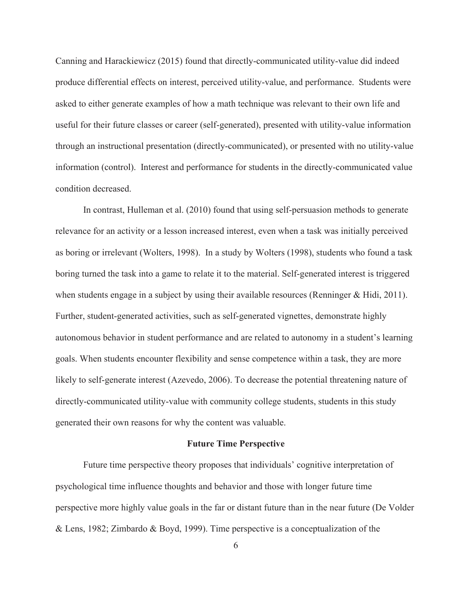Canning and Harackiewicz (2015) found that directly-communicated utility-value did indeed produce differential effects on interest, perceived utility-value, and performance. Students were asked to either generate examples of how a math technique was relevant to their own life and useful for their future classes or career (self-generated), presented with utility-value information through an instructional presentation (directly-communicated), or presented with no utility-value information (control). Interest and performance for students in the directly-communicated value condition decreased.

In contrast, Hulleman et al. (2010) found that using self-persuasion methods to generate relevance for an activity or a lesson increased interest, even when a task was initially perceived as boring or irrelevant (Wolters, 1998). In a study by Wolters (1998), students who found a task boring turned the task into a game to relate it to the material. Self-generated interest is triggered when students engage in a subject by using their available resources (Renninger & Hidi, 2011). Further, student-generated activities, such as self-generated vignettes, demonstrate highly autonomous behavior in student performance and are related to autonomy in a student's learning goals. When students encounter flexibility and sense competence within a task, they are more likely to self-generate interest (Azevedo, 2006). To decrease the potential threatening nature of directly-communicated utility-value with community college students, students in this study generated their own reasons for why the content was valuable.

#### **Future Time Perspective**

Future time perspective theory proposes that individuals' cognitive interpretation of psychological time influence thoughts and behavior and those with longer future time perspective more highly value goals in the far or distant future than in the near future (De Volder & Lens, 1982; Zimbardo & Boyd, 1999). Time perspective is a conceptualization of the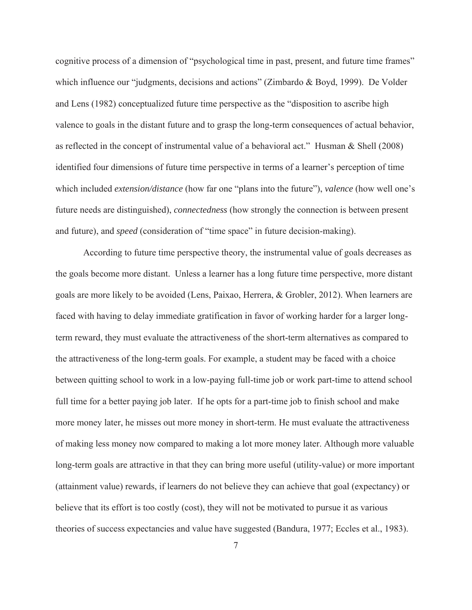cognitive process of a dimension of "psychological time in past, present, and future time frames" which influence our "judgments, decisions and actions" (Zimbardo & Boyd, 1999). De Volder and Lens (1982) conceptualized future time perspective as the "disposition to ascribe high valence to goals in the distant future and to grasp the long-term consequences of actual behavior, as reflected in the concept of instrumental value of a behavioral act." Husman & Shell (2008) identified four dimensions of future time perspective in terms of a learner's perception of time which included *extension/distance* (how far one "plans into the future"), *valence* (how well one's future needs are distinguished), *connectedness* (how strongly the connection is between present and future), and *speed* (consideration of "time space" in future decision-making).

According to future time perspective theory, the instrumental value of goals decreases as the goals become more distant. Unless a learner has a long future time perspective, more distant goals are more likely to be avoided (Lens, Paixao, Herrera, & Grobler, 2012). When learners are faced with having to delay immediate gratification in favor of working harder for a larger longterm reward, they must evaluate the attractiveness of the short-term alternatives as compared to the attractiveness of the long-term goals. For example, a student may be faced with a choice between quitting school to work in a low-paying full-time job or work part-time to attend school full time for a better paying job later. If he opts for a part-time job to finish school and make more money later, he misses out more money in short-term. He must evaluate the attractiveness of making less money now compared to making a lot more money later. Although more valuable long-term goals are attractive in that they can bring more useful (utility-value) or more important (attainment value) rewards, if learners do not believe they can achieve that goal (expectancy) or believe that its effort is too costly (cost), they will not be motivated to pursue it as various theories of success expectancies and value have suggested (Bandura, 1977; Eccles et al., 1983).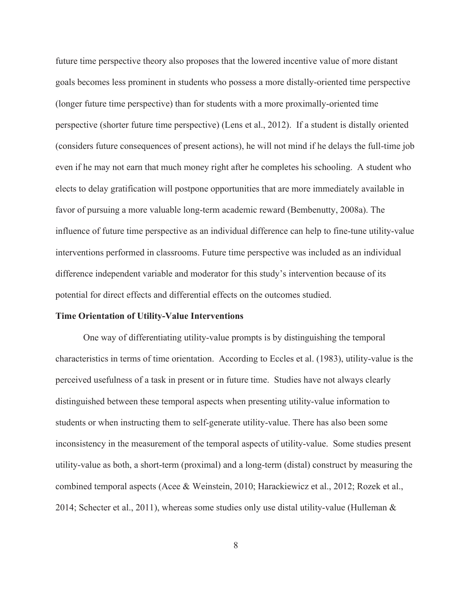future time perspective theory also proposes that the lowered incentive value of more distant goals becomes less prominent in students who possess a more distally-oriented time perspective (longer future time perspective) than for students with a more proximally-oriented time perspective (shorter future time perspective) (Lens et al., 2012). If a student is distally oriented (considers future consequences of present actions), he will not mind if he delays the full-time job even if he may not earn that much money right after he completes his schooling. A student who elects to delay gratification will postpone opportunities that are more immediately available in favor of pursuing a more valuable long-term academic reward (Bembenutty, 2008a). The influence of future time perspective as an individual difference can help to fine-tune utility-value interventions performed in classrooms. Future time perspective was included as an individual difference independent variable and moderator for this study's intervention because of its potential for direct effects and differential effects on the outcomes studied.

#### **Time Orientation of Utility-Value Interventions**

One way of differentiating utility-value prompts is by distinguishing the temporal characteristics in terms of time orientation. According to Eccles et al. (1983), utility-value is the perceived usefulness of a task in present or in future time. Studies have not always clearly distinguished between these temporal aspects when presenting utility-value information to students or when instructing them to self-generate utility-value. There has also been some inconsistency in the measurement of the temporal aspects of utility-value. Some studies present utility-value as both, a short-term (proximal) and a long-term (distal) construct by measuring the combined temporal aspects (Acee & Weinstein, 2010; Harackiewicz et al., 2012; Rozek et al., 2014; Schecter et al., 2011), whereas some studies only use distal utility-value (Hulleman &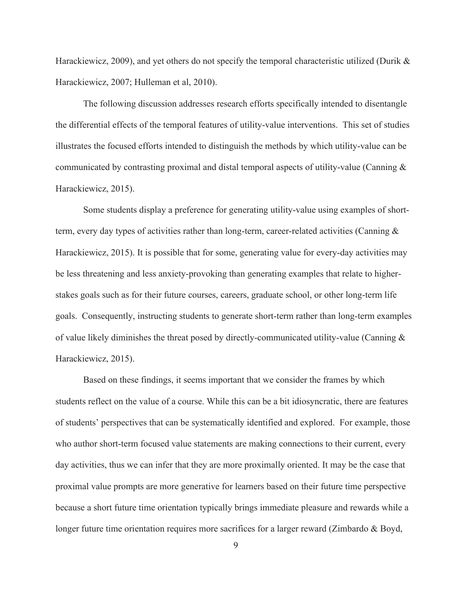Harackiewicz, 2009), and yet others do not specify the temporal characteristic utilized (Durik & Harackiewicz, 2007; Hulleman et al, 2010).

The following discussion addresses research efforts specifically intended to disentangle the differential effects of the temporal features of utility-value interventions. This set of studies illustrates the focused efforts intended to distinguish the methods by which utility-value can be communicated by contrasting proximal and distal temporal aspects of utility-value (Canning & Harackiewicz, 2015).

Some students display a preference for generating utility-value using examples of shortterm, every day types of activities rather than long-term, career-related activities (Canning & Harackiewicz, 2015). It is possible that for some, generating value for every-day activities may be less threatening and less anxiety-provoking than generating examples that relate to higherstakes goals such as for their future courses, careers, graduate school, or other long-term life goals. Consequently, instructing students to generate short-term rather than long-term examples of value likely diminishes the threat posed by directly-communicated utility-value (Canning & Harackiewicz, 2015).

Based on these findings, it seems important that we consider the frames by which students reflect on the value of a course. While this can be a bit idiosyncratic, there are features of students' perspectives that can be systematically identified and explored. For example, those who author short-term focused value statements are making connections to their current, every day activities, thus we can infer that they are more proximally oriented. It may be the case that proximal value prompts are more generative for learners based on their future time perspective because a short future time orientation typically brings immediate pleasure and rewards while a longer future time orientation requires more sacrifices for a larger reward (Zimbardo & Boyd,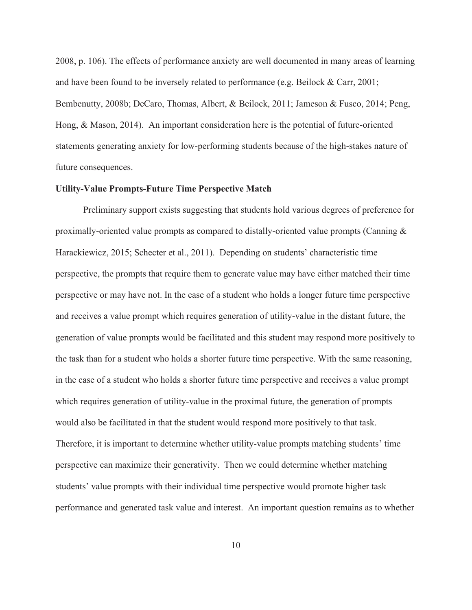2008, p. 106). The effects of performance anxiety are well documented in many areas of learning and have been found to be inversely related to performance (e.g. Beilock & Carr, 2001; Bembenutty, 2008b; DeCaro, Thomas, Albert, & Beilock, 2011; Jameson & Fusco, 2014; Peng, Hong, & Mason, 2014). An important consideration here is the potential of future-oriented statements generating anxiety for low-performing students because of the high-stakes nature of future consequences.

#### **Utility-Value Prompts-Future Time Perspective Match**

Preliminary support exists suggesting that students hold various degrees of preference for proximally-oriented value prompts as compared to distally-oriented value prompts (Canning & Harackiewicz, 2015; Schecter et al., 2011). Depending on students' characteristic time perspective, the prompts that require them to generate value may have either matched their time perspective or may have not. In the case of a student who holds a longer future time perspective and receives a value prompt which requires generation of utility-value in the distant future, the generation of value prompts would be facilitated and this student may respond more positively to the task than for a student who holds a shorter future time perspective. With the same reasoning, in the case of a student who holds a shorter future time perspective and receives a value prompt which requires generation of utility-value in the proximal future, the generation of prompts would also be facilitated in that the student would respond more positively to that task. Therefore, it is important to determine whether utility-value prompts matching students' time perspective can maximize their generativity. Then we could determine whether matching students' value prompts with their individual time perspective would promote higher task performance and generated task value and interest. An important question remains as to whether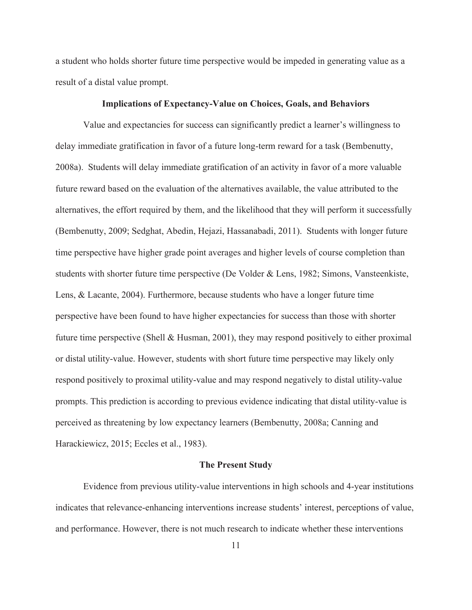a student who holds shorter future time perspective would be impeded in generating value as a result of a distal value prompt.

#### **Implications of Expectancy-Value on Choices, Goals, and Behaviors**

Value and expectancies for success can significantly predict a learner's willingness to delay immediate gratification in favor of a future long-term reward for a task (Bembenutty, 2008a). Students will delay immediate gratification of an activity in favor of a more valuable future reward based on the evaluation of the alternatives available, the value attributed to the alternatives, the effort required by them, and the likelihood that they will perform it successfully (Bembenutty, 2009; Sedghat, Abedin, Hejazi, Hassanabadi, 2011). Students with longer future time perspective have higher grade point averages and higher levels of course completion than students with shorter future time perspective (De Volder & Lens, 1982; Simons, Vansteenkiste, Lens, & Lacante, 2004). Furthermore, because students who have a longer future time perspective have been found to have higher expectancies for success than those with shorter future time perspective (Shell & Husman, 2001), they may respond positively to either proximal or distal utility-value. However, students with short future time perspective may likely only respond positively to proximal utility-value and may respond negatively to distal utility-value prompts. This prediction is according to previous evidence indicating that distal utility-value is perceived as threatening by low expectancy learners (Bembenutty, 2008a; Canning and Harackiewicz, 2015; Eccles et al., 1983).

#### **The Present Study**

Evidence from previous utility-value interventions in high schools and 4-year institutions indicates that relevance-enhancing interventions increase students' interest, perceptions of value, and performance. However, there is not much research to indicate whether these interventions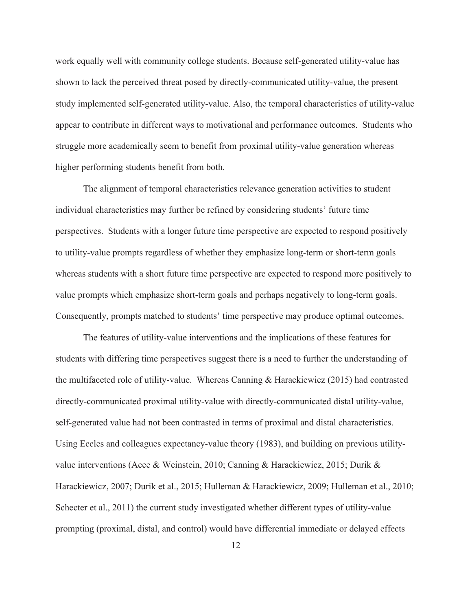work equally well with community college students. Because self-generated utility-value has shown to lack the perceived threat posed by directly-communicated utility-value, the present study implemented self-generated utility-value. Also, the temporal characteristics of utility-value appear to contribute in different ways to motivational and performance outcomes. Students who struggle more academically seem to benefit from proximal utility-value generation whereas higher performing students benefit from both.

The alignment of temporal characteristics relevance generation activities to student individual characteristics may further be refined by considering students' future time perspectives. Students with a longer future time perspective are expected to respond positively to utility-value prompts regardless of whether they emphasize long-term or short-term goals whereas students with a short future time perspective are expected to respond more positively to value prompts which emphasize short-term goals and perhaps negatively to long-term goals. Consequently, prompts matched to students' time perspective may produce optimal outcomes.

The features of utility-value interventions and the implications of these features for students with differing time perspectives suggest there is a need to further the understanding of the multifaceted role of utility-value. Whereas Canning & Harackiewicz (2015) had contrasted directly-communicated proximal utility-value with directly-communicated distal utility-value, self-generated value had not been contrasted in terms of proximal and distal characteristics. Using Eccles and colleagues expectancy-value theory (1983), and building on previous utilityvalue interventions (Acee & Weinstein, 2010; Canning & Harackiewicz, 2015; Durik & Harackiewicz, 2007; Durik et al., 2015; Hulleman & Harackiewicz, 2009; Hulleman et al., 2010; Schecter et al., 2011) the current study investigated whether different types of utility-value prompting (proximal, distal, and control) would have differential immediate or delayed effects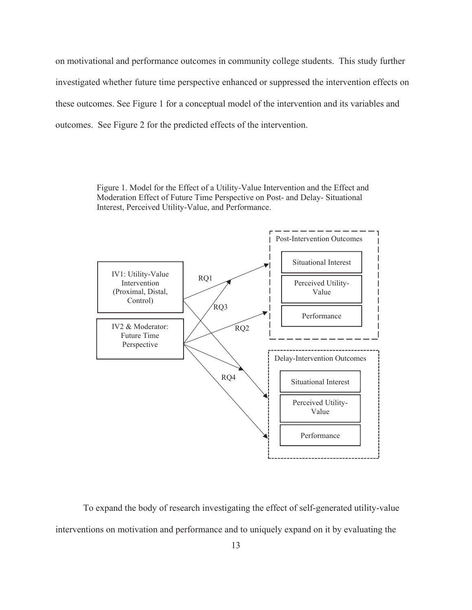on motivational and performance outcomes in community college students. This study further investigated whether future time perspective enhanced or suppressed the intervention effects on these outcomes. See Figure 1 for a conceptual model of the intervention and its variables and outcomes. See Figure 2 for the predicted effects of the intervention.

> Figure 1. Model for the Effect of a Utility-Value Intervention and the Effect and Moderation Effect of Future Time Perspective on Post- and Delay- Situational Interest, Perceived Utility-Value, and Performance.



To expand the body of research investigating the effect of self-generated utility-value interventions on motivation and performance and to uniquely expand on it by evaluating the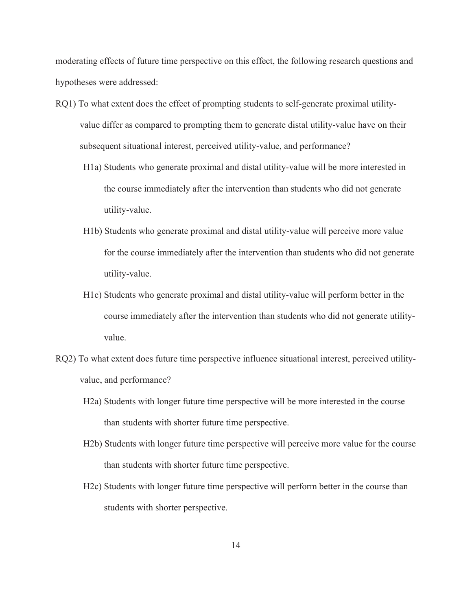moderating effects of future time perspective on this effect, the following research questions and hypotheses were addressed:

- RQ1) To what extent does the effect of prompting students to self-generate proximal utilityvalue differ as compared to prompting them to generate distal utility-value have on their subsequent situational interest, perceived utility-value, and performance?
	- H1a) Students who generate proximal and distal utility-value will be more interested in the course immediately after the intervention than students who did not generate utility-value.
	- H1b) Students who generate proximal and distal utility-value will perceive more value for the course immediately after the intervention than students who did not generate utility-value.
	- H1c) Students who generate proximal and distal utility-value will perform better in the course immediately after the intervention than students who did not generate utilityvalue.
- RQ2) To what extent does future time perspective influence situational interest, perceived utilityvalue, and performance?
	- H2a) Students with longer future time perspective will be more interested in the course than students with shorter future time perspective.
	- H2b) Students with longer future time perspective will perceive more value for the course than students with shorter future time perspective.
	- H2c) Students with longer future time perspective will perform better in the course than students with shorter perspective.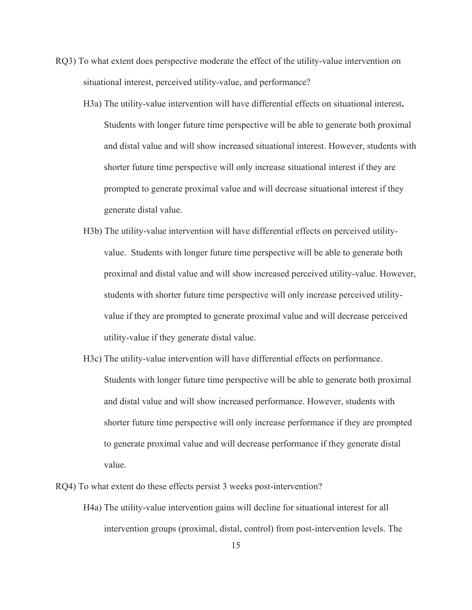- RQ3) To what extent does perspective moderate the effect of the utility-value intervention on situational interest, perceived utility-value, and performance?
	- H3a) The utility-value intervention will have differential effects on situational interest**.** Students with longer future time perspective will be able to generate both proximal and distal value and will show increased situational interest. However, students with shorter future time perspective will only increase situational interest if they are prompted to generate proximal value and will decrease situational interest if they generate distal value.
	- H3b) The utility-value intervention will have differential effects on perceived utilityvalue. Students with longer future time perspective will be able to generate both proximal and distal value and will show increased perceived utility-value. However, students with shorter future time perspective will only increase perceived utilityvalue if they are prompted to generate proximal value and will decrease perceived utility-value if they generate distal value.
	- H3c) The utility-value intervention will have differential effects on performance. Students with longer future time perspective will be able to generate both proximal and distal value and will show increased performance. However, students with shorter future time perspective will only increase performance if they are prompted to generate proximal value and will decrease performance if they generate distal value.

RQ4) To what extent do these effects persist 3 weeks post-intervention?

H4a) The utility-value intervention gains will decline for situational interest for all intervention groups (proximal, distal, control) from post-intervention levels. The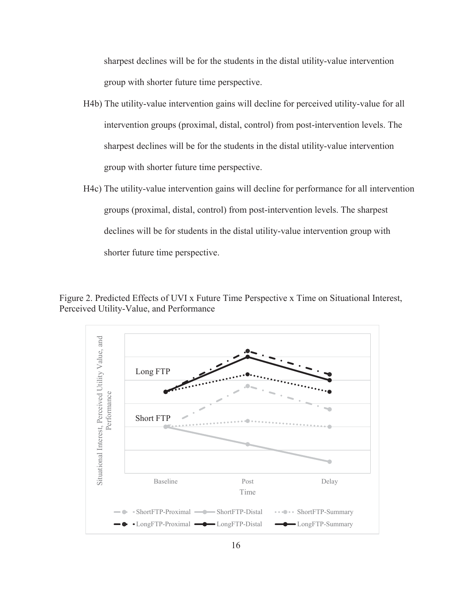sharpest declines will be for the students in the distal utility-value intervention group with shorter future time perspective.

- H4b) The utility-value intervention gains will decline for perceived utility-value for all intervention groups (proximal, distal, control) from post-intervention levels. The sharpest declines will be for the students in the distal utility-value intervention group with shorter future time perspective.
- H4c) The utility-value intervention gains will decline for performance for all intervention groups (proximal, distal, control) from post-intervention levels. The sharpest declines will be for students in the distal utility-value intervention group with shorter future time perspective.

Figure 2. Predicted Effects of UVI x Future Time Perspective x Time on Situational Interest, Perceived Utility-Value, and Performance

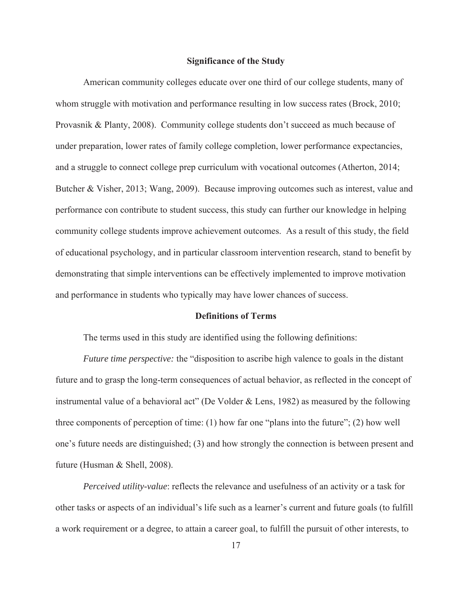#### **Significance of the Study**

American community colleges educate over one third of our college students, many of whom struggle with motivation and performance resulting in low success rates (Brock, 2010; Provasnik & Planty, 2008). Community college students don't succeed as much because of under preparation, lower rates of family college completion, lower performance expectancies, and a struggle to connect college prep curriculum with vocational outcomes (Atherton, 2014; Butcher & Visher, 2013; Wang, 2009). Because improving outcomes such as interest, value and performance con contribute to student success, this study can further our knowledge in helping community college students improve achievement outcomes. As a result of this study, the field of educational psychology, and in particular classroom intervention research, stand to benefit by demonstrating that simple interventions can be effectively implemented to improve motivation and performance in students who typically may have lower chances of success.

#### **Definitions of Terms**

The terms used in this study are identified using the following definitions:

*Future time perspective:* the "disposition to ascribe high valence to goals in the distant future and to grasp the long-term consequences of actual behavior, as reflected in the concept of instrumental value of a behavioral act" (De Volder & Lens, 1982) as measured by the following three components of perception of time: (1) how far one "plans into the future"; (2) how well one's future needs are distinguished; (3) and how strongly the connection is between present and future (Husman & Shell, 2008).

*Perceived utility-value*: reflects the relevance and usefulness of an activity or a task for other tasks or aspects of an individual's life such as a learner's current and future goals (to fulfill a work requirement or a degree, to attain a career goal, to fulfill the pursuit of other interests, to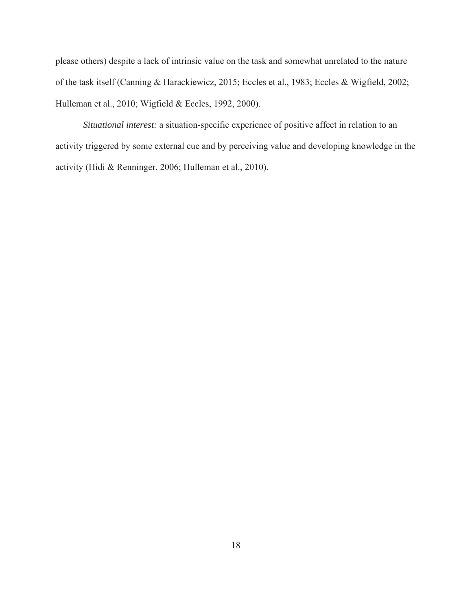please others) despite a lack of intrinsic value on the task and somewhat unrelated to the nature of the task itself (Canning & Harackiewicz, 2015; Eccles et al., 1983; Eccles & Wigfield, 2002; Hulleman et al., 2010; Wigfield & Eccles, 1992, 2000).

*Situational interest:* a situation-specific experience of positive affect in relation to an activity triggered by some external cue and by perceiving value and developing knowledge in the activity (Hidi & Renninger, 2006; Hulleman et al., 2010).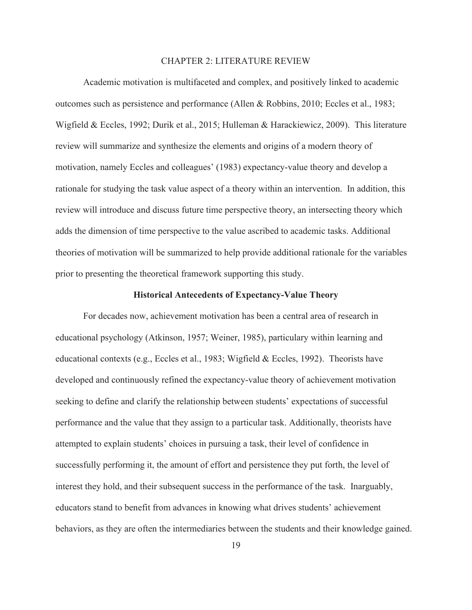#### CHAPTER 2: LITERATURE REVIEW

 Academic motivation is multifaceted and complex, and positively linked to academic outcomes such as persistence and performance (Allen & Robbins, 2010; Eccles et al., 1983; Wigfield & Eccles, 1992; Durik et al., 2015; Hulleman & Harackiewicz, 2009). This literature review will summarize and synthesize the elements and origins of a modern theory of motivation, namely Eccles and colleagues' (1983) expectancy-value theory and develop a rationale for studying the task value aspect of a theory within an intervention. In addition, this review will introduce and discuss future time perspective theory, an intersecting theory which adds the dimension of time perspective to the value ascribed to academic tasks. Additional theories of motivation will be summarized to help provide additional rationale for the variables prior to presenting the theoretical framework supporting this study.

#### **Historical Antecedents of Expectancy-Value Theory**

For decades now, achievement motivation has been a central area of research in educational psychology (Atkinson, 1957; Weiner, 1985), particulary within learning and educational contexts (e.g., Eccles et al., 1983; Wigfield & Eccles, 1992). Theorists have developed and continuously refined the expectancy-value theory of achievement motivation seeking to define and clarify the relationship between students' expectations of successful performance and the value that they assign to a particular task. Additionally, theorists have attempted to explain students' choices in pursuing a task, their level of confidence in successfully performing it, the amount of effort and persistence they put forth, the level of interest they hold, and their subsequent success in the performance of the task. Inarguably, educators stand to benefit from advances in knowing what drives students' achievement behaviors, as they are often the intermediaries between the students and their knowledge gained.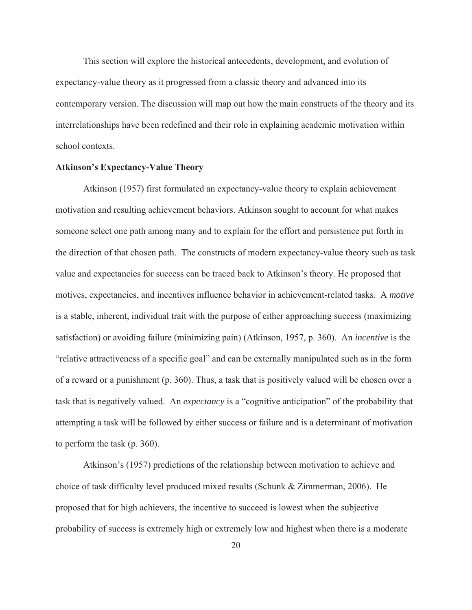This section will explore the historical antecedents, development, and evolution of expectancy-value theory as it progressed from a classic theory and advanced into its contemporary version. The discussion will map out how the main constructs of the theory and its interrelationships have been redefined and their role in explaining academic motivation within school contexts.

#### **Atkinson's Expectancy-Value Theory**

Atkinson (1957) first formulated an expectancy-value theory to explain achievement motivation and resulting achievement behaviors. Atkinson sought to account for what makes someone select one path among many and to explain for the effort and persistence put forth in the direction of that chosen path. The constructs of modern expectancy-value theory such as task value and expectancies for success can be traced back to Atkinson's theory. He proposed that motives, expectancies, and incentives influence behavior in achievement-related tasks. A *motive* is a stable, inherent, individual trait with the purpose of either approaching success (maximizing satisfaction) or avoiding failure (minimizing pain) (Atkinson, 1957, p. 360). An *incentive* is the "relative attractiveness of a specific goal" and can be externally manipulated such as in the form of a reward or a punishment (p. 360). Thus, a task that is positively valued will be chosen over a task that is negatively valued. An *expectancy* is a "cognitive anticipation" of the probability that attempting a task will be followed by either success or failure and is a determinant of motivation to perform the task (p. 360).

Atkinson's (1957) predictions of the relationship between motivation to achieve and choice of task difficulty level produced mixed results (Schunk & Zimmerman, 2006). He proposed that for high achievers, the incentive to succeed is lowest when the subjective probability of success is extremely high or extremely low and highest when there is a moderate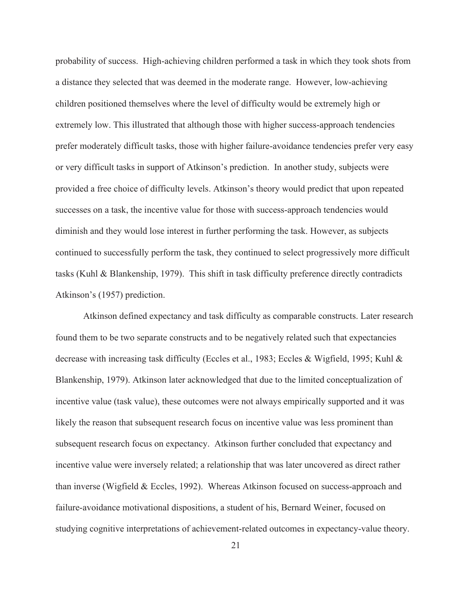probability of success. High-achieving children performed a task in which they took shots from a distance they selected that was deemed in the moderate range. However, low-achieving children positioned themselves where the level of difficulty would be extremely high or extremely low. This illustrated that although those with higher success-approach tendencies prefer moderately difficult tasks, those with higher failure-avoidance tendencies prefer very easy or very difficult tasks in support of Atkinson's prediction. In another study, subjects were provided a free choice of difficulty levels. Atkinson's theory would predict that upon repeated successes on a task, the incentive value for those with success-approach tendencies would diminish and they would lose interest in further performing the task. However, as subjects continued to successfully perform the task, they continued to select progressively more difficult tasks (Kuhl & Blankenship, 1979). This shift in task difficulty preference directly contradicts Atkinson's (1957) prediction.

Atkinson defined expectancy and task difficulty as comparable constructs. Later research found them to be two separate constructs and to be negatively related such that expectancies decrease with increasing task difficulty (Eccles et al., 1983; Eccles & Wigfield, 1995; Kuhl & Blankenship, 1979). Atkinson later acknowledged that due to the limited conceptualization of incentive value (task value), these outcomes were not always empirically supported and it was likely the reason that subsequent research focus on incentive value was less prominent than subsequent research focus on expectancy. Atkinson further concluded that expectancy and incentive value were inversely related; a relationship that was later uncovered as direct rather than inverse (Wigfield & Eccles, 1992). Whereas Atkinson focused on success-approach and failure-avoidance motivational dispositions, a student of his, Bernard Weiner, focused on studying cognitive interpretations of achievement-related outcomes in expectancy-value theory.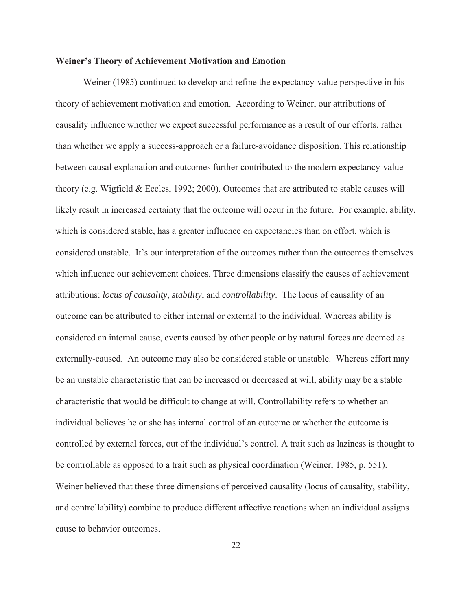#### **Weiner's Theory of Achievement Motivation and Emotion**

Weiner (1985) continued to develop and refine the expectancy-value perspective in his theory of achievement motivation and emotion. According to Weiner, our attributions of causality influence whether we expect successful performance as a result of our efforts, rather than whether we apply a success-approach or a failure-avoidance disposition. This relationship between causal explanation and outcomes further contributed to the modern expectancy-value theory (e.g. Wigfield & Eccles, 1992; 2000). Outcomes that are attributed to stable causes will likely result in increased certainty that the outcome will occur in the future. For example, ability, which is considered stable, has a greater influence on expectancies than on effort, which is considered unstable. It's our interpretation of the outcomes rather than the outcomes themselves which influence our achievement choices. Three dimensions classify the causes of achievement attributions: *locus of causality*, *stability*, and *controllability*. The locus of causality of an outcome can be attributed to either internal or external to the individual. Whereas ability is considered an internal cause, events caused by other people or by natural forces are deemed as externally-caused. An outcome may also be considered stable or unstable. Whereas effort may be an unstable characteristic that can be increased or decreased at will, ability may be a stable characteristic that would be difficult to change at will. Controllability refers to whether an individual believes he or she has internal control of an outcome or whether the outcome is controlled by external forces, out of the individual's control. A trait such as laziness is thought to be controllable as opposed to a trait such as physical coordination (Weiner, 1985, p. 551). Weiner believed that these three dimensions of perceived causality (locus of causality, stability, and controllability) combine to produce different affective reactions when an individual assigns cause to behavior outcomes.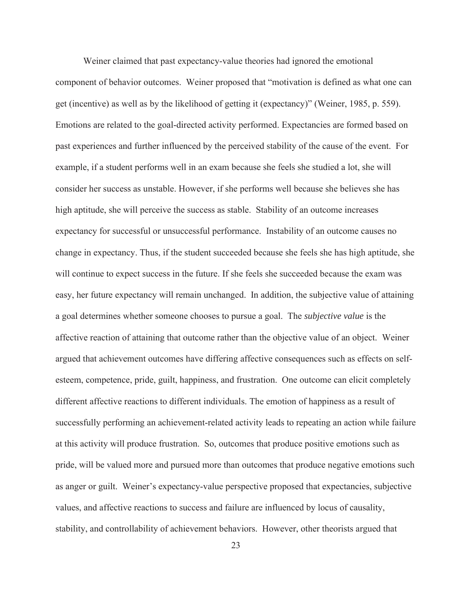Weiner claimed that past expectancy-value theories had ignored the emotional component of behavior outcomes. Weiner proposed that "motivation is defined as what one can get (incentive) as well as by the likelihood of getting it (expectancy)" (Weiner, 1985, p. 559). Emotions are related to the goal-directed activity performed. Expectancies are formed based on past experiences and further influenced by the perceived stability of the cause of the event. For example, if a student performs well in an exam because she feels she studied a lot, she will consider her success as unstable. However, if she performs well because she believes she has high aptitude, she will perceive the success as stable. Stability of an outcome increases expectancy for successful or unsuccessful performance. Instability of an outcome causes no change in expectancy. Thus, if the student succeeded because she feels she has high aptitude, she will continue to expect success in the future. If she feels she succeeded because the exam was easy, her future expectancy will remain unchanged. In addition, the subjective value of attaining a goal determines whether someone chooses to pursue a goal. The *subjective value* is the affective reaction of attaining that outcome rather than the objective value of an object. Weiner argued that achievement outcomes have differing affective consequences such as effects on selfesteem, competence, pride, guilt, happiness, and frustration. One outcome can elicit completely different affective reactions to different individuals. The emotion of happiness as a result of successfully performing an achievement-related activity leads to repeating an action while failure at this activity will produce frustration. So, outcomes that produce positive emotions such as pride, will be valued more and pursued more than outcomes that produce negative emotions such as anger or guilt. Weiner's expectancy-value perspective proposed that expectancies, subjective values, and affective reactions to success and failure are influenced by locus of causality, stability, and controllability of achievement behaviors. However, other theorists argued that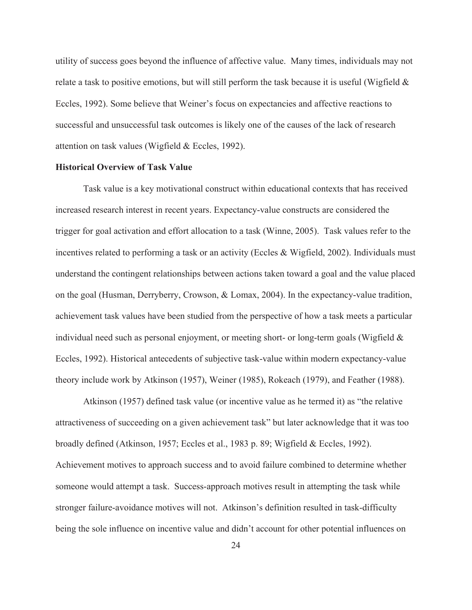utility of success goes beyond the influence of affective value. Many times, individuals may not relate a task to positive emotions, but will still perform the task because it is useful (Wigfield  $\&$ Eccles, 1992). Some believe that Weiner's focus on expectancies and affective reactions to successful and unsuccessful task outcomes is likely one of the causes of the lack of research attention on task values (Wigfield & Eccles, 1992).

## **Historical Overview of Task Value**

Task value is a key motivational construct within educational contexts that has received increased research interest in recent years. Expectancy-value constructs are considered the trigger for goal activation and effort allocation to a task (Winne, 2005). Task values refer to the incentives related to performing a task or an activity (Eccles & Wigfield, 2002). Individuals must understand the contingent relationships between actions taken toward a goal and the value placed on the goal (Husman, Derryberry, Crowson, & Lomax, 2004). In the expectancy-value tradition, achievement task values have been studied from the perspective of how a task meets a particular individual need such as personal enjoyment, or meeting short- or long-term goals (Wigfield  $\&$ Eccles, 1992). Historical antecedents of subjective task-value within modern expectancy-value theory include work by Atkinson (1957), Weiner (1985), Rokeach (1979), and Feather (1988).

Atkinson (1957) defined task value (or incentive value as he termed it) as "the relative attractiveness of succeeding on a given achievement task" but later acknowledge that it was too broadly defined (Atkinson, 1957; Eccles et al., 1983 p. 89; Wigfield & Eccles, 1992). Achievement motives to approach success and to avoid failure combined to determine whether someone would attempt a task. Success-approach motives result in attempting the task while stronger failure-avoidance motives will not. Atkinson's definition resulted in task-difficulty being the sole influence on incentive value and didn't account for other potential influences on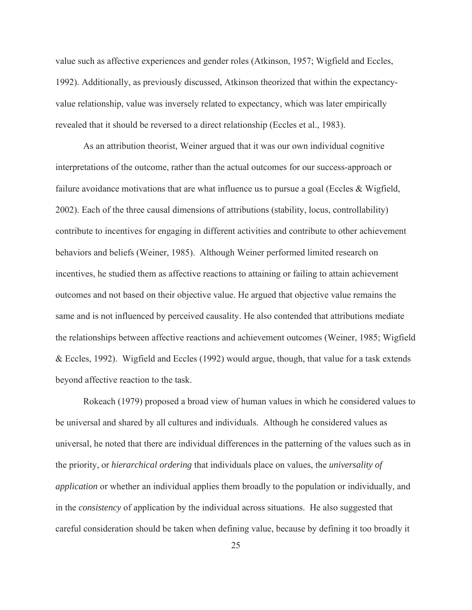value such as affective experiences and gender roles (Atkinson, 1957; Wigfield and Eccles, 1992). Additionally, as previously discussed, Atkinson theorized that within the expectancyvalue relationship, value was inversely related to expectancy, which was later empirically revealed that it should be reversed to a direct relationship (Eccles et al., 1983).

As an attribution theorist, Weiner argued that it was our own individual cognitive interpretations of the outcome, rather than the actual outcomes for our success-approach or failure avoidance motivations that are what influence us to pursue a goal (Eccles & Wigfield, 2002). Each of the three causal dimensions of attributions (stability, locus, controllability) contribute to incentives for engaging in different activities and contribute to other achievement behaviors and beliefs (Weiner, 1985). Although Weiner performed limited research on incentives, he studied them as affective reactions to attaining or failing to attain achievement outcomes and not based on their objective value. He argued that objective value remains the same and is not influenced by perceived causality. He also contended that attributions mediate the relationships between affective reactions and achievement outcomes (Weiner, 1985; Wigfield & Eccles, 1992). Wigfield and Eccles (1992) would argue, though, that value for a task extends beyond affective reaction to the task.

Rokeach (1979) proposed a broad view of human values in which he considered values to be universal and shared by all cultures and individuals. Although he considered values as universal, he noted that there are individual differences in the patterning of the values such as in the priority, or *hierarchical ordering* that individuals place on values, the *universality of application* or whether an individual applies them broadly to the population or individually, and in the *consistency* of application by the individual across situations. He also suggested that careful consideration should be taken when defining value, because by defining it too broadly it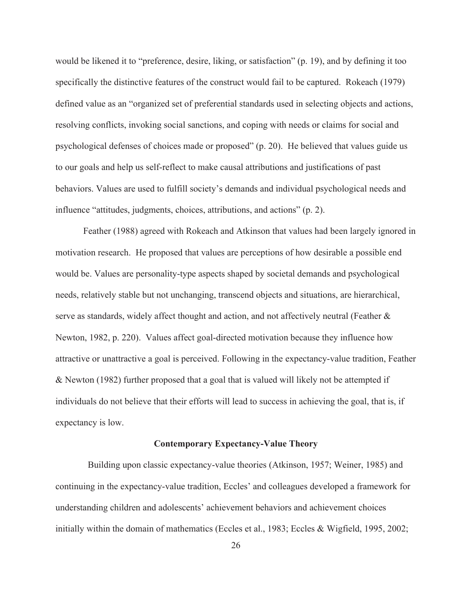would be likened it to "preference, desire, liking, or satisfaction" (p. 19), and by defining it too specifically the distinctive features of the construct would fail to be captured. Rokeach (1979) defined value as an "organized set of preferential standards used in selecting objects and actions, resolving conflicts, invoking social sanctions, and coping with needs or claims for social and psychological defenses of choices made or proposed" (p. 20). He believed that values guide us to our goals and help us self-reflect to make causal attributions and justifications of past behaviors. Values are used to fulfill society's demands and individual psychological needs and influence "attitudes, judgments, choices, attributions, and actions" (p. 2).

Feather (1988) agreed with Rokeach and Atkinson that values had been largely ignored in motivation research. He proposed that values are perceptions of how desirable a possible end would be. Values are personality-type aspects shaped by societal demands and psychological needs, relatively stable but not unchanging, transcend objects and situations, are hierarchical, serve as standards, widely affect thought and action, and not affectively neutral (Feather & Newton, 1982, p. 220). Values affect goal-directed motivation because they influence how attractive or unattractive a goal is perceived. Following in the expectancy-value tradition, Feather & Newton (1982) further proposed that a goal that is valued will likely not be attempted if individuals do not believe that their efforts will lead to success in achieving the goal, that is, if expectancy is low.

#### **Contemporary Expectancy-Value Theory**

 Building upon classic expectancy-value theories (Atkinson, 1957; Weiner, 1985) and continuing in the expectancy-value tradition, Eccles' and colleagues developed a framework for understanding children and adolescents' achievement behaviors and achievement choices initially within the domain of mathematics (Eccles et al., 1983; Eccles & Wigfield, 1995, 2002;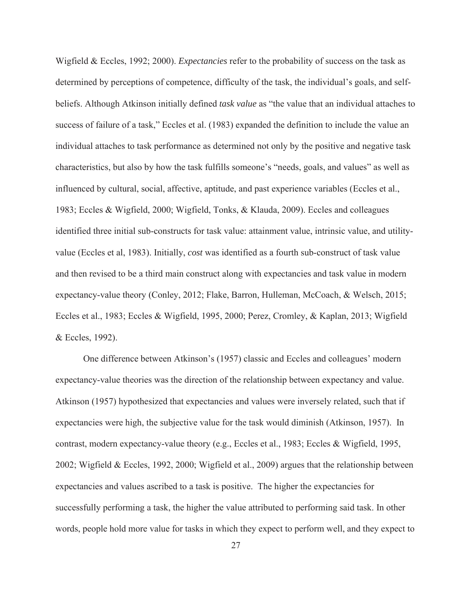Wigfield & Eccles, 1992; 2000). *Expectancies* refer to the probability of success on the task as determined by perceptions of competence, difficulty of the task, the individual's goals, and selfbeliefs. Although Atkinson initially defined *task value* as "the value that an individual attaches to success of failure of a task," Eccles et al. (1983) expanded the definition to include the value an individual attaches to task performance as determined not only by the positive and negative task characteristics, but also by how the task fulfills someone's "needs, goals, and values" as well as influenced by cultural, social, affective, aptitude, and past experience variables (Eccles et al., 1983; Eccles & Wigfield, 2000; Wigfield, Tonks, & Klauda, 2009). Eccles and colleagues identified three initial sub-constructs for task value: attainment value, intrinsic value, and utilityvalue (Eccles et al, 1983). Initially, *cost* was identified as a fourth sub-construct of task value and then revised to be a third main construct along with expectancies and task value in modern expectancy-value theory (Conley, 2012; Flake, Barron, Hulleman, McCoach, & Welsch, 2015; Eccles et al., 1983; Eccles & Wigfield, 1995, 2000; Perez, Cromley, & Kaplan, 2013; Wigfield & Eccles, 1992).

One difference between Atkinson's (1957) classic and Eccles and colleagues' modern expectancy-value theories was the direction of the relationship between expectancy and value. Atkinson (1957) hypothesized that expectancies and values were inversely related, such that if expectancies were high, the subjective value for the task would diminish (Atkinson, 1957). In contrast, modern expectancy-value theory (e.g., Eccles et al., 1983; Eccles & Wigfield, 1995, 2002; Wigfield & Eccles, 1992, 2000; Wigfield et al., 2009) argues that the relationship between expectancies and values ascribed to a task is positive. The higher the expectancies for successfully performing a task, the higher the value attributed to performing said task. In other words, people hold more value for tasks in which they expect to perform well, and they expect to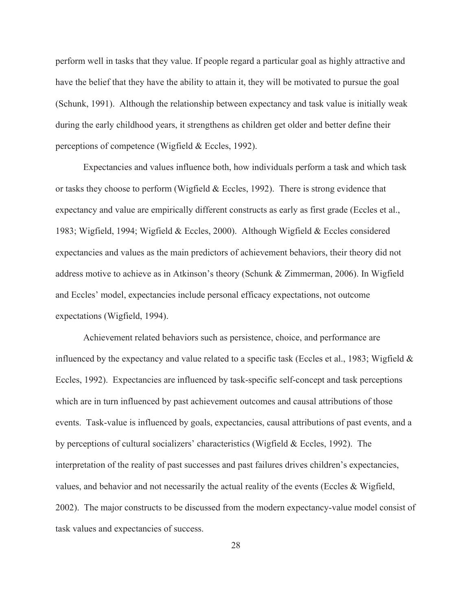perform well in tasks that they value. If people regard a particular goal as highly attractive and have the belief that they have the ability to attain it, they will be motivated to pursue the goal (Schunk, 1991). Although the relationship between expectancy and task value is initially weak during the early childhood years, it strengthens as children get older and better define their perceptions of competence (Wigfield & Eccles, 1992).

Expectancies and values influence both, how individuals perform a task and which task or tasks they choose to perform (Wigfield  $&$  Eccles, 1992). There is strong evidence that expectancy and value are empirically different constructs as early as first grade (Eccles et al., 1983; Wigfield, 1994; Wigfield & Eccles, 2000). Although Wigfield & Eccles considered expectancies and values as the main predictors of achievement behaviors, their theory did not address motive to achieve as in Atkinson's theory (Schunk & Zimmerman, 2006). In Wigfield and Eccles' model, expectancies include personal efficacy expectations, not outcome expectations (Wigfield, 1994).

Achievement related behaviors such as persistence, choice, and performance are influenced by the expectancy and value related to a specific task (Eccles et al., 1983; Wigfield & Eccles, 1992). Expectancies are influenced by task-specific self-concept and task perceptions which are in turn influenced by past achievement outcomes and causal attributions of those events. Task-value is influenced by goals, expectancies, causal attributions of past events, and a by perceptions of cultural socializers' characteristics (Wigfield & Eccles, 1992). The interpretation of the reality of past successes and past failures drives children's expectancies, values, and behavior and not necessarily the actual reality of the events (Eccles & Wigfield, 2002). The major constructs to be discussed from the modern expectancy-value model consist of task values and expectancies of success.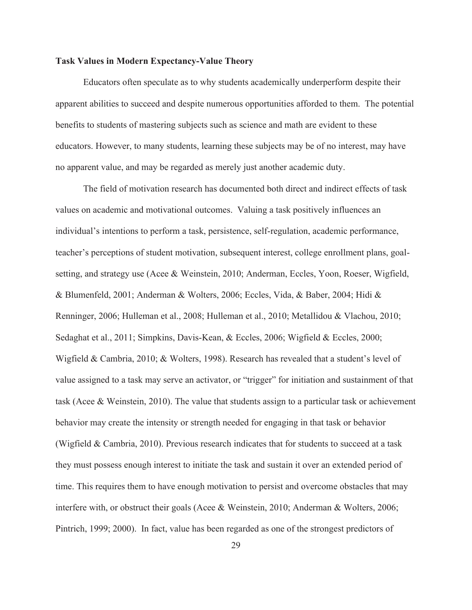# **Task Values in Modern Expectancy-Value Theory**

Educators often speculate as to why students academically underperform despite their apparent abilities to succeed and despite numerous opportunities afforded to them. The potential benefits to students of mastering subjects such as science and math are evident to these educators. However, to many students, learning these subjects may be of no interest, may have no apparent value, and may be regarded as merely just another academic duty.

The field of motivation research has documented both direct and indirect effects of task values on academic and motivational outcomes. Valuing a task positively influences an individual's intentions to perform a task, persistence, self-regulation, academic performance, teacher's perceptions of student motivation, subsequent interest, college enrollment plans, goalsetting, and strategy use (Acee & Weinstein, 2010; Anderman, Eccles, Yoon, Roeser, Wigfield, & Blumenfeld, 2001; Anderman & Wolters, 2006; Eccles, Vida, & Baber, 2004; Hidi & Renninger, 2006; Hulleman et al., 2008; Hulleman et al., 2010; Metallidou & Vlachou, 2010; Sedaghat et al., 2011; Simpkins, Davis-Kean, & Eccles, 2006; Wigfield & Eccles, 2000; Wigfield & Cambria, 2010; & Wolters, 1998). Research has revealed that a student's level of value assigned to a task may serve an activator, or "trigger" for initiation and sustainment of that task (Acee & Weinstein, 2010). The value that students assign to a particular task or achievement behavior may create the intensity or strength needed for engaging in that task or behavior (Wigfield & Cambria, 2010). Previous research indicates that for students to succeed at a task they must possess enough interest to initiate the task and sustain it over an extended period of time. This requires them to have enough motivation to persist and overcome obstacles that may interfere with, or obstruct their goals (Acee & Weinstein, 2010; Anderman & Wolters, 2006; Pintrich, 1999; 2000). In fact, value has been regarded as one of the strongest predictors of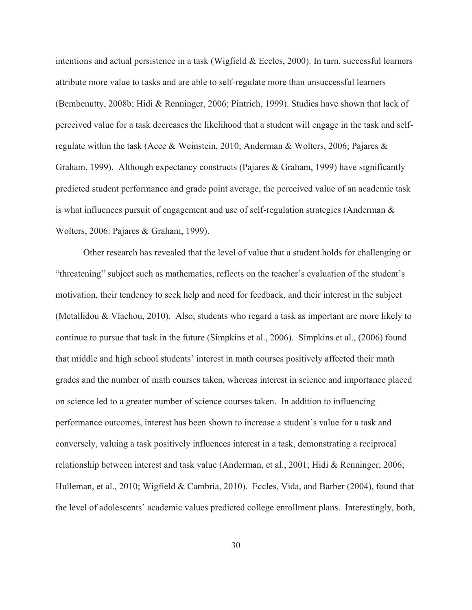intentions and actual persistence in a task (Wigfield & Eccles, 2000). In turn, successful learners attribute more value to tasks and are able to self-regulate more than unsuccessful learners (Bembenutty, 2008b; Hidi & Renninger, 2006; Pintrich, 1999). Studies have shown that lack of perceived value for a task decreases the likelihood that a student will engage in the task and selfregulate within the task (Acee & Weinstein, 2010; Anderman & Wolters, 2006; Pajares & Graham, 1999). Although expectancy constructs (Pajares & Graham, 1999) have significantly predicted student performance and grade point average, the perceived value of an academic task is what influences pursuit of engagement and use of self-regulation strategies (Anderman & Wolters, 2006: Pajares & Graham, 1999).

Other research has revealed that the level of value that a student holds for challenging or "threatening" subject such as mathematics, reflects on the teacher's evaluation of the student's motivation, their tendency to seek help and need for feedback, and their interest in the subject (Metallidou & Vlachou, 2010). Also, students who regard a task as important are more likely to continue to pursue that task in the future (Simpkins et al., 2006). Simpkins et al., (2006) found that middle and high school students' interest in math courses positively affected their math grades and the number of math courses taken, whereas interest in science and importance placed on science led to a greater number of science courses taken. In addition to influencing performance outcomes, interest has been shown to increase a student's value for a task and conversely, valuing a task positively influences interest in a task, demonstrating a reciprocal relationship between interest and task value (Anderman, et al., 2001; Hidi & Renninger, 2006; Hulleman, et al., 2010; Wigfield & Cambria, 2010). Eccles, Vida, and Barber (2004), found that the level of adolescents' academic values predicted college enrollment plans. Interestingly, both,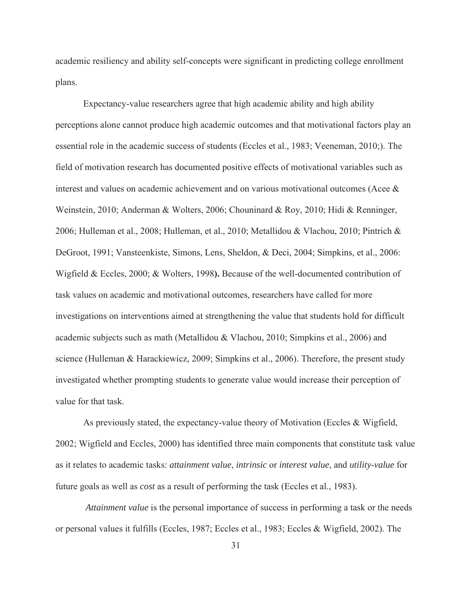academic resiliency and ability self-concepts were significant in predicting college enrollment plans.

Expectancy-value researchers agree that high academic ability and high ability perceptions alone cannot produce high academic outcomes and that motivational factors play an essential role in the academic success of students (Eccles et al., 1983; Veeneman, 2010;). The field of motivation research has documented positive effects of motivational variables such as interest and values on academic achievement and on various motivational outcomes (Acee & Weinstein, 2010; Anderman & Wolters, 2006; Chouninard & Roy, 2010; Hidi & Renninger, 2006; Hulleman et al., 2008; Hulleman, et al., 2010; Metallidou & Vlachou, 2010; Pintrich & DeGroot, 1991; Vansteenkiste, Simons, Lens, Sheldon, & Deci, 2004; Simpkins, et al., 2006: Wigfield & Eccles, 2000; & Wolters, 1998**).** Because of the well-documented contribution of task values on academic and motivational outcomes, researchers have called for more investigations on interventions aimed at strengthening the value that students hold for difficult academic subjects such as math (Metallidou & Vlachou, 2010; Simpkins et al., 2006) and science (Hulleman & Harackiewicz, 2009; Simpkins et al., 2006). Therefore, the present study investigated whether prompting students to generate value would increase their perception of value for that task.

As previously stated, the expectancy-value theory of Motivation (Eccles & Wigfield, 2002; Wigfield and Eccles, 2000) has identified three main components that constitute task value as it relates to academic tasks: *attainment value*, *intrinsic* or *interest value*, and *utility-value* for future goals as well as *cost* as a result of performing the task (Eccles et al., 1983).

 *Attainment value* is the personal importance of success in performing a task or the needs or personal values it fulfills (Eccles, 1987; Eccles et al., 1983; Eccles & Wigfield, 2002). The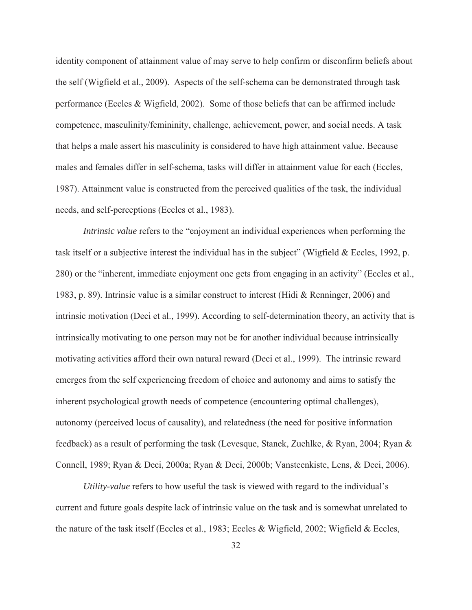identity component of attainment value of may serve to help confirm or disconfirm beliefs about the self (Wigfield et al., 2009). Aspects of the self-schema can be demonstrated through task performance (Eccles & Wigfield, 2002). Some of those beliefs that can be affirmed include competence, masculinity/femininity, challenge, achievement, power, and social needs. A task that helps a male assert his masculinity is considered to have high attainment value. Because males and females differ in self-schema, tasks will differ in attainment value for each (Eccles, 1987). Attainment value is constructed from the perceived qualities of the task, the individual needs, and self-perceptions (Eccles et al., 1983).

*Intrinsic value* refers to the "enjoyment an individual experiences when performing the task itself or a subjective interest the individual has in the subject" (Wigfield & Eccles, 1992, p. 280) or the "inherent, immediate enjoyment one gets from engaging in an activity" (Eccles et al., 1983, p. 89). Intrinsic value is a similar construct to interest (Hidi & Renninger, 2006) and intrinsic motivation (Deci et al., 1999). According to self-determination theory, an activity that is intrinsically motivating to one person may not be for another individual because intrinsically motivating activities afford their own natural reward (Deci et al., 1999). The intrinsic reward emerges from the self experiencing freedom of choice and autonomy and aims to satisfy the inherent psychological growth needs of competence (encountering optimal challenges), autonomy (perceived locus of causality), and relatedness (the need for positive information feedback) as a result of performing the task (Levesque, Stanek, Zuehlke, & Ryan, 2004; Ryan & Connell, 1989; Ryan & Deci, 2000a; Ryan & Deci, 2000b; Vansteenkiste, Lens, & Deci, 2006).

*Utility-value* refers to how useful the task is viewed with regard to the individual's current and future goals despite lack of intrinsic value on the task and is somewhat unrelated to the nature of the task itself (Eccles et al., 1983; Eccles & Wigfield, 2002; Wigfield & Eccles,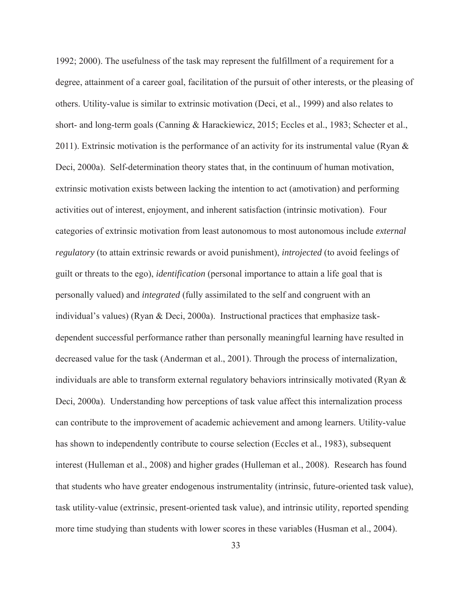1992; 2000). The usefulness of the task may represent the fulfillment of a requirement for a degree, attainment of a career goal, facilitation of the pursuit of other interests, or the pleasing of others. Utility-value is similar to extrinsic motivation (Deci, et al., 1999) and also relates to short- and long-term goals (Canning & Harackiewicz, 2015; Eccles et al., 1983; Schecter et al., 2011). Extrinsic motivation is the performance of an activity for its instrumental value (Ryan  $\&$ Deci, 2000a). Self-determination theory states that, in the continuum of human motivation, extrinsic motivation exists between lacking the intention to act (amotivation) and performing activities out of interest, enjoyment, and inherent satisfaction (intrinsic motivation). Four categories of extrinsic motivation from least autonomous to most autonomous include *external regulatory* (to attain extrinsic rewards or avoid punishment), *introjected* (to avoid feelings of guilt or threats to the ego), *identification* (personal importance to attain a life goal that is personally valued) and *integrated* (fully assimilated to the self and congruent with an individual's values) (Ryan & Deci, 2000a). Instructional practices that emphasize taskdependent successful performance rather than personally meaningful learning have resulted in decreased value for the task (Anderman et al., 2001). Through the process of internalization, individuals are able to transform external regulatory behaviors intrinsically motivated (Ryan & Deci, 2000a). Understanding how perceptions of task value affect this internalization process can contribute to the improvement of academic achievement and among learners. Utility-value has shown to independently contribute to course selection (Eccles et al., 1983), subsequent interest (Hulleman et al., 2008) and higher grades (Hulleman et al., 2008). Research has found that students who have greater endogenous instrumentality (intrinsic, future-oriented task value), task utility-value (extrinsic, present-oriented task value), and intrinsic utility, reported spending more time studying than students with lower scores in these variables (Husman et al., 2004).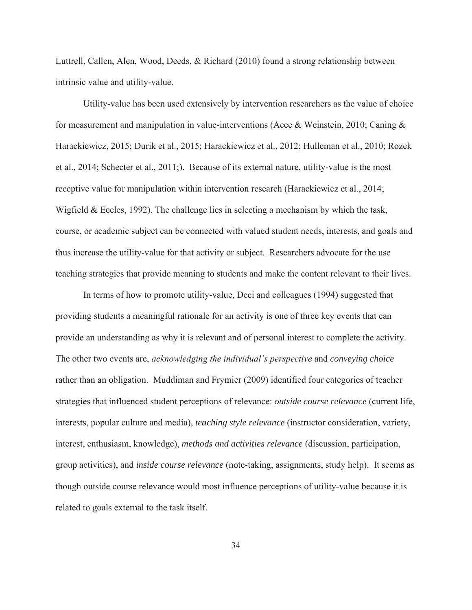Luttrell, Callen, Alen, Wood, Deeds, & Richard (2010) found a strong relationship between intrinsic value and utility-value.

Utility-value has been used extensively by intervention researchers as the value of choice for measurement and manipulation in value-interventions (Acee & Weinstein, 2010; Caning & Harackiewicz, 2015; Durik et al., 2015; Harackiewicz et al., 2012; Hulleman et al., 2010; Rozek et al., 2014; Schecter et al., 2011;). Because of its external nature, utility-value is the most receptive value for manipulation within intervention research (Harackiewicz et al., 2014; Wigfield & Eccles, 1992). The challenge lies in selecting a mechanism by which the task, course, or academic subject can be connected with valued student needs, interests, and goals and thus increase the utility-value for that activity or subject. Researchers advocate for the use teaching strategies that provide meaning to students and make the content relevant to their lives.

In terms of how to promote utility-value, Deci and colleagues (1994) suggested that providing students a meaningful rationale for an activity is one of three key events that can provide an understanding as why it is relevant and of personal interest to complete the activity. The other two events are, *acknowledging the individual's perspective* and *conveying choice* rather than an obligation. Muddiman and Frymier (2009) identified four categories of teacher strategies that influenced student perceptions of relevance: *outside course relevance* (current life, interests, popular culture and media), *teaching style relevance* (instructor consideration, variety, interest, enthusiasm, knowledge), *methods and activities relevance* (discussion, participation, group activities), and *inside course relevance* (note-taking, assignments, study help). It seems as though outside course relevance would most influence perceptions of utility-value because it is related to goals external to the task itself.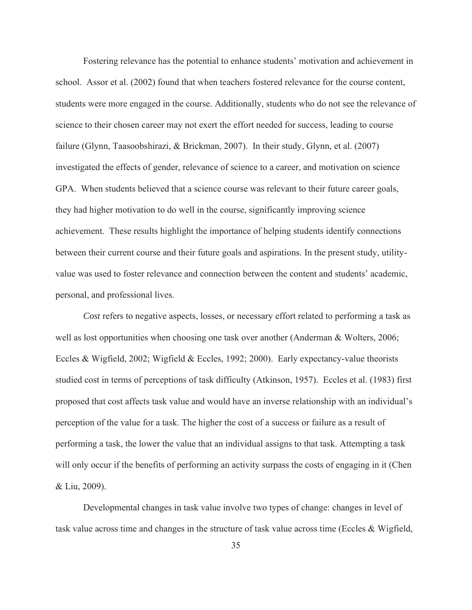Fostering relevance has the potential to enhance students' motivation and achievement in school. Assor et al. (2002) found that when teachers fostered relevance for the course content, students were more engaged in the course. Additionally, students who do not see the relevance of science to their chosen career may not exert the effort needed for success, leading to course failure (Glynn, Taasoobshirazi, & Brickman, 2007). In their study, Glynn, et al. (2007) investigated the effects of gender, relevance of science to a career, and motivation on science GPA. When students believed that a science course was relevant to their future career goals, they had higher motivation to do well in the course, significantly improving science achievement. These results highlight the importance of helping students identify connections between their current course and their future goals and aspirations. In the present study, utilityvalue was used to foster relevance and connection between the content and students' academic, personal, and professional lives.

*Cost* refers to negative aspects, losses, or necessary effort related to performing a task as well as lost opportunities when choosing one task over another (Anderman & Wolters, 2006; Eccles & Wigfield, 2002; Wigfield & Eccles, 1992; 2000). Early expectancy-value theorists studied cost in terms of perceptions of task difficulty (Atkinson, 1957). Eccles et al. (1983) first proposed that cost affects task value and would have an inverse relationship with an individual's perception of the value for a task. The higher the cost of a success or failure as a result of performing a task, the lower the value that an individual assigns to that task. Attempting a task will only occur if the benefits of performing an activity surpass the costs of engaging in it (Chen & Liu, 2009).

Developmental changes in task value involve two types of change: changes in level of task value across time and changes in the structure of task value across time (Eccles & Wigfield,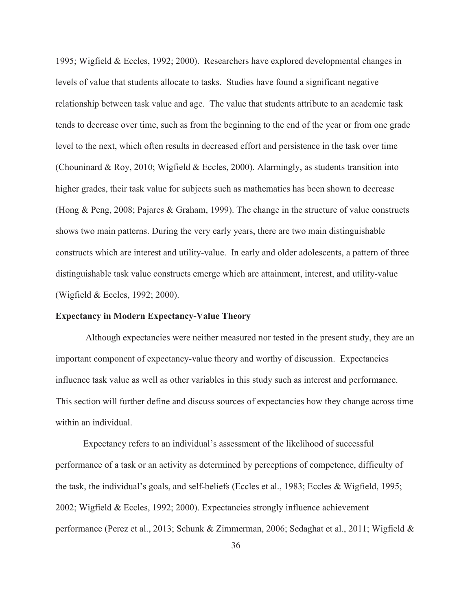1995; Wigfield & Eccles, 1992; 2000). Researchers have explored developmental changes in levels of value that students allocate to tasks. Studies have found a significant negative relationship between task value and age. The value that students attribute to an academic task tends to decrease over time, such as from the beginning to the end of the year or from one grade level to the next, which often results in decreased effort and persistence in the task over time (Chouninard & Roy, 2010; Wigfield & Eccles, 2000). Alarmingly, as students transition into higher grades, their task value for subjects such as mathematics has been shown to decrease (Hong & Peng, 2008; Pajares & Graham, 1999). The change in the structure of value constructs shows two main patterns. During the very early years, there are two main distinguishable constructs which are interest and utility-value. In early and older adolescents, a pattern of three distinguishable task value constructs emerge which are attainment, interest, and utility-value (Wigfield & Eccles, 1992; 2000).

# **Expectancy in Modern Expectancy-Value Theory**

Although expectancies were neither measured nor tested in the present study, they are an important component of expectancy-value theory and worthy of discussion. Expectancies influence task value as well as other variables in this study such as interest and performance. This section will further define and discuss sources of expectancies how they change across time within an individual.

Expectancy refers to an individual's assessment of the likelihood of successful performance of a task or an activity as determined by perceptions of competence, difficulty of the task, the individual's goals, and self-beliefs (Eccles et al., 1983; Eccles & Wigfield, 1995; 2002; Wigfield & Eccles, 1992; 2000). Expectancies strongly influence achievement performance (Perez et al., 2013; Schunk & Zimmerman, 2006; Sedaghat et al., 2011; Wigfield &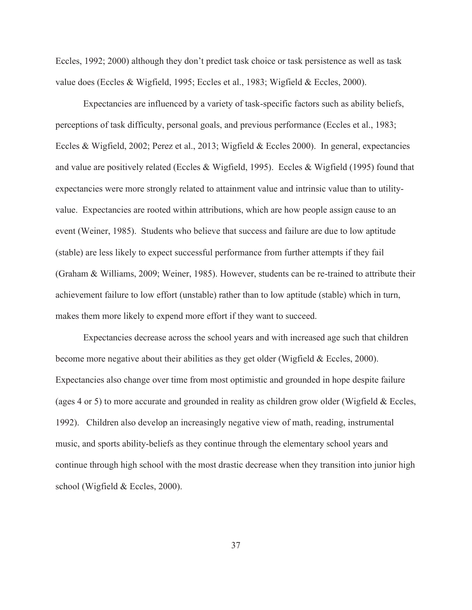Eccles, 1992; 2000) although they don't predict task choice or task persistence as well as task value does (Eccles & Wigfield, 1995; Eccles et al., 1983; Wigfield & Eccles, 2000).

Expectancies are influenced by a variety of task-specific factors such as ability beliefs, perceptions of task difficulty, personal goals, and previous performance (Eccles et al., 1983; Eccles & Wigfield, 2002; Perez et al., 2013; Wigfield & Eccles 2000). In general, expectancies and value are positively related (Eccles & Wigfield, 1995). Eccles & Wigfield (1995) found that expectancies were more strongly related to attainment value and intrinsic value than to utilityvalue. Expectancies are rooted within attributions, which are how people assign cause to an event (Weiner, 1985). Students who believe that success and failure are due to low aptitude (stable) are less likely to expect successful performance from further attempts if they fail (Graham & Williams, 2009; Weiner, 1985). However, students can be re-trained to attribute their achievement failure to low effort (unstable) rather than to low aptitude (stable) which in turn, makes them more likely to expend more effort if they want to succeed.

Expectancies decrease across the school years and with increased age such that children become more negative about their abilities as they get older (Wigfield & Eccles, 2000). Expectancies also change over time from most optimistic and grounded in hope despite failure (ages 4 or 5) to more accurate and grounded in reality as children grow older (Wigfield & Eccles, 1992). Children also develop an increasingly negative view of math, reading, instrumental music, and sports ability-beliefs as they continue through the elementary school years and continue through high school with the most drastic decrease when they transition into junior high school (Wigfield & Eccles, 2000).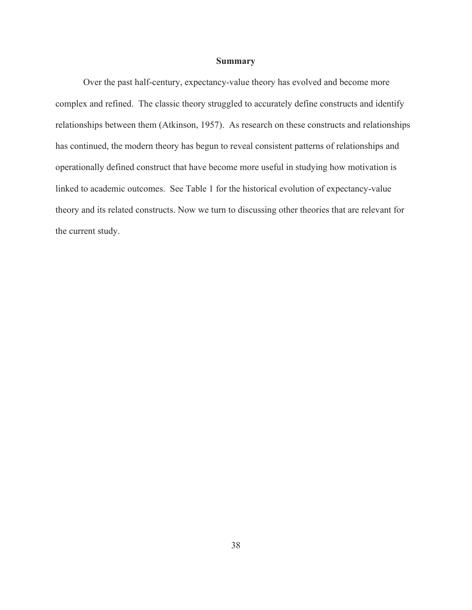### **Summary**

Over the past half-century, expectancy-value theory has evolved and become more complex and refined. The classic theory struggled to accurately define constructs and identify relationships between them (Atkinson, 1957). As research on these constructs and relationships has continued, the modern theory has begun to reveal consistent patterns of relationships and operationally defined construct that have become more useful in studying how motivation is linked to academic outcomes. See Table 1 for the historical evolution of expectancy-value theory and its related constructs. Now we turn to discussing other theories that are relevant for the current study.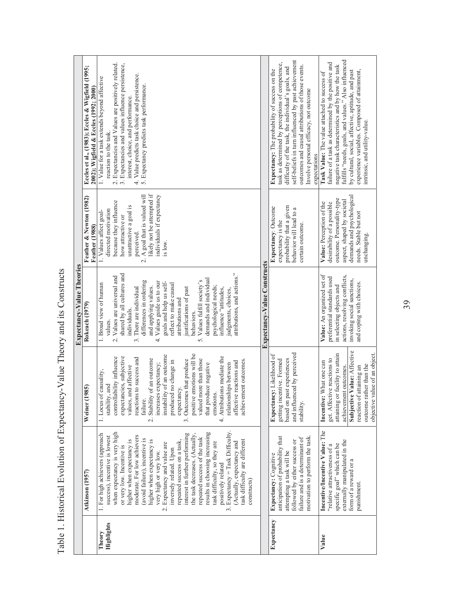Table 1. Historical Evolution of Expectancy-Value Theory and its Constructs Table 1. Historical Evolution of Expectancy-Value Theory and its Constructs

|                      |                                                                                                                                                                                                                                                                                                                                                                                                                                                                                                                                                                                                                                                                                        |                                                                                                                                                                                                                                                                                                                                                                                                                                                                                                                                                          | <b>Expectancy-Value Theories</b>                                                                                                                                                                                                                                                                                                                                                                                                                                                                                                                         |                                                                                                                                                                                                                                                                      |                                                                                                                                                                                                                                                                                                                                                          |
|----------------------|----------------------------------------------------------------------------------------------------------------------------------------------------------------------------------------------------------------------------------------------------------------------------------------------------------------------------------------------------------------------------------------------------------------------------------------------------------------------------------------------------------------------------------------------------------------------------------------------------------------------------------------------------------------------------------------|----------------------------------------------------------------------------------------------------------------------------------------------------------------------------------------------------------------------------------------------------------------------------------------------------------------------------------------------------------------------------------------------------------------------------------------------------------------------------------------------------------------------------------------------------------|----------------------------------------------------------------------------------------------------------------------------------------------------------------------------------------------------------------------------------------------------------------------------------------------------------------------------------------------------------------------------------------------------------------------------------------------------------------------------------------------------------------------------------------------------------|----------------------------------------------------------------------------------------------------------------------------------------------------------------------------------------------------------------------------------------------------------------------|----------------------------------------------------------------------------------------------------------------------------------------------------------------------------------------------------------------------------------------------------------------------------------------------------------------------------------------------------------|
|                      | Atkinson (1957)                                                                                                                                                                                                                                                                                                                                                                                                                                                                                                                                                                                                                                                                        | (1985)<br>Weiner                                                                                                                                                                                                                                                                                                                                                                                                                                                                                                                                         | Rokeach (1979)                                                                                                                                                                                                                                                                                                                                                                                                                                                                                                                                           | Feather & Newton (1982)<br>Feather (1988)                                                                                                                                                                                                                            | Eccles et al., (1983); Eccles & Wigfield (1995;<br>2002); Wigfield & Eccles (1992; 2000)                                                                                                                                                                                                                                                                 |
| Highlights<br>Theory | results in choosing increasing<br>3. Expectancy = Task Difficulty<br>when expectancy is very high<br>interest in further performing<br>1. For high achievers (approach<br>the task decreases. (Actually,<br>moderate. For low achievers<br>success), incentive is lowest<br>repeated success of the task<br>(avoid failure), incentive is<br>higher when expectancy is<br>higher when expectancy is<br>task difficulty are different<br>repeated success on a task,<br>(Actually, expectancy and<br>task difficulty, so they are<br>2. Expectancy and value are<br>or very low. Incentive is<br>inversely related. Upon<br>very high or very low.<br>positively related<br>constructs) | positive emotions will be<br>instability of an outcome<br>4. Attributions mediate the<br>expectancies, subjective<br>controllability influence<br>reactions to success and<br>Stability of an outcome<br>valued more than those<br>3. Outcomes that produce<br>ement outcomes.<br>produced no change in<br>affective reactions and<br>increases expectancy;<br>relationships between<br>that produce negative<br>values, and affective<br>of causality,<br>stability, and<br>expectancy.<br>emotions.<br>1. Locus<br>failure<br>achiev<br>$\overline{c}$ | attributions, and actions."<br>shared by all cultures and<br>Values are universal and<br>demands and individual<br>Values fulfill society's<br>differences in ordering<br>Values guide us to our<br>goals and help us self-<br>1. Broad view of human<br>reflect to make causal<br>psychological needs;<br>and applying values.<br>justifications of past<br>There are individual<br>influence "attitudes,<br>judgments, choices,<br>attributions and<br>individuals.<br>behaviors.<br>values<br>$\frac{1}{\sqrt{2}}$<br>s.<br>$\ddot{\mathrm{c}}$<br>ς. | likely not be attempted if<br>A goal that is valued will<br>individuals if expectancy<br>because they influence<br>unattractive a goal is<br>directed motivation<br>1. Values affect goal-<br>how attractive or<br>perceived.<br>is low.<br>$\overline{\mathcal{N}}$ | Expectancies and Values are positively related.<br>3. Expectancies and values influence persistence,<br>Value predicts task choice and persistence.<br>1. Value for a task extends beyond affective<br>5. Expectancy predicts task performance.<br>interest, choice, and performance.<br>reaction to the task<br>्<br>4<br>$\overline{\mathcal{C}}$      |
|                      |                                                                                                                                                                                                                                                                                                                                                                                                                                                                                                                                                                                                                                                                                        |                                                                                                                                                                                                                                                                                                                                                                                                                                                                                                                                                          | Expectancy-Value Constructs                                                                                                                                                                                                                                                                                                                                                                                                                                                                                                                              |                                                                                                                                                                                                                                                                      |                                                                                                                                                                                                                                                                                                                                                          |
| Expectancy           | motivation to perform the task.<br>anticipation of probability that<br>failure and is a determinant of<br>followed by either success or<br>attempting a task will be<br>Expectancy: Cognitive                                                                                                                                                                                                                                                                                                                                                                                                                                                                                          | and influenced by perceived<br>Expectancy: Likelihood of<br>based on past experiences<br>getting incentive. Formed<br>stability.                                                                                                                                                                                                                                                                                                                                                                                                                         |                                                                                                                                                                                                                                                                                                                                                                                                                                                                                                                                                          | probability that a given<br>Expectancy: Outcome<br>behavior will lead to a<br>expectancy is the<br>certain outcome.                                                                                                                                                  | self-beliefs in turn influenced by past achievement<br>task as determined by perceptions of competence,<br>outcomes and causal attributions of those events.<br>difficulty of the task, the individual's goals, and<br>Expectancy: The probability of success on the<br>Involve personal efficacy, not outcome<br>expectations                           |
| Value                | Incentive/Incentive Value: The<br>externally manipulated in the<br>specific goal" which can be<br>"relative attractiveness of a<br>form of a reward or a<br>punishment.                                                                                                                                                                                                                                                                                                                                                                                                                                                                                                                | Subjective Value: Affective<br>objective value of an object.<br>attaining or facility to attain<br>get. Affective reactions to<br>Incentive: What one can<br>outcome rather than the<br>achievement outcomes.<br>reaction of attaining an                                                                                                                                                                                                                                                                                                                | Value: An organized set of<br>actions, resolving conflicts,<br>preferential standards used<br>invoking social sanctions,<br>and coping with choices.<br>in selecting objects and                                                                                                                                                                                                                                                                                                                                                                         | demands and psychological<br>outcome. Personality-type<br>aspect, shaped by societal<br>Value: Perception of the<br>desirability of a possible<br>needs. Stable but not<br>unchanging.                                                                               | fulfills "needs, goals, and values." Also influenced<br>failure of a task as determined by the positive and<br>negative task characteristics and by how the task<br>experience variables. Composed of attainment,<br>by cultural, social, affective, aptitude, and past<br>Task Value: The value attached to success of<br>intrinsic, and utility-value. |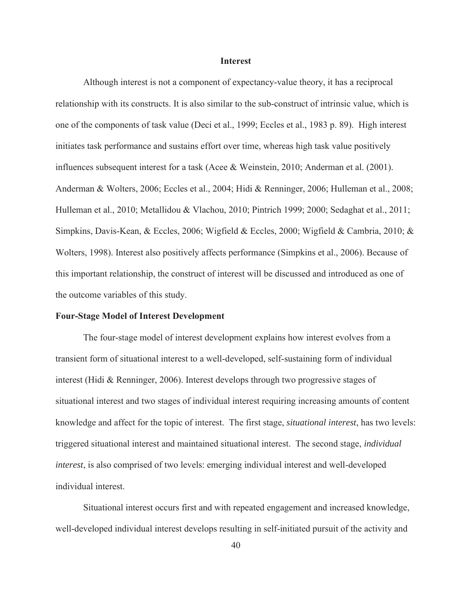### **Interest**

Although interest is not a component of expectancy-value theory, it has a reciprocal relationship with its constructs. It is also similar to the sub-construct of intrinsic value, which is one of the components of task value (Deci et al., 1999; Eccles et al., 1983 p. 89). High interest initiates task performance and sustains effort over time, whereas high task value positively influences subsequent interest for a task (Acee & Weinstein, 2010; Anderman et al. (2001). Anderman & Wolters, 2006; Eccles et al., 2004; Hidi & Renninger, 2006; Hulleman et al., 2008; Hulleman et al., 2010; Metallidou & Vlachou, 2010; Pintrich 1999; 2000; Sedaghat et al., 2011; Simpkins, Davis-Kean, & Eccles, 2006; Wigfield & Eccles, 2000; Wigfield & Cambria, 2010; & Wolters, 1998). Interest also positively affects performance (Simpkins et al., 2006). Because of this important relationship, the construct of interest will be discussed and introduced as one of the outcome variables of this study.

### **Four-Stage Model of Interest Development**

The four-stage model of interest development explains how interest evolves from a transient form of situational interest to a well-developed, self-sustaining form of individual interest (Hidi & Renninger, 2006). Interest develops through two progressive stages of situational interest and two stages of individual interest requiring increasing amounts of content knowledge and affect for the topic of interest. The first stage, *situational interest*, has two levels: triggered situational interest and maintained situational interest. The second stage, *individual interest*, is also comprised of two levels: emerging individual interest and well-developed individual interest.

Situational interest occurs first and with repeated engagement and increased knowledge, well-developed individual interest develops resulting in self-initiated pursuit of the activity and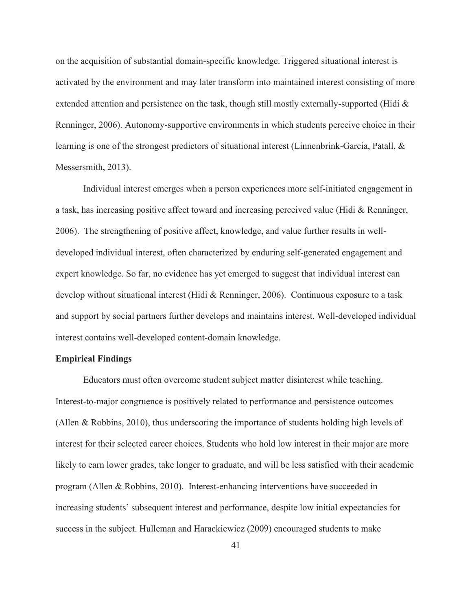on the acquisition of substantial domain-specific knowledge. Triggered situational interest is activated by the environment and may later transform into maintained interest consisting of more extended attention and persistence on the task, though still mostly externally-supported (Hidi  $\&$ Renninger, 2006). Autonomy-supportive environments in which students perceive choice in their learning is one of the strongest predictors of situational interest (Linnenbrink-Garcia, Patall, & Messersmith, 2013).

Individual interest emerges when a person experiences more self-initiated engagement in a task, has increasing positive affect toward and increasing perceived value (Hidi & Renninger, 2006). The strengthening of positive affect, knowledge, and value further results in welldeveloped individual interest, often characterized by enduring self-generated engagement and expert knowledge. So far, no evidence has yet emerged to suggest that individual interest can develop without situational interest (Hidi & Renninger, 2006). Continuous exposure to a task and support by social partners further develops and maintains interest. Well-developed individual interest contains well-developed content-domain knowledge.

### **Empirical Findings**

Educators must often overcome student subject matter disinterest while teaching. Interest-to-major congruence is positively related to performance and persistence outcomes (Allen & Robbins, 2010), thus underscoring the importance of students holding high levels of interest for their selected career choices. Students who hold low interest in their major are more likely to earn lower grades, take longer to graduate, and will be less satisfied with their academic program (Allen & Robbins, 2010). Interest-enhancing interventions have succeeded in increasing students' subsequent interest and performance, despite low initial expectancies for success in the subject. Hulleman and Harackiewicz (2009) encouraged students to make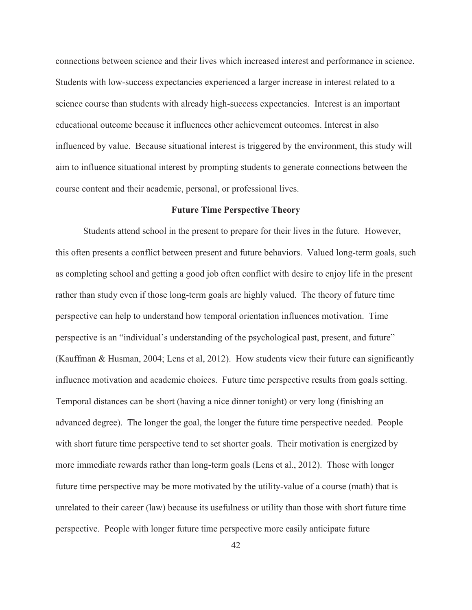connections between science and their lives which increased interest and performance in science. Students with low-success expectancies experienced a larger increase in interest related to a science course than students with already high-success expectancies. Interest is an important educational outcome because it influences other achievement outcomes. Interest in also influenced by value. Because situational interest is triggered by the environment, this study will aim to influence situational interest by prompting students to generate connections between the course content and their academic, personal, or professional lives.

### **Future Time Perspective Theory**

 Students attend school in the present to prepare for their lives in the future. However, this often presents a conflict between present and future behaviors. Valued long-term goals, such as completing school and getting a good job often conflict with desire to enjoy life in the present rather than study even if those long-term goals are highly valued. The theory of future time perspective can help to understand how temporal orientation influences motivation. Time perspective is an "individual's understanding of the psychological past, present, and future" (Kauffman & Husman, 2004; Lens et al, 2012). How students view their future can significantly influence motivation and academic choices. Future time perspective results from goals setting. Temporal distances can be short (having a nice dinner tonight) or very long (finishing an advanced degree). The longer the goal, the longer the future time perspective needed. People with short future time perspective tend to set shorter goals. Their motivation is energized by more immediate rewards rather than long-term goals (Lens et al., 2012). Those with longer future time perspective may be more motivated by the utility-value of a course (math) that is unrelated to their career (law) because its usefulness or utility than those with short future time perspective. People with longer future time perspective more easily anticipate future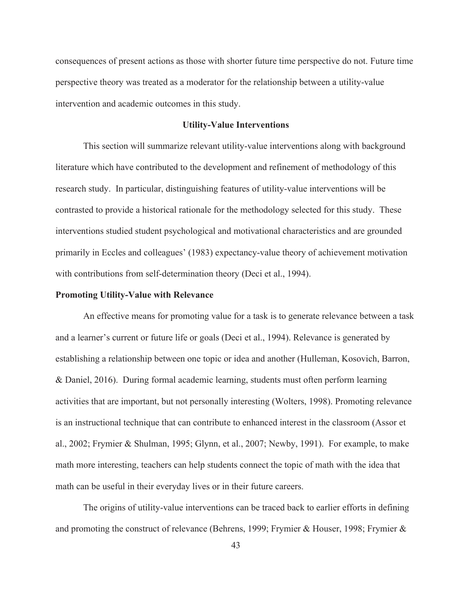consequences of present actions as those with shorter future time perspective do not. Future time perspective theory was treated as a moderator for the relationship between a utility-value intervention and academic outcomes in this study.

# **Utility-Value Interventions**

This section will summarize relevant utility-value interventions along with background literature which have contributed to the development and refinement of methodology of this research study. In particular, distinguishing features of utility-value interventions will be contrasted to provide a historical rationale for the methodology selected for this study. These interventions studied student psychological and motivational characteristics and are grounded primarily in Eccles and colleagues' (1983) expectancy-value theory of achievement motivation with contributions from self-determination theory (Deci et al., 1994).

## **Promoting Utility-Value with Relevance**

An effective means for promoting value for a task is to generate relevance between a task and a learner's current or future life or goals (Deci et al., 1994). Relevance is generated by establishing a relationship between one topic or idea and another (Hulleman, Kosovich, Barron, & Daniel, 2016). During formal academic learning, students must often perform learning activities that are important, but not personally interesting (Wolters, 1998). Promoting relevance is an instructional technique that can contribute to enhanced interest in the classroom (Assor et al., 2002; Frymier & Shulman, 1995; Glynn, et al., 2007; Newby, 1991). For example, to make math more interesting, teachers can help students connect the topic of math with the idea that math can be useful in their everyday lives or in their future careers.

The origins of utility-value interventions can be traced back to earlier efforts in defining and promoting the construct of relevance (Behrens, 1999; Frymier & Houser, 1998; Frymier &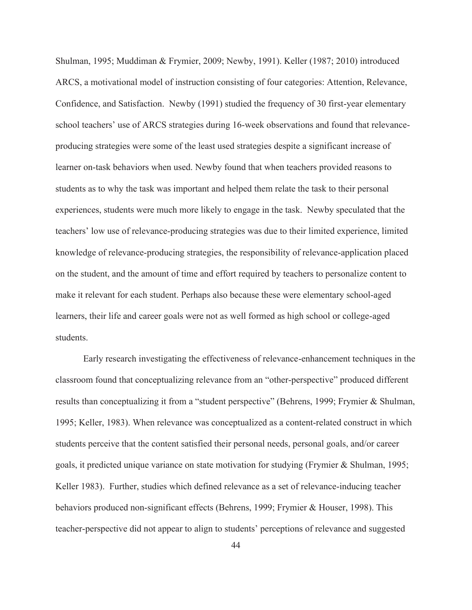Shulman, 1995; Muddiman & Frymier, 2009; Newby, 1991). Keller (1987; 2010) introduced ARCS, a motivational model of instruction consisting of four categories: Attention, Relevance, Confidence, and Satisfaction. Newby (1991) studied the frequency of 30 first-year elementary school teachers' use of ARCS strategies during 16-week observations and found that relevanceproducing strategies were some of the least used strategies despite a significant increase of learner on-task behaviors when used. Newby found that when teachers provided reasons to students as to why the task was important and helped them relate the task to their personal experiences, students were much more likely to engage in the task. Newby speculated that the teachers' low use of relevance-producing strategies was due to their limited experience, limited knowledge of relevance-producing strategies, the responsibility of relevance-application placed on the student, and the amount of time and effort required by teachers to personalize content to make it relevant for each student. Perhaps also because these were elementary school-aged learners, their life and career goals were not as well formed as high school or college-aged students.

Early research investigating the effectiveness of relevance-enhancement techniques in the classroom found that conceptualizing relevance from an "other-perspective" produced different results than conceptualizing it from a "student perspective" (Behrens, 1999; Frymier & Shulman, 1995; Keller, 1983). When relevance was conceptualized as a content-related construct in which students perceive that the content satisfied their personal needs, personal goals, and/or career goals, it predicted unique variance on state motivation for studying (Frymier & Shulman, 1995; Keller 1983). Further, studies which defined relevance as a set of relevance-inducing teacher behaviors produced non-significant effects (Behrens, 1999; Frymier & Houser, 1998). This teacher-perspective did not appear to align to students' perceptions of relevance and suggested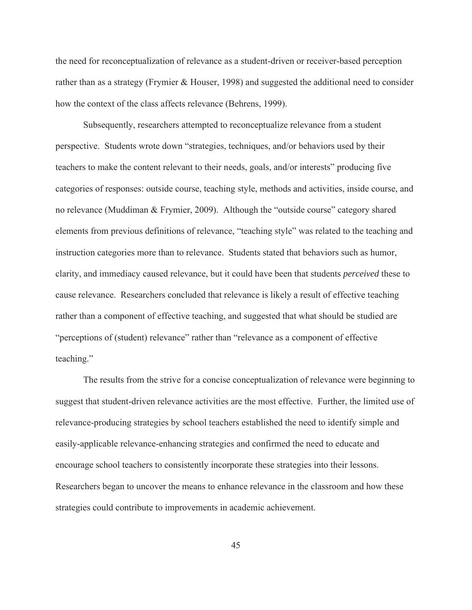the need for reconceptualization of relevance as a student-driven or receiver-based perception rather than as a strategy (Frymier & Houser, 1998) and suggested the additional need to consider how the context of the class affects relevance (Behrens, 1999).

Subsequently, researchers attempted to reconceptualize relevance from a student perspective. Students wrote down "strategies, techniques, and/or behaviors used by their teachers to make the content relevant to their needs, goals, and/or interests" producing five categories of responses: outside course, teaching style, methods and activities, inside course, and no relevance (Muddiman & Frymier, 2009). Although the "outside course" category shared elements from previous definitions of relevance, "teaching style" was related to the teaching and instruction categories more than to relevance. Students stated that behaviors such as humor, clarity, and immediacy caused relevance, but it could have been that students *perceived* these to cause relevance. Researchers concluded that relevance is likely a result of effective teaching rather than a component of effective teaching, and suggested that what should be studied are "perceptions of (student) relevance" rather than "relevance as a component of effective teaching."

The results from the strive for a concise conceptualization of relevance were beginning to suggest that student-driven relevance activities are the most effective. Further, the limited use of relevance-producing strategies by school teachers established the need to identify simple and easily-applicable relevance-enhancing strategies and confirmed the need to educate and encourage school teachers to consistently incorporate these strategies into their lessons. Researchers began to uncover the means to enhance relevance in the classroom and how these strategies could contribute to improvements in academic achievement.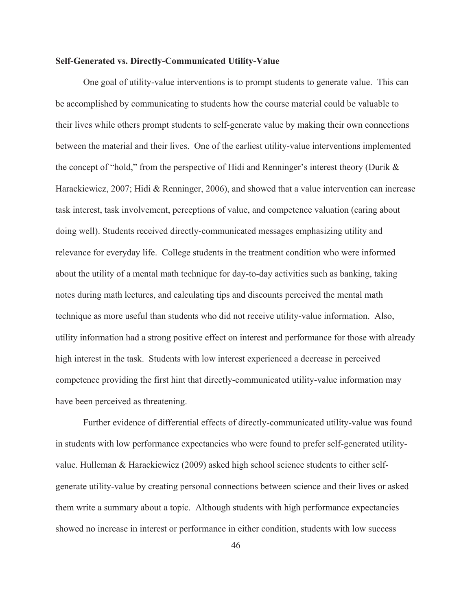## **Self-Generated vs. Directly-Communicated Utility-Value**

 One goal of utility-value interventions is to prompt students to generate value. This can be accomplished by communicating to students how the course material could be valuable to their lives while others prompt students to self-generate value by making their own connections between the material and their lives. One of the earliest utility-value interventions implemented the concept of "hold," from the perspective of Hidi and Renninger's interest theory (Durik & Harackiewicz, 2007; Hidi & Renninger, 2006), and showed that a value intervention can increase task interest, task involvement, perceptions of value, and competence valuation (caring about doing well). Students received directly-communicated messages emphasizing utility and relevance for everyday life. College students in the treatment condition who were informed about the utility of a mental math technique for day-to-day activities such as banking, taking notes during math lectures, and calculating tips and discounts perceived the mental math technique as more useful than students who did not receive utility-value information. Also, utility information had a strong positive effect on interest and performance for those with already high interest in the task. Students with low interest experienced a decrease in perceived competence providing the first hint that directly-communicated utility-value information may have been perceived as threatening.

Further evidence of differential effects of directly-communicated utility-value was found in students with low performance expectancies who were found to prefer self-generated utilityvalue. Hulleman & Harackiewicz (2009) asked high school science students to either selfgenerate utility-value by creating personal connections between science and their lives or asked them write a summary about a topic. Although students with high performance expectancies showed no increase in interest or performance in either condition, students with low success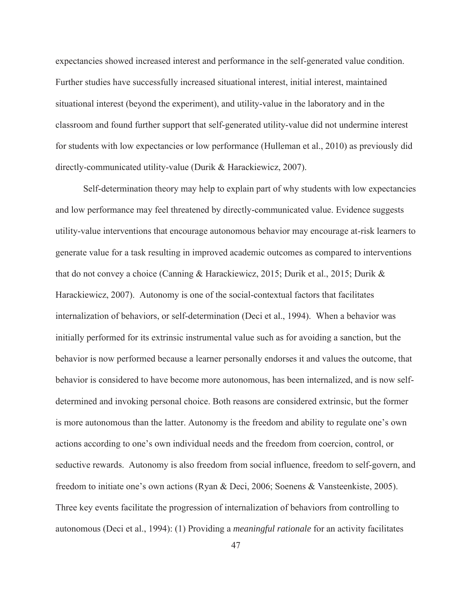expectancies showed increased interest and performance in the self-generated value condition. Further studies have successfully increased situational interest, initial interest, maintained situational interest (beyond the experiment), and utility-value in the laboratory and in the classroom and found further support that self-generated utility-value did not undermine interest for students with low expectancies or low performance (Hulleman et al., 2010) as previously did directly-communicated utility-value (Durik & Harackiewicz, 2007).

Self-determination theory may help to explain part of why students with low expectancies and low performance may feel threatened by directly-communicated value. Evidence suggests utility-value interventions that encourage autonomous behavior may encourage at-risk learners to generate value for a task resulting in improved academic outcomes as compared to interventions that do not convey a choice (Canning & Harackiewicz, 2015; Durik et al., 2015; Durik & Harackiewicz, 2007). Autonomy is one of the social-contextual factors that facilitates internalization of behaviors, or self-determination (Deci et al., 1994). When a behavior was initially performed for its extrinsic instrumental value such as for avoiding a sanction, but the behavior is now performed because a learner personally endorses it and values the outcome, that behavior is considered to have become more autonomous, has been internalized, and is now selfdetermined and invoking personal choice. Both reasons are considered extrinsic, but the former is more autonomous than the latter. Autonomy is the freedom and ability to regulate one's own actions according to one's own individual needs and the freedom from coercion, control, or seductive rewards. Autonomy is also freedom from social influence, freedom to self-govern, and freedom to initiate one's own actions (Ryan & Deci, 2006; Soenens & Vansteenkiste, 2005). Three key events facilitate the progression of internalization of behaviors from controlling to autonomous (Deci et al., 1994): (1) Providing a *meaningful rationale* for an activity facilitates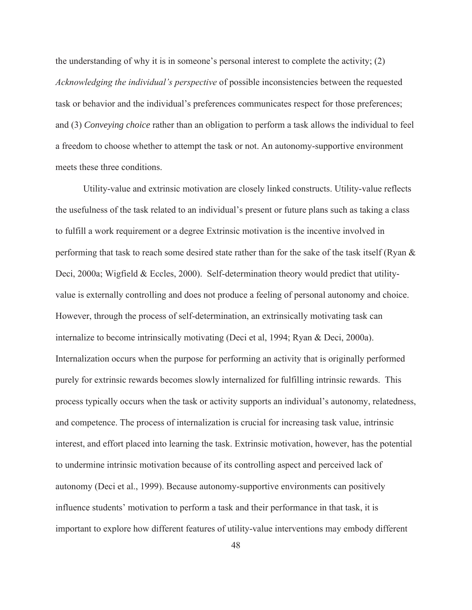the understanding of why it is in someone's personal interest to complete the activity; (2) *Acknowledging the individual's perspective* of possible inconsistencies between the requested task or behavior and the individual's preferences communicates respect for those preferences; and (3) *Conveying choice* rather than an obligation to perform a task allows the individual to feel a freedom to choose whether to attempt the task or not. An autonomy-supportive environment meets these three conditions.

Utility-value and extrinsic motivation are closely linked constructs. Utility-value reflects the usefulness of the task related to an individual's present or future plans such as taking a class to fulfill a work requirement or a degree Extrinsic motivation is the incentive involved in performing that task to reach some desired state rather than for the sake of the task itself (Ryan & Deci, 2000a; Wigfield & Eccles, 2000). Self-determination theory would predict that utilityvalue is externally controlling and does not produce a feeling of personal autonomy and choice. However, through the process of self-determination, an extrinsically motivating task can internalize to become intrinsically motivating (Deci et al, 1994; Ryan & Deci, 2000a). Internalization occurs when the purpose for performing an activity that is originally performed purely for extrinsic rewards becomes slowly internalized for fulfilling intrinsic rewards. This process typically occurs when the task or activity supports an individual's autonomy, relatedness, and competence. The process of internalization is crucial for increasing task value, intrinsic interest, and effort placed into learning the task. Extrinsic motivation, however, has the potential to undermine intrinsic motivation because of its controlling aspect and perceived lack of autonomy (Deci et al., 1999). Because autonomy-supportive environments can positively influence students' motivation to perform a task and their performance in that task, it is important to explore how different features of utility-value interventions may embody different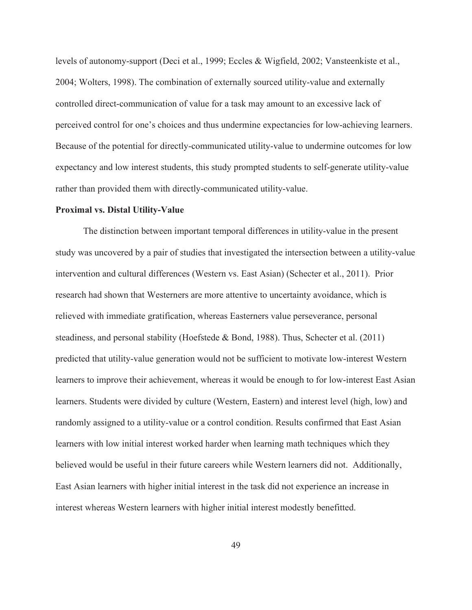levels of autonomy-support (Deci et al., 1999; Eccles & Wigfield, 2002; Vansteenkiste et al., 2004; Wolters, 1998). The combination of externally sourced utility-value and externally controlled direct-communication of value for a task may amount to an excessive lack of perceived control for one's choices and thus undermine expectancies for low-achieving learners. Because of the potential for directly-communicated utility-value to undermine outcomes for low expectancy and low interest students, this study prompted students to self-generate utility-value rather than provided them with directly-communicated utility-value.

#### **Proximal vs. Distal Utility-Value**

The distinction between important temporal differences in utility-value in the present study was uncovered by a pair of studies that investigated the intersection between a utility-value intervention and cultural differences (Western vs. East Asian) (Schecter et al., 2011). Prior research had shown that Westerners are more attentive to uncertainty avoidance, which is relieved with immediate gratification, whereas Easterners value perseverance, personal steadiness, and personal stability (Hoefstede & Bond, 1988). Thus, Schecter et al. (2011) predicted that utility-value generation would not be sufficient to motivate low-interest Western learners to improve their achievement, whereas it would be enough to for low-interest East Asian learners. Students were divided by culture (Western, Eastern) and interest level (high, low) and randomly assigned to a utility-value or a control condition. Results confirmed that East Asian learners with low initial interest worked harder when learning math techniques which they believed would be useful in their future careers while Western learners did not. Additionally, East Asian learners with higher initial interest in the task did not experience an increase in interest whereas Western learners with higher initial interest modestly benefitted.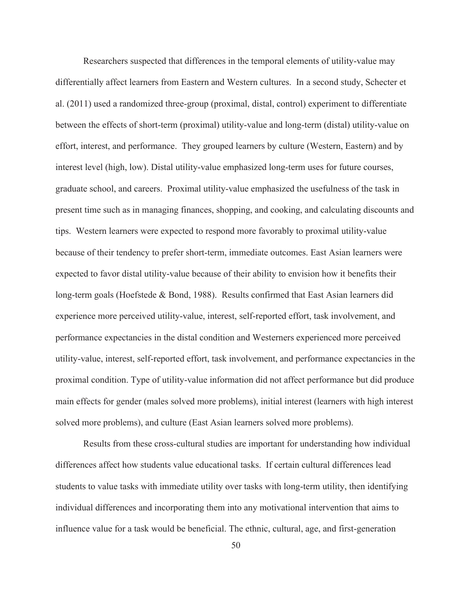Researchers suspected that differences in the temporal elements of utility-value may differentially affect learners from Eastern and Western cultures. In a second study, Schecter et al. (2011) used a randomized three-group (proximal, distal, control) experiment to differentiate between the effects of short-term (proximal) utility-value and long-term (distal) utility-value on effort, interest, and performance. They grouped learners by culture (Western, Eastern) and by interest level (high, low). Distal utility-value emphasized long-term uses for future courses, graduate school, and careers. Proximal utility-value emphasized the usefulness of the task in present time such as in managing finances, shopping, and cooking, and calculating discounts and tips. Western learners were expected to respond more favorably to proximal utility-value because of their tendency to prefer short-term, immediate outcomes. East Asian learners were expected to favor distal utility-value because of their ability to envision how it benefits their long-term goals (Hoefstede & Bond, 1988). Results confirmed that East Asian learners did experience more perceived utility-value, interest, self-reported effort, task involvement, and performance expectancies in the distal condition and Westerners experienced more perceived utility-value, interest, self-reported effort, task involvement, and performance expectancies in the proximal condition. Type of utility-value information did not affect performance but did produce main effects for gender (males solved more problems), initial interest (learners with high interest solved more problems), and culture (East Asian learners solved more problems).

Results from these cross-cultural studies are important for understanding how individual differences affect how students value educational tasks. If certain cultural differences lead students to value tasks with immediate utility over tasks with long-term utility, then identifying individual differences and incorporating them into any motivational intervention that aims to influence value for a task would be beneficial. The ethnic, cultural, age, and first-generation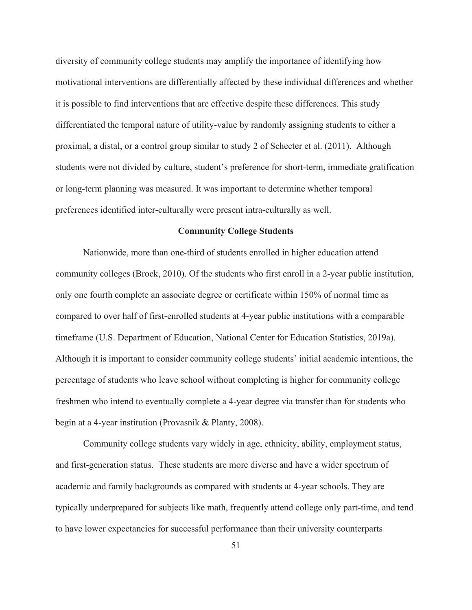diversity of community college students may amplify the importance of identifying how motivational interventions are differentially affected by these individual differences and whether it is possible to find interventions that are effective despite these differences. This study differentiated the temporal nature of utility-value by randomly assigning students to either a proximal, a distal, or a control group similar to study 2 of Schecter et al. (2011). Although students were not divided by culture, student's preference for short-term, immediate gratification or long-term planning was measured. It was important to determine whether temporal preferences identified inter-culturally were present intra-culturally as well.

# **Community College Students**

Nationwide, more than one-third of students enrolled in higher education attend community colleges (Brock, 2010). Of the students who first enroll in a 2-year public institution, only one fourth complete an associate degree or certificate within 150% of normal time as compared to over half of first-enrolled students at 4-year public institutions with a comparable timeframe (U.S. Department of Education, National Center for Education Statistics, 2019a). Although it is important to consider community college students' initial academic intentions, the percentage of students who leave school without completing is higher for community college freshmen who intend to eventually complete a 4-year degree via transfer than for students who begin at a 4-year institution (Provasnik & Planty, 2008).

Community college students vary widely in age, ethnicity, ability, employment status, and first-generation status. These students are more diverse and have a wider spectrum of academic and family backgrounds as compared with students at 4-year schools. They are typically underprepared for subjects like math, frequently attend college only part-time, and tend to have lower expectancies for successful performance than their university counterparts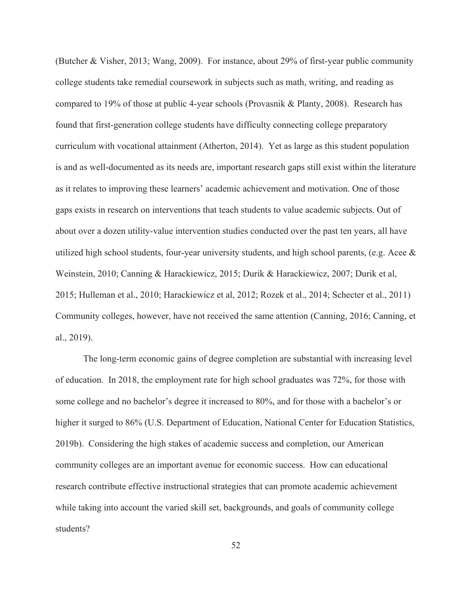(Butcher & Visher, 2013; Wang, 2009). For instance, about 29% of first-year public community college students take remedial coursework in subjects such as math, writing, and reading as compared to 19% of those at public 4-year schools (Provasnik & Planty, 2008). Research has found that first-generation college students have difficulty connecting college preparatory curriculum with vocational attainment (Atherton, 2014). Yet as large as this student population is and as well-documented as its needs are, important research gaps still exist within the literature as it relates to improving these learners' academic achievement and motivation. One of those gaps exists in research on interventions that teach students to value academic subjects. Out of about over a dozen utility-value intervention studies conducted over the past ten years, all have utilized high school students, four-year university students, and high school parents, (e.g. Acee & Weinstein, 2010; Canning & Harackiewicz, 2015; Durik & Harackiewicz, 2007; Durik et al, 2015; Hulleman et al., 2010; Harackiewicz et al, 2012; Rozek et al., 2014; Schecter et al., 2011) Community colleges, however, have not received the same attention (Canning, 2016; Canning, et al., 2019).

The long-term economic gains of degree completion are substantial with increasing level of education. In 2018, the employment rate for high school graduates was 72%, for those with some college and no bachelor's degree it increased to 80%, and for those with a bachelor's or higher it surged to 86% (U.S. Department of Education, National Center for Education Statistics, 2019b). Considering the high stakes of academic success and completion, our American community colleges are an important avenue for economic success. How can educational research contribute effective instructional strategies that can promote academic achievement while taking into account the varied skill set, backgrounds, and goals of community college students?

52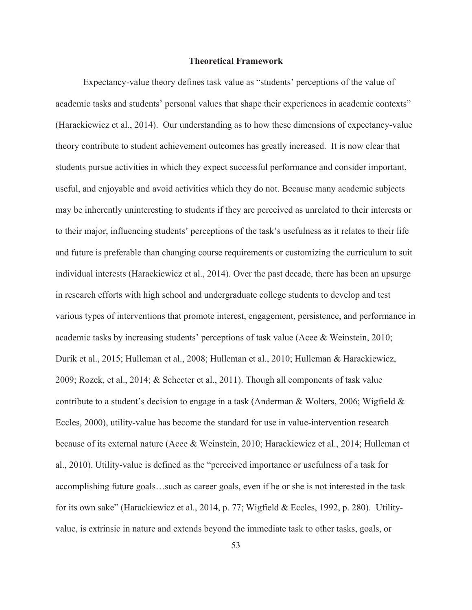## **Theoretical Framework**

Expectancy-value theory defines task value as "students' perceptions of the value of academic tasks and students' personal values that shape their experiences in academic contexts" (Harackiewicz et al., 2014). Our understanding as to how these dimensions of expectancy-value theory contribute to student achievement outcomes has greatly increased. It is now clear that students pursue activities in which they expect successful performance and consider important, useful, and enjoyable and avoid activities which they do not. Because many academic subjects may be inherently uninteresting to students if they are perceived as unrelated to their interests or to their major, influencing students' perceptions of the task's usefulness as it relates to their life and future is preferable than changing course requirements or customizing the curriculum to suit individual interests (Harackiewicz et al., 2014). Over the past decade, there has been an upsurge in research efforts with high school and undergraduate college students to develop and test various types of interventions that promote interest, engagement, persistence, and performance in academic tasks by increasing students' perceptions of task value (Acee & Weinstein, 2010; Durik et al., 2015; Hulleman et al., 2008; Hulleman et al., 2010; Hulleman & Harackiewicz, 2009; Rozek, et al., 2014; & Schecter et al., 2011). Though all components of task value contribute to a student's decision to engage in a task (Anderman & Wolters, 2006; Wigfield & Eccles, 2000), utility-value has become the standard for use in value-intervention research because of its external nature (Acee & Weinstein, 2010; Harackiewicz et al., 2014; Hulleman et al., 2010). Utility-value is defined as the "perceived importance or usefulness of a task for accomplishing future goals…such as career goals, even if he or she is not interested in the task for its own sake" (Harackiewicz et al., 2014, p. 77; Wigfield & Eccles, 1992, p. 280). Utilityvalue, is extrinsic in nature and extends beyond the immediate task to other tasks, goals, or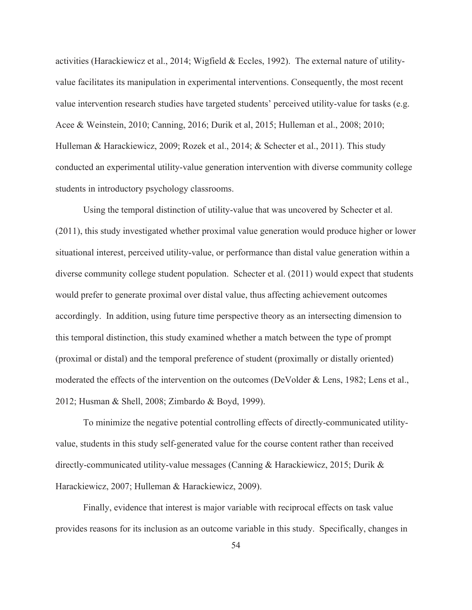activities (Harackiewicz et al., 2014; Wigfield & Eccles, 1992). The external nature of utilityvalue facilitates its manipulation in experimental interventions. Consequently, the most recent value intervention research studies have targeted students' perceived utility-value for tasks (e.g. Acee & Weinstein, 2010; Canning, 2016; Durik et al, 2015; Hulleman et al., 2008; 2010; Hulleman & Harackiewicz, 2009; Rozek et al., 2014; & Schecter et al., 2011). This study conducted an experimental utility-value generation intervention with diverse community college students in introductory psychology classrooms.

Using the temporal distinction of utility-value that was uncovered by Schecter et al. (2011), this study investigated whether proximal value generation would produce higher or lower situational interest, perceived utility-value, or performance than distal value generation within a diverse community college student population. Schecter et al. (2011) would expect that students would prefer to generate proximal over distal value, thus affecting achievement outcomes accordingly. In addition, using future time perspective theory as an intersecting dimension to this temporal distinction, this study examined whether a match between the type of prompt (proximal or distal) and the temporal preference of student (proximally or distally oriented) moderated the effects of the intervention on the outcomes (DeVolder & Lens, 1982; Lens et al., 2012; Husman & Shell, 2008; Zimbardo & Boyd, 1999).

To minimize the negative potential controlling effects of directly-communicated utilityvalue, students in this study self-generated value for the course content rather than received directly-communicated utility-value messages (Canning & Harackiewicz, 2015; Durik & Harackiewicz, 2007; Hulleman & Harackiewicz, 2009).

Finally, evidence that interest is major variable with reciprocal effects on task value provides reasons for its inclusion as an outcome variable in this study. Specifically, changes in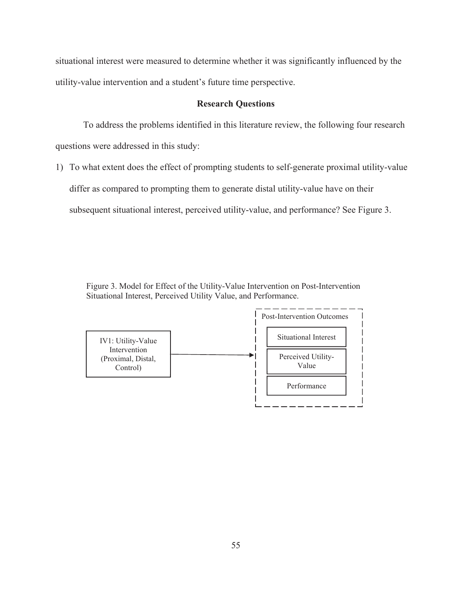situational interest were measured to determine whether it was significantly influenced by the utility-value intervention and a student's future time perspective.

## **Research Questions**

To address the problems identified in this literature review, the following four research questions were addressed in this study:

1) To what extent does the effect of prompting students to self-generate proximal utility-value differ as compared to prompting them to generate distal utility-value have on their subsequent situational interest, perceived utility-value, and performance? See Figure 3.

Figure 3. Model for Effect of the Utility-Value Intervention on Post-Intervention Situational Interest, Perceived Utility Value, and Performance.

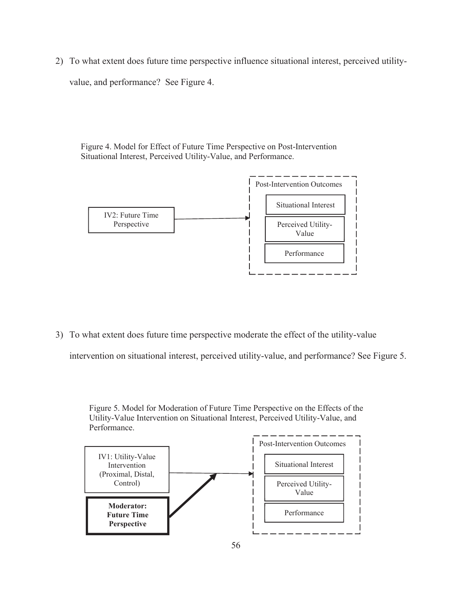2) To what extent does future time perspective influence situational interest, perceived utilityvalue, and performance? See Figure 4.

Figure 4. Model for Effect of Future Time Perspective on Post-Intervention Situational Interest, Perceived Utility-Value, and Performance.



3) To what extent does future time perspective moderate the effect of the utility-value

intervention on situational interest, perceived utility-value, and performance? See Figure 5.

Figure 5. Model for Moderation of Future Time Perspective on the Effects of the Utility-Value Intervention on Situational Interest, Perceived Utility-Value, and Performance.

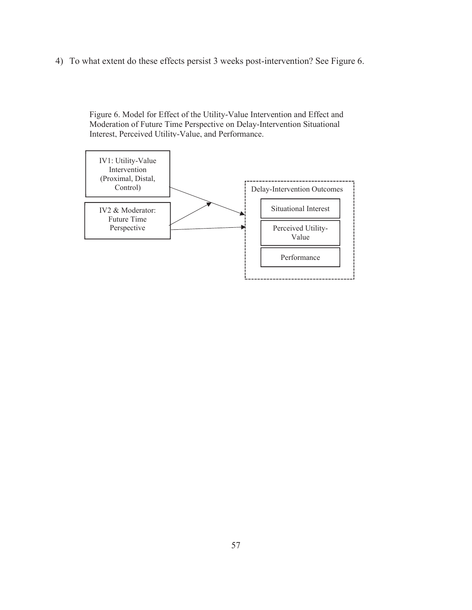4) To what extent do these effects persist 3 weeks post-intervention? See Figure 6.

Figure 6. Model for Effect of the Utility-Value Intervention and Effect and Moderation of Future Time Perspective on Delay-Intervention Situational Interest, Perceived Utility-Value, and Performance.

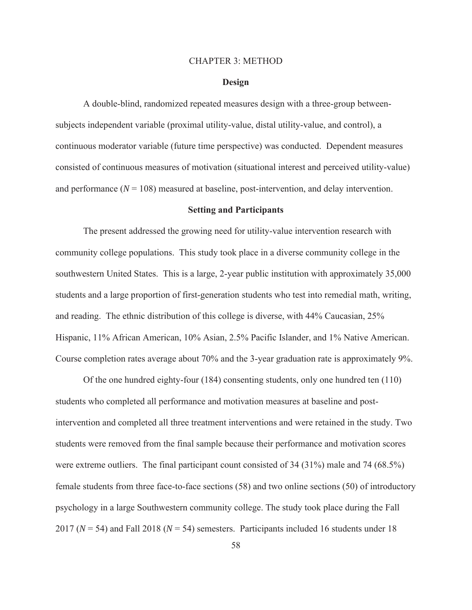### CHAPTER 3: METHOD

### **Design**

A double-blind, randomized repeated measures design with a three-group betweensubjects independent variable (proximal utility-value, distal utility-value, and control), a continuous moderator variable (future time perspective) was conducted. Dependent measures consisted of continuous measures of motivation (situational interest and perceived utility-value) and performance  $(N = 108)$  measured at baseline, post-intervention, and delay intervention.

### **Setting and Participants**

The present addressed the growing need for utility-value intervention research with community college populations. This study took place in a diverse community college in the southwestern United States. This is a large, 2-year public institution with approximately 35,000 students and a large proportion of first-generation students who test into remedial math, writing, and reading. The ethnic distribution of this college is diverse, with 44% Caucasian, 25% Hispanic, 11% African American, 10% Asian, 2.5% Pacific Islander, and 1% Native American. Course completion rates average about 70% and the 3-year graduation rate is approximately 9%.

Of the one hundred eighty-four (184) consenting students, only one hundred ten (110) students who completed all performance and motivation measures at baseline and postintervention and completed all three treatment interventions and were retained in the study. Two students were removed from the final sample because their performance and motivation scores were extreme outliers. The final participant count consisted of 34 (31%) male and 74 (68.5%) female students from three face-to-face sections (58) and two online sections (50) of introductory psychology in a large Southwestern community college. The study took place during the Fall 2017 ( $N = 54$ ) and Fall 2018 ( $N = 54$ ) semesters. Participants included 16 students under 18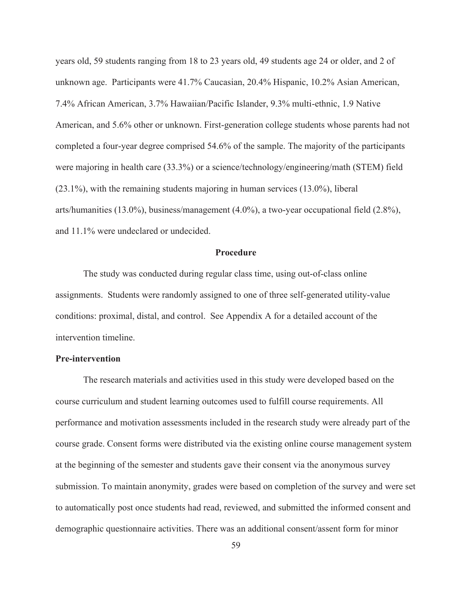years old, 59 students ranging from 18 to 23 years old, 49 students age 24 or older, and 2 of unknown age. Participants were 41.7% Caucasian, 20.4% Hispanic, 10.2% Asian American, 7.4% African American, 3.7% Hawaiian/Pacific Islander, 9.3% multi-ethnic, 1.9 Native American, and 5.6% other or unknown. First-generation college students whose parents had not completed a four-year degree comprised 54.6% of the sample. The majority of the participants were majoring in health care (33.3%) or a science/technology/engineering/math (STEM) field (23.1%), with the remaining students majoring in human services (13.0%), liberal arts/humanities (13.0%), business/management (4.0%), a two-year occupational field (2.8%), and 11.1% were undeclared or undecided.

#### **Procedure**

The study was conducted during regular class time, using out-of-class online assignments. Students were randomly assigned to one of three self-generated utility-value conditions: proximal, distal, and control. See Appendix A for a detailed account of the intervention timeline.

### **Pre-intervention**

The research materials and activities used in this study were developed based on the course curriculum and student learning outcomes used to fulfill course requirements. All performance and motivation assessments included in the research study were already part of the course grade. Consent forms were distributed via the existing online course management system at the beginning of the semester and students gave their consent via the anonymous survey submission. To maintain anonymity, grades were based on completion of the survey and were set to automatically post once students had read, reviewed, and submitted the informed consent and demographic questionnaire activities. There was an additional consent/assent form for minor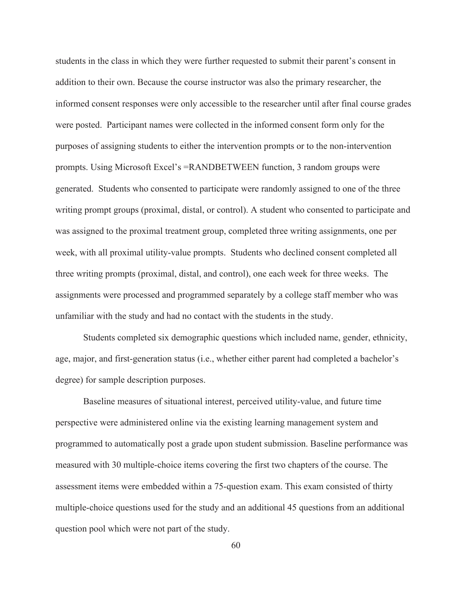students in the class in which they were further requested to submit their parent's consent in addition to their own. Because the course instructor was also the primary researcher, the informed consent responses were only accessible to the researcher until after final course grades were posted. Participant names were collected in the informed consent form only for the purposes of assigning students to either the intervention prompts or to the non-intervention prompts. Using Microsoft Excel's =RANDBETWEEN function, 3 random groups were generated. Students who consented to participate were randomly assigned to one of the three writing prompt groups (proximal, distal, or control). A student who consented to participate and was assigned to the proximal treatment group, completed three writing assignments, one per week, with all proximal utility-value prompts. Students who declined consent completed all three writing prompts (proximal, distal, and control), one each week for three weeks. The assignments were processed and programmed separately by a college staff member who was unfamiliar with the study and had no contact with the students in the study.

Students completed six demographic questions which included name, gender, ethnicity, age, major, and first-generation status (i.e., whether either parent had completed a bachelor's degree) for sample description purposes.

Baseline measures of situational interest, perceived utility-value, and future time perspective were administered online via the existing learning management system and programmed to automatically post a grade upon student submission. Baseline performance was measured with 30 multiple-choice items covering the first two chapters of the course. The assessment items were embedded within a 75-question exam. This exam consisted of thirty multiple-choice questions used for the study and an additional 45 questions from an additional question pool which were not part of the study.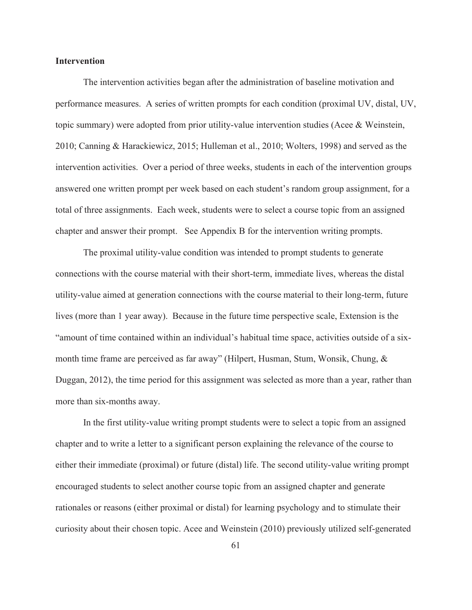## **Intervention**

The intervention activities began after the administration of baseline motivation and performance measures. A series of written prompts for each condition (proximal UV, distal, UV, topic summary) were adopted from prior utility-value intervention studies (Acee & Weinstein, 2010; Canning & Harackiewicz, 2015; Hulleman et al., 2010; Wolters, 1998) and served as the intervention activities. Over a period of three weeks, students in each of the intervention groups answered one written prompt per week based on each student's random group assignment, for a total of three assignments. Each week, students were to select a course topic from an assigned chapter and answer their prompt. See Appendix B for the intervention writing prompts.

The proximal utility-value condition was intended to prompt students to generate connections with the course material with their short-term, immediate lives, whereas the distal utility-value aimed at generation connections with the course material to their long-term, future lives (more than 1 year away). Because in the future time perspective scale, Extension is the "amount of time contained within an individual's habitual time space, activities outside of a sixmonth time frame are perceived as far away" (Hilpert, Husman, Stum, Wonsik, Chung, & Duggan, 2012), the time period for this assignment was selected as more than a year, rather than more than six-months away.

In the first utility-value writing prompt students were to select a topic from an assigned chapter and to write a letter to a significant person explaining the relevance of the course to either their immediate (proximal) or future (distal) life. The second utility-value writing prompt encouraged students to select another course topic from an assigned chapter and generate rationales or reasons (either proximal or distal) for learning psychology and to stimulate their curiosity about their chosen topic. Acee and Weinstein (2010) previously utilized self-generated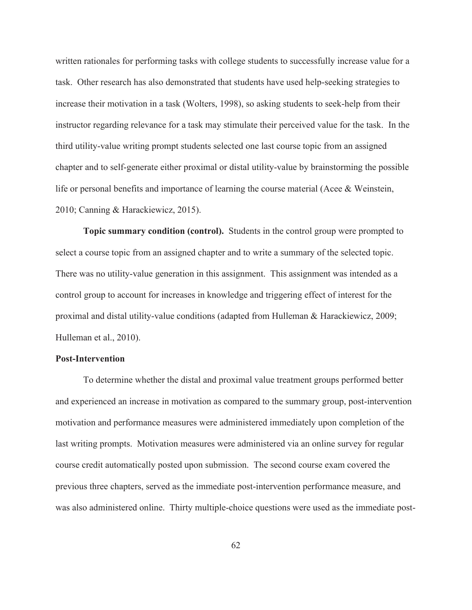written rationales for performing tasks with college students to successfully increase value for a task. Other research has also demonstrated that students have used help-seeking strategies to increase their motivation in a task (Wolters, 1998), so asking students to seek-help from their instructor regarding relevance for a task may stimulate their perceived value for the task. In the third utility-value writing prompt students selected one last course topic from an assigned chapter and to self-generate either proximal or distal utility-value by brainstorming the possible life or personal benefits and importance of learning the course material (Acee & Weinstein, 2010; Canning & Harackiewicz, 2015).

**Topic summary condition (control).** Students in the control group were prompted to select a course topic from an assigned chapter and to write a summary of the selected topic. There was no utility-value generation in this assignment. This assignment was intended as a control group to account for increases in knowledge and triggering effect of interest for the proximal and distal utility-value conditions (adapted from Hulleman & Harackiewicz, 2009; Hulleman et al., 2010).

### **Post-Intervention**

To determine whether the distal and proximal value treatment groups performed better and experienced an increase in motivation as compared to the summary group, post-intervention motivation and performance measures were administered immediately upon completion of the last writing prompts. Motivation measures were administered via an online survey for regular course credit automatically posted upon submission. The second course exam covered the previous three chapters, served as the immediate post-intervention performance measure, and was also administered online. Thirty multiple-choice questions were used as the immediate post-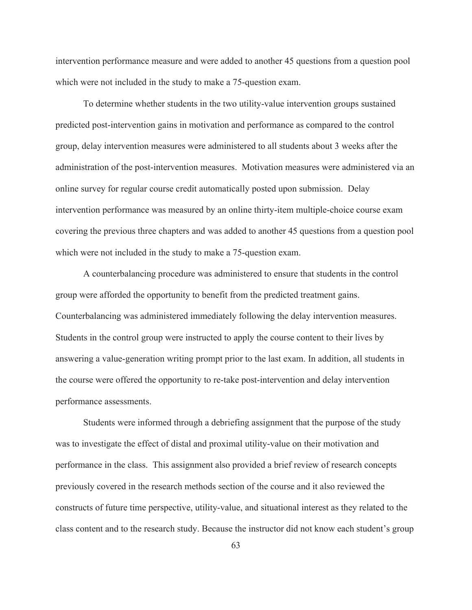intervention performance measure and were added to another 45 questions from a question pool which were not included in the study to make a 75-question exam.

To determine whether students in the two utility-value intervention groups sustained predicted post-intervention gains in motivation and performance as compared to the control group, delay intervention measures were administered to all students about 3 weeks after the administration of the post-intervention measures. Motivation measures were administered via an online survey for regular course credit automatically posted upon submission. Delay intervention performance was measured by an online thirty-item multiple-choice course exam covering the previous three chapters and was added to another 45 questions from a question pool which were not included in the study to make a 75-question exam.

 A counterbalancing procedure was administered to ensure that students in the control group were afforded the opportunity to benefit from the predicted treatment gains. Counterbalancing was administered immediately following the delay intervention measures. Students in the control group were instructed to apply the course content to their lives by answering a value-generation writing prompt prior to the last exam. In addition, all students in the course were offered the opportunity to re-take post-intervention and delay intervention performance assessments.

Students were informed through a debriefing assignment that the purpose of the study was to investigate the effect of distal and proximal utility-value on their motivation and performance in the class. This assignment also provided a brief review of research concepts previously covered in the research methods section of the course and it also reviewed the constructs of future time perspective, utility-value, and situational interest as they related to the class content and to the research study. Because the instructor did not know each student's group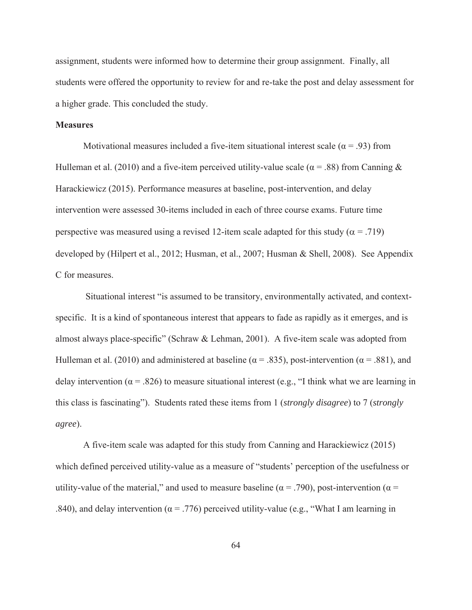assignment, students were informed how to determine their group assignment. Finally, all students were offered the opportunity to review for and re-take the post and delay assessment for a higher grade. This concluded the study.

# **Measures**

Motivational measures included a five-item situational interest scale ( $\alpha = .93$ ) from Hulleman et al. (2010) and a five-item perceived utility-value scale ( $\alpha$  = .88) from Canning & Harackiewicz (2015). Performance measures at baseline, post-intervention, and delay intervention were assessed 30-items included in each of three course exams. Future time perspective was measured using a revised 12-item scale adapted for this study ( $\alpha$  = .719) developed by (Hilpert et al., 2012; Husman, et al., 2007; Husman & Shell, 2008). See Appendix C for measures.

 Situational interest "is assumed to be transitory, environmentally activated, and contextspecific. It is a kind of spontaneous interest that appears to fade as rapidly as it emerges, and is almost always place-specific" (Schraw & Lehman, 2001). A five-item scale was adopted from Hulleman et al. (2010) and administered at baseline ( $\alpha$  = .835), post-intervention ( $\alpha$  = .881), and delay intervention ( $\alpha$  = .826) to measure situational interest (e.g., "I think what we are learning in this class is fascinating"). Students rated these items from 1 (*strongly disagree*) to 7 (*strongly agree*).

A five-item scale was adapted for this study from Canning and Harackiewicz (2015) which defined perceived utility-value as a measure of "students' perception of the usefulness or utility-value of the material," and used to measure baseline ( $\alpha = .790$ ), post-intervention ( $\alpha =$ .840), and delay intervention ( $\alpha$  = .776) perceived utility-value (e.g., "What I am learning in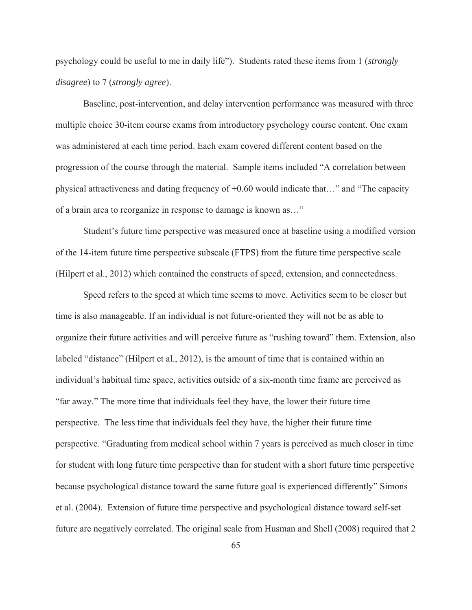psychology could be useful to me in daily life"). Students rated these items from 1 (*strongly disagree*) to 7 (*strongly agree*).

Baseline, post-intervention, and delay intervention performance was measured with three multiple choice 30-item course exams from introductory psychology course content. One exam was administered at each time period. Each exam covered different content based on the progression of the course through the material. Sample items included "A correlation between physical attractiveness and dating frequency of +0.60 would indicate that…" and "The capacity of a brain area to reorganize in response to damage is known as…"

Student's future time perspective was measured once at baseline using a modified version of the 14-item future time perspective subscale (FTPS) from the future time perspective scale (Hilpert et al., 2012) which contained the constructs of speed, extension, and connectedness.

Speed refers to the speed at which time seems to move. Activities seem to be closer but time is also manageable. If an individual is not future-oriented they will not be as able to organize their future activities and will perceive future as "rushing toward" them. Extension, also labeled "distance" (Hilpert et al., 2012), is the amount of time that is contained within an individual's habitual time space, activities outside of a six-month time frame are perceived as "far away." The more time that individuals feel they have, the lower their future time perspective. The less time that individuals feel they have, the higher their future time perspective. "Graduating from medical school within 7 years is perceived as much closer in time for student with long future time perspective than for student with a short future time perspective because psychological distance toward the same future goal is experienced differently" Simons et al. (2004). Extension of future time perspective and psychological distance toward self-set future are negatively correlated. The original scale from Husman and Shell (2008) required that 2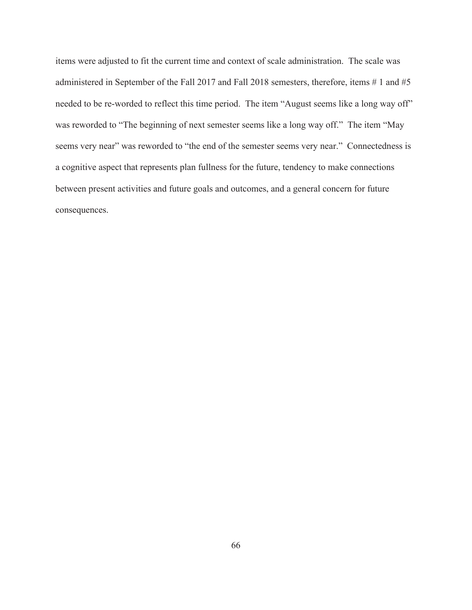items were adjusted to fit the current time and context of scale administration. The scale was administered in September of the Fall 2017 and Fall 2018 semesters, therefore, items # 1 and #5 needed to be re-worded to reflect this time period. The item "August seems like a long way off" was reworded to "The beginning of next semester seems like a long way off." The item "May seems very near" was reworded to "the end of the semester seems very near." Connectedness is a cognitive aspect that represents plan fullness for the future, tendency to make connections between present activities and future goals and outcomes, and a general concern for future consequences.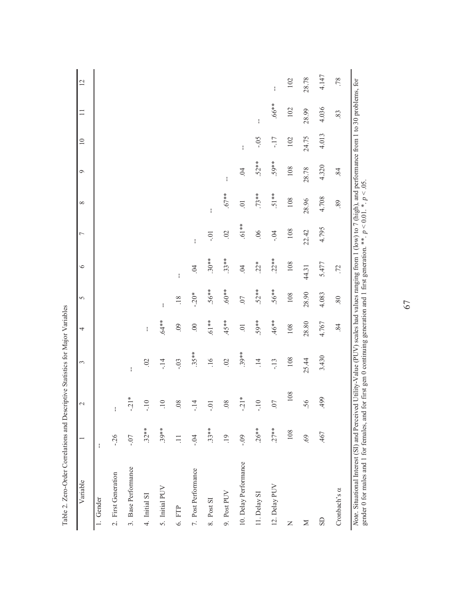| Variable              |         | $\mathcal{L}$   | 3                   | 4               | 5                     | $\circ$        | Γ              | $\infty$       | $\circ$    | $\overline{10}$ | $\equiv$ | $\overline{2}$ |
|-----------------------|---------|-----------------|---------------------|-----------------|-----------------------|----------------|----------------|----------------|------------|-----------------|----------|----------------|
| 1. Gender             | ł       |                 |                     |                 |                       |                |                |                |            |                 |          |                |
| 2. First Generation   | $-26$   | $\mathfrak l$   |                     |                 |                       |                |                |                |            |                 |          |                |
| 3. Base Performance   | $-0.7$  | $-21*$          | ł                   |                 |                       |                |                |                |            |                 |          |                |
| 4. Initial SI         | $.32**$ | $-10$           | $\ddot{\mathrm{S}}$ | ł               |                       |                |                |                |            |                 |          |                |
| 5. Initial PUV        | $.39**$ | $\overline{10}$ | $-14$               | $.64**$         | $\mathop{!}\nolimits$ |                |                |                |            |                 |          |                |
| 6. FTP                | $\Xi$   | .08             | $-0.3$              | $\overline{60}$ | .18                   | ł              |                |                |            |                 |          |                |
| 7. Post Performance   | $-0.4$  | $-14$           | $35**$              | $\odot$         | $-.20*$               | $\ddot{5}$     | ł              |                |            |                 |          |                |
| 8. Post SI            | $.33**$ | $-0.1$          | .16                 | $.61**$         | $.56**$               | $.30**$        | $-0.1$         | ł              |            |                 |          |                |
| 9. Post PUV           | .19     | .08             | 02                  | $45**$          | $*809.$               | $.33**$        | $\overline{0}$ | $.67**$        | ł          |                 |          |                |
| 10. Delay Performance | $-0.09$ | $-21*$          | $.39**$             | $\overline{0}$  | .07                   | $\overline{0}$ | $*19.$         | $\overline{0}$ | $\ddot{5}$ | ł               |          |                |
| 11. Delay SI          | $.26**$ | $-10$           | $\vec{=}$           | $.59**$         | $.52**$               | $22*$          | 06             | $.73**$        | $.52**$    | $-0.5$          | ł        |                |
| 12. Delay PUV         | $.27**$ | 07              | $-13$               | $.46**$         | $.56**$               | $.22**$        | $-0.4$         | $.51**$        | 59**       | -17             | $*899$ . | ł              |
| Z                     | 108     | 108             | 108                 | 108             | 108                   | 108            | 108            | 108            | 108        | 102             | 102      | 102            |
| $\geq$                | 69.     | .56             | 25.44               | 28.80           | 28.90                 | 44.31          | 22.42          | 28.96          | 28.78      | 24.75           | 28.99    | 28.78          |
| GS                    | .467    | 499             | 3.430               | 4.767           | 4.083                 | 5.477          | 4.795          | 4.708          | 4.320      | 4.013           | 4.036    | 4.147          |
| Cronbach's a          |         |                 |                     | 84              | 80                    | .72            |                | .89            | 84         |                 | 83       | .78            |

67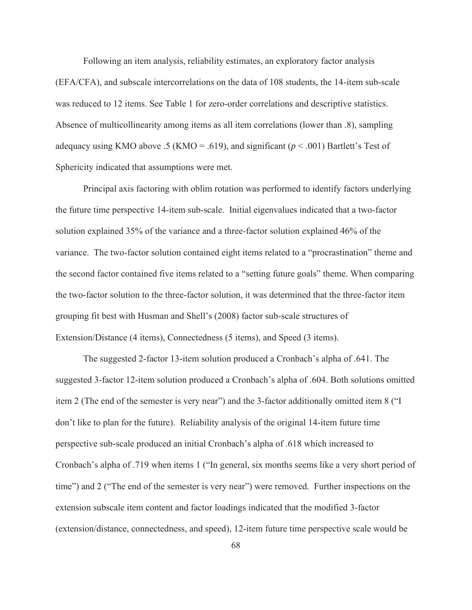Following an item analysis, reliability estimates, an exploratory factor analysis (EFA/CFA), and subscale intercorrelations on the data of 108 students, the 14-item sub-scale was reduced to 12 items. See Table 1 for zero-order correlations and descriptive statistics. Absence of multicollinearity among items as all item correlations (lower than .8), sampling adequacy using KMO above .5 (KMO = .619), and significant (*p* < .001) Bartlett's Test of Sphericity indicated that assumptions were met.

Principal axis factoring with oblim rotation was performed to identify factors underlying the future time perspective 14-item sub-scale. Initial eigenvalues indicated that a two-factor solution explained 35% of the variance and a three-factor solution explained 46% of the variance. The two-factor solution contained eight items related to a "procrastination" theme and the second factor contained five items related to a "setting future goals" theme. When comparing the two-factor solution to the three-factor solution, it was determined that the three-factor item grouping fit best with Husman and Shell's (2008) factor sub-scale structures of Extension/Distance (4 items), Connectedness (5 items), and Speed (3 items).

The suggested 2-factor 13-item solution produced a Cronbach's alpha of .641. The suggested 3-factor 12-item solution produced a Cronbach's alpha of .604. Both solutions omitted item 2 (The end of the semester is very near") and the 3-factor additionally omitted item 8 ("I don't like to plan for the future). Reliability analysis of the original 14-item future time perspective sub-scale produced an initial Cronbach's alpha of .618 which increased to Cronbach's alpha of .719 when items 1 ("In general, six months seems like a very short period of time") and 2 ("The end of the semester is very near") were removed. Further inspections on the extension subscale item content and factor loadings indicated that the modified 3-factor (extension/distance, connectedness, and speed), 12-item future time perspective scale would be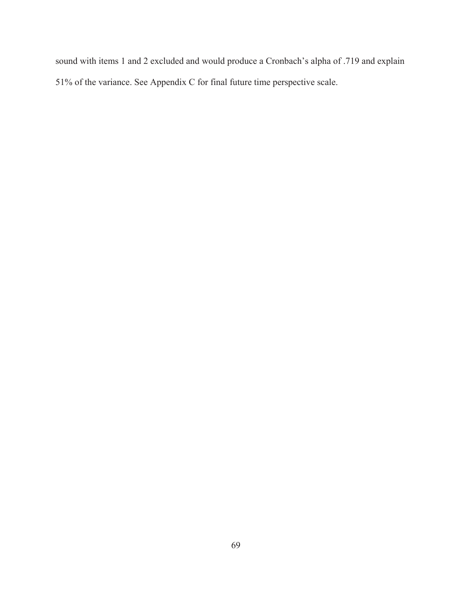sound with items 1 and 2 excluded and would produce a Cronbach's alpha of .719 and explain 51% of the variance. See Appendix C for final future time perspective scale.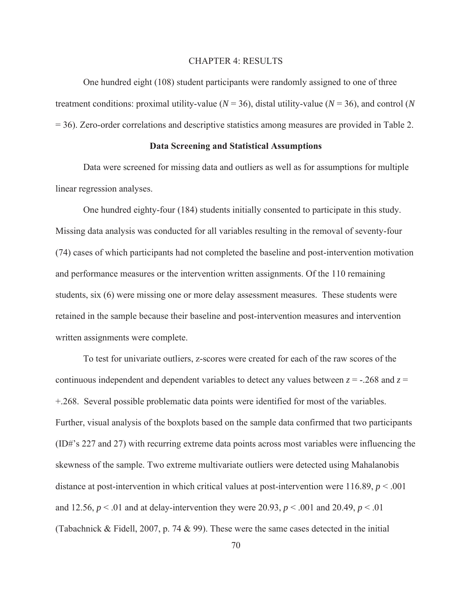#### CHAPTER 4: RESULTS

One hundred eight (108) student participants were randomly assigned to one of three treatment conditions: proximal utility-value ( $N = 36$ ), distal utility-value ( $N = 36$ ), and control (*N* = 36). Zero-order correlations and descriptive statistics among measures are provided in Table 2.

#### **Data Screening and Statistical Assumptions**

Data were screened for missing data and outliers as well as for assumptions for multiple linear regression analyses.

One hundred eighty-four (184) students initially consented to participate in this study. Missing data analysis was conducted for all variables resulting in the removal of seventy-four (74) cases of which participants had not completed the baseline and post-intervention motivation and performance measures or the intervention written assignments. Of the 110 remaining students, six (6) were missing one or more delay assessment measures. These students were retained in the sample because their baseline and post-intervention measures and intervention written assignments were complete.

To test for univariate outliers, z-scores were created for each of the raw scores of the continuous independent and dependent variables to detect any values between  $z = -0.268$  and  $z =$ +.268. Several possible problematic data points were identified for most of the variables. Further, visual analysis of the boxplots based on the sample data confirmed that two participants (ID#'s 227 and 27) with recurring extreme data points across most variables were influencing the skewness of the sample. Two extreme multivariate outliers were detected using Mahalanobis distance at post-intervention in which critical values at post-intervention were 116.89, *p* < .001 and 12.56,  $p < 0.01$  and at delay-intervention they were 20.93,  $p < 0.001$  and 20.49,  $p < 0.01$ (Tabachnick & Fidell, 2007, p. 74 & 99). These were the same cases detected in the initial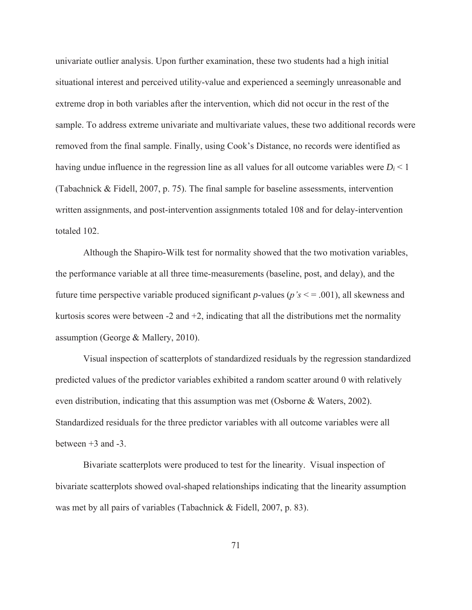univariate outlier analysis. Upon further examination, these two students had a high initial situational interest and perceived utility-value and experienced a seemingly unreasonable and extreme drop in both variables after the intervention, which did not occur in the rest of the sample. To address extreme univariate and multivariate values, these two additional records were removed from the final sample. Finally, using Cook's Distance, no records were identified as having undue influence in the regression line as all values for all outcome variables were  $D_i < 1$ (Tabachnick & Fidell, 2007, p. 75). The final sample for baseline assessments, intervention written assignments, and post-intervention assignments totaled 108 and for delay-intervention totaled 102.

Although the Shapiro-Wilk test for normality showed that the two motivation variables, the performance variable at all three time-measurements (baseline, post, and delay), and the future time perspective variable produced significant *p*-values (*p's* < = .001), all skewness and kurtosis scores were between  $-2$  and  $+2$ , indicating that all the distributions met the normality assumption (George & Mallery, 2010).

Visual inspection of scatterplots of standardized residuals by the regression standardized predicted values of the predictor variables exhibited a random scatter around 0 with relatively even distribution, indicating that this assumption was met (Osborne & Waters, 2002). Standardized residuals for the three predictor variables with all outcome variables were all between  $+3$  and  $-3$ .

Bivariate scatterplots were produced to test for the linearity. Visual inspection of bivariate scatterplots showed oval-shaped relationships indicating that the linearity assumption was met by all pairs of variables (Tabachnick & Fidell, 2007, p. 83).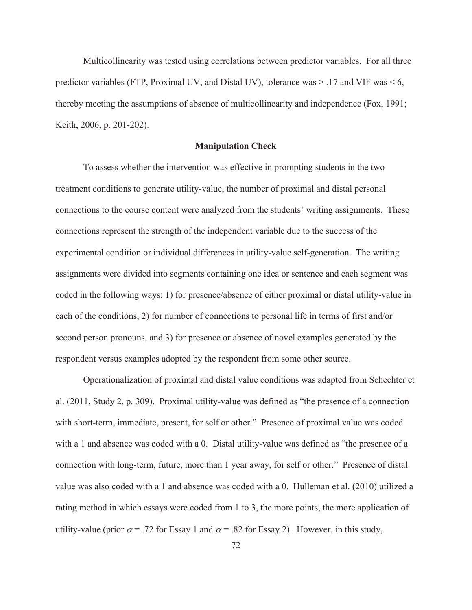Multicollinearity was tested using correlations between predictor variables. For all three predictor variables (FTP, Proximal UV, and Distal UV), tolerance was  $> 0.17$  and VIF was  $\leq 6$ , thereby meeting the assumptions of absence of multicollinearity and independence (Fox, 1991; Keith, 2006, p. 201-202).

#### **Manipulation Check**

To assess whether the intervention was effective in prompting students in the two treatment conditions to generate utility-value, the number of proximal and distal personal connections to the course content were analyzed from the students' writing assignments. These connections represent the strength of the independent variable due to the success of the experimental condition or individual differences in utility-value self-generation. The writing assignments were divided into segments containing one idea or sentence and each segment was coded in the following ways: 1) for presence/absence of either proximal or distal utility-value in each of the conditions, 2) for number of connections to personal life in terms of first and/or second person pronouns, and 3) for presence or absence of novel examples generated by the respondent versus examples adopted by the respondent from some other source.

Operationalization of proximal and distal value conditions was adapted from Schechter et al. (2011, Study 2, p. 309). Proximal utility-value was defined as "the presence of a connection with short-term, immediate, present, for self or other." Presence of proximal value was coded with a 1 and absence was coded with a 0. Distal utility-value was defined as "the presence of a connection with long-term, future, more than 1 year away, for self or other." Presence of distal value was also coded with a 1 and absence was coded with a 0. Hulleman et al. (2010) utilized a rating method in which essays were coded from 1 to 3, the more points, the more application of utility-value (prior  $\alpha$  = .72 for Essay 1 and  $\alpha$  = .82 for Essay 2). However, in this study,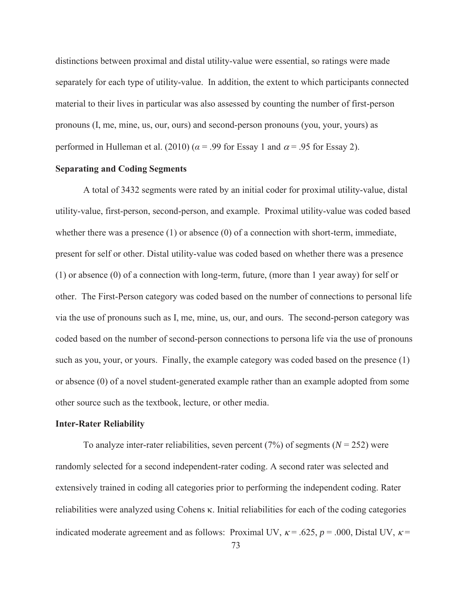distinctions between proximal and distal utility-value were essential, so ratings were made separately for each type of utility-value. In addition, the extent to which participants connected material to their lives in particular was also assessed by counting the number of first-person pronouns (I, me, mine, us, our, ours) and second-person pronouns (you, your, yours) as performed in Hulleman et al. (2010) ( $\alpha$  = .99 for Essay 1 and  $\alpha$  = .95 for Essay 2).

# **Separating and Coding Segments**

 A total of 3432 segments were rated by an initial coder for proximal utility-value, distal utility-value, first-person, second-person, and example. Proximal utility-value was coded based whether there was a presence  $(1)$  or absence  $(0)$  of a connection with short-term, immediate, present for self or other. Distal utility-value was coded based on whether there was a presence (1) or absence (0) of a connection with long-term, future, (more than 1 year away) for self or other. The First-Person category was coded based on the number of connections to personal life via the use of pronouns such as I, me, mine, us, our, and ours. The second-person category was coded based on the number of second-person connections to persona life via the use of pronouns such as you, your, or yours. Finally, the example category was coded based on the presence (1) or absence (0) of a novel student-generated example rather than an example adopted from some other source such as the textbook, lecture, or other media.

#### **Inter-Rater Reliability**

To analyze inter-rater reliabilities, seven percent  $(7%)$  of segments  $(N = 252)$  were randomly selected for a second independent-rater coding. A second rater was selected and extensively trained in coding all categories prior to performing the independent coding. Rater reliabilities were analyzed using Cohens  $\kappa$ . Initial reliabilities for each of the coding categories indicated moderate agreement and as follows: Proximal UV,  $\kappa$  = .625,  $p$  = .000, Distal UV,  $\kappa$  =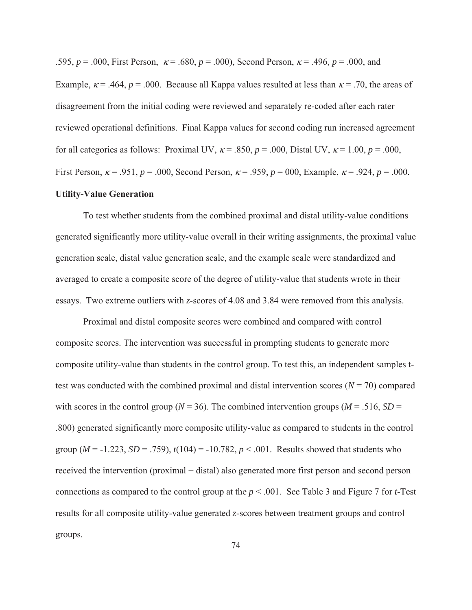.595,  $p = .000$ , First Person,  $\kappa = .680$ ,  $p = .000$ , Second Person,  $\kappa = .496$ ,  $p = .000$ , and

Example,  $\kappa$  = .464,  $p$  = .000. Because all Kappa values resulted at less than  $\kappa$  = .70, the areas of disagreement from the initial coding were reviewed and separately re-coded after each rater reviewed operational definitions. Final Kappa values for second coding run increased agreement for all categories as follows: Proximal UV,  $\kappa$  = .850,  $p$  = .000, Distal UV,  $\kappa$  = 1.00,  $p$  = .000, First Person,  $\kappa = .951$ ,  $p = .000$ , Second Person,  $\kappa = .959$ ,  $p = 000$ , Example,  $\kappa = .924$ ,  $p = .000$ .

# **Utility-Value Generation**

To test whether students from the combined proximal and distal utility-value conditions generated significantly more utility-value overall in their writing assignments, the proximal value generation scale, distal value generation scale, and the example scale were standardized and averaged to create a composite score of the degree of utility-value that students wrote in their essays. Two extreme outliers with *z*-scores of 4.08 and 3.84 were removed from this analysis.

Proximal and distal composite scores were combined and compared with control composite scores. The intervention was successful in prompting students to generate more composite utility-value than students in the control group. To test this, an independent samples ttest was conducted with the combined proximal and distal intervention scores  $(N = 70)$  compared with scores in the control group ( $N = 36$ ). The combined intervention groups ( $M = .516$ ,  $SD =$ .800) generated significantly more composite utility-value as compared to students in the control group ( $M = -1.223$ ,  $SD = .759$ ),  $t(104) = -10.782$ ,  $p < .001$ . Results showed that students who received the intervention (proximal + distal) also generated more first person and second person connections as compared to the control group at the *p* < .001. See Table 3 and Figure 7 for *t*-Test results for all composite utility-value generated *z*-scores between treatment groups and control groups.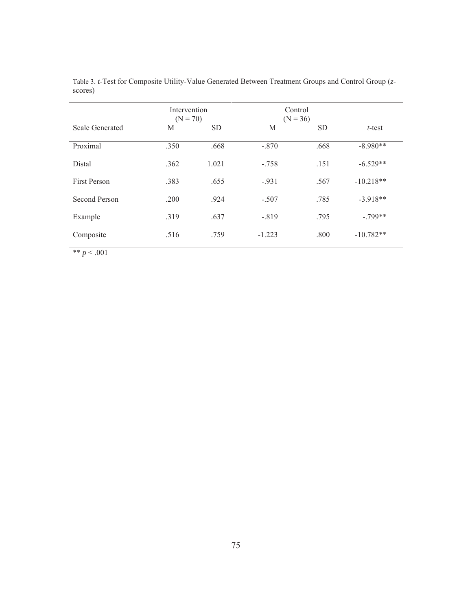|                 | Intervention<br>$(N = 70)$ |           | Control<br>$(N = 36)$ |           |             |
|-----------------|----------------------------|-----------|-----------------------|-----------|-------------|
| Scale Generated | M                          | <b>SD</b> | M                     | <b>SD</b> | $t$ -test   |
| Proximal        | .350                       | .668      | $-.870$               | .668      | $-8.980**$  |
| Distal          | .362                       | 1.021     | $-.758$               | .151      | $-6.529**$  |
| First Person    | .383                       | .655      | $-.931$               | .567      | $-10.218**$ |
| Second Person   | .200                       | .924      | $-.507$               | .785      | $-3.918**$  |
| Example         | .319                       | .637      | $-.819$               | .795      | $-.799**$   |
| Composite       | .516                       | .759      | $-1.223$              | .800      | $-10.782**$ |

Table 3. *t*-Test for Composite Utility-Value Generated Between Treatment Groups and Control Group (*z*scores)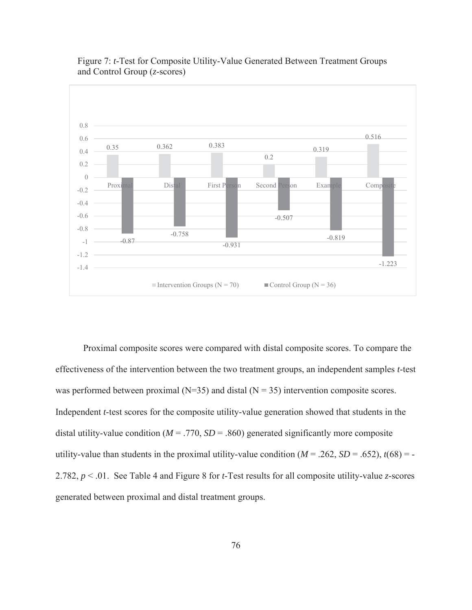

# Figure 7: *t*-Test for Composite Utility-Value Generated Between Treatment Groups and Control Group (*z*-scores)

Proximal composite scores were compared with distal composite scores. To compare the effectiveness of the intervention between the two treatment groups, an independent samples *t*-test was performed between proximal ( $N=35$ ) and distal ( $N=35$ ) intervention composite scores. Independent *t*-test scores for the composite utility-value generation showed that students in the distal utility-value condition ( $M = .770$ ,  $SD = .860$ ) generated significantly more composite utility-value than students in the proximal utility-value condition  $(M = .262, SD = .652)$ ,  $t(68) = -$ 2.782, *p* < .01. See Table 4 and Figure 8 for *t*-Test results for all composite utility-value *z*-scores generated between proximal and distal treatment groups.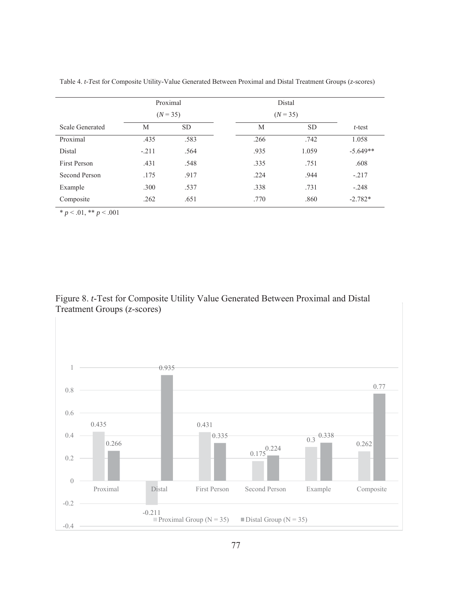|                     | Proximal |            |      | Distal     |            |  |  |  |
|---------------------|----------|------------|------|------------|------------|--|--|--|
|                     |          | $(N = 35)$ |      | $(N = 35)$ |            |  |  |  |
| Scale Generated     | М        | <b>SD</b>  | M    | <b>SD</b>  | $t$ -test  |  |  |  |
| Proximal            | .435     | .583       | .266 | .742       | 1.058      |  |  |  |
| <b>Distal</b>       | $-.211$  | .564       | .935 | 1.059      | $-5.649**$ |  |  |  |
| <b>First Person</b> | .431     | .548       | .335 | .751       | .608       |  |  |  |
| Second Person       | .175     | .917       | .224 | .944       | $-.217$    |  |  |  |
| Example             | .300     | .537       | .338 | .731       | $-.248$    |  |  |  |
| Composite           | .262     | .651       | .770 | .860       | $-2.782*$  |  |  |  |

Table 4. *t-T*est for Composite Utility-Value Generated Between Proximal and Distal Treatment Groups (*z*-scores)

 $* p < .01, ** p < .001$ 

Figure 8. *t*-Test for Composite Utility Value Generated Between Proximal and Distal Treatment Groups (*z*-scores)

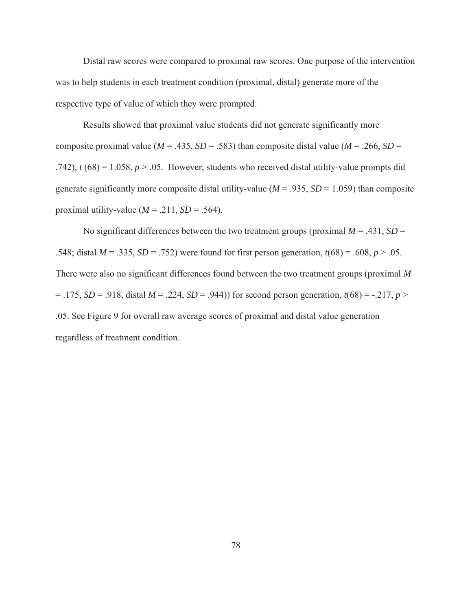Distal raw scores were compared to proximal raw scores. One purpose of the intervention was to help students in each treatment condition (proximal, distal) generate more of the respective type of value of which they were prompted.

Results showed that proximal value students did not generate significantly more composite proximal value ( $M = .435$ ,  $SD = .583$ ) than composite distal value ( $M = .266$ ,  $SD =$ .742),  $t (68) = 1.058$ ,  $p > .05$ . However, students who received distal utility-value prompts did generate significantly more composite distal utility-value ( $M = .935$ ,  $SD = 1.059$ ) than composite proximal utility-value ( $M = .211$ ,  $SD = .564$ ).

No significant differences between the two treatment groups (proximal  $M = .431$ ,  $SD =$ .548; distal *M* = .335, *SD* = .752) were found for first person generation, *t*(68) = .608, *p* > .05. There were also no significant differences found between the two treatment groups (proximal *M*  $= .175, SD = .918$ , distal  $M = .224, SD = .944$ ) for second person generation,  $t(68) = -.217, p >$ .05. See Figure 9 for overall raw average scores of proximal and distal value generation regardless of treatment condition.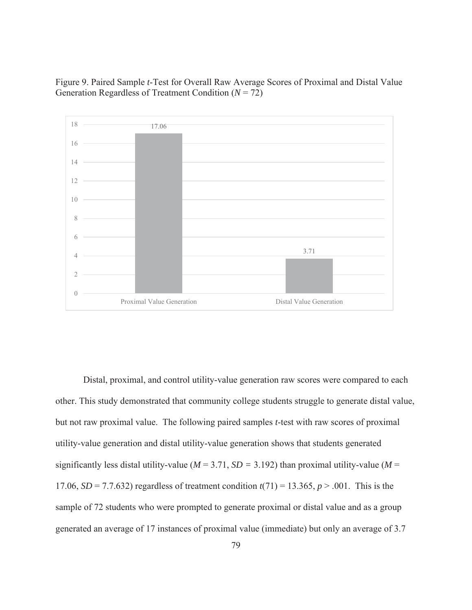Figure 9. Paired Sample *t*-Test for Overall Raw Average Scores of Proximal and Distal Value Generation Regardless of Treatment Condition (*N* = 72)



Distal, proximal, and control utility-value generation raw scores were compared to each other. This study demonstrated that community college students struggle to generate distal value, but not raw proximal value. The following paired samples *t*-test with raw scores of proximal utility-value generation and distal utility-value generation shows that students generated significantly less distal utility-value ( $M = 3.71$ ,  $SD = 3.192$ ) than proximal utility-value ( $M =$ 17.06, *SD* = 7.7.632) regardless of treatment condition  $t(71) = 13.365$ ,  $p > .001$ . This is the sample of 72 students who were prompted to generate proximal or distal value and as a group generated an average of 17 instances of proximal value (immediate) but only an average of 3.7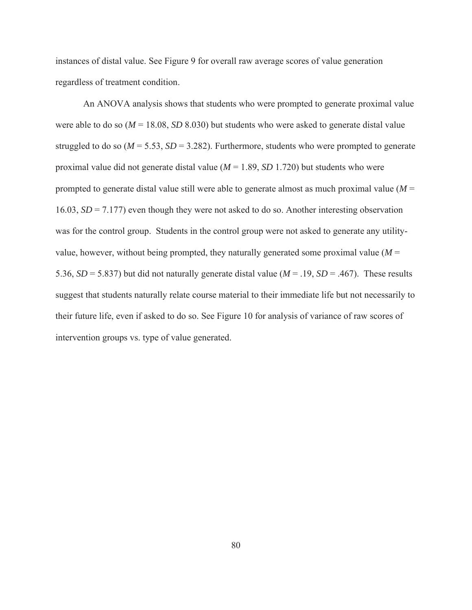instances of distal value. See Figure 9 for overall raw average scores of value generation regardless of treatment condition.

An ANOVA analysis shows that students who were prompted to generate proximal value were able to do so (*M* = 18.08, *SD* 8.030) but students who were asked to generate distal value struggled to do so  $(M = 5.53, SD = 3.282)$ . Furthermore, students who were prompted to generate proximal value did not generate distal value (*M* = 1.89, *SD* 1.720) but students who were prompted to generate distal value still were able to generate almost as much proximal value (*M* = 16.03, *SD* = 7.177) even though they were not asked to do so. Another interesting observation was for the control group. Students in the control group were not asked to generate any utilityvalue, however, without being prompted, they naturally generated some proximal value  $(M =$ 5.36,  $SD = 5.837$ ) but did not naturally generate distal value ( $M = .19$ ,  $SD = .467$ ). These results suggest that students naturally relate course material to their immediate life but not necessarily to their future life, even if asked to do so. See Figure 10 for analysis of variance of raw scores of intervention groups vs. type of value generated.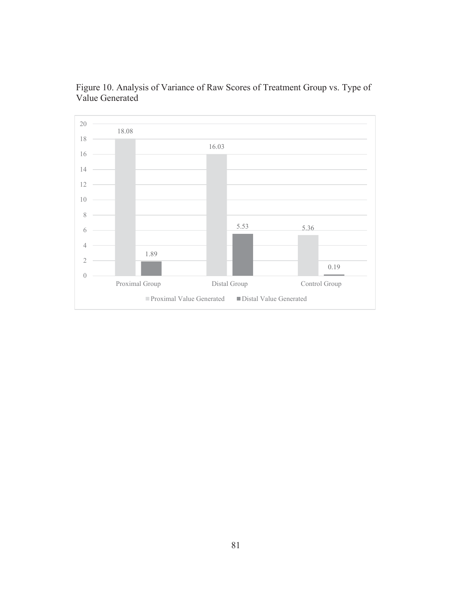

Figure 10. Analysis of Variance of Raw Scores of Treatment Group vs. Type of Value Generated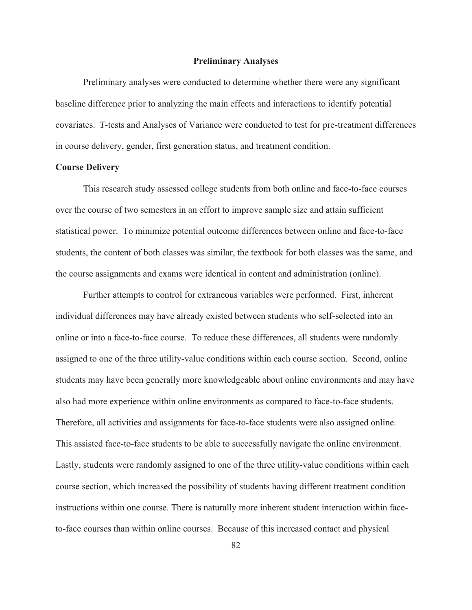#### **Preliminary Analyses**

 Preliminary analyses were conducted to determine whether there were any significant baseline difference prior to analyzing the main effects and interactions to identify potential covariates. *T*-tests and Analyses of Variance were conducted to test for pre-treatment differences in course delivery, gender, first generation status, and treatment condition.

#### **Course Delivery**

This research study assessed college students from both online and face-to-face courses over the course of two semesters in an effort to improve sample size and attain sufficient statistical power. To minimize potential outcome differences between online and face-to-face students, the content of both classes was similar, the textbook for both classes was the same, and the course assignments and exams were identical in content and administration (online).

Further attempts to control for extraneous variables were performed. First, inherent individual differences may have already existed between students who self-selected into an online or into a face-to-face course. To reduce these differences, all students were randomly assigned to one of the three utility-value conditions within each course section. Second, online students may have been generally more knowledgeable about online environments and may have also had more experience within online environments as compared to face-to-face students. Therefore, all activities and assignments for face-to-face students were also assigned online. This assisted face-to-face students to be able to successfully navigate the online environment. Lastly, students were randomly assigned to one of the three utility-value conditions within each course section, which increased the possibility of students having different treatment condition instructions within one course. There is naturally more inherent student interaction within faceto-face courses than within online courses. Because of this increased contact and physical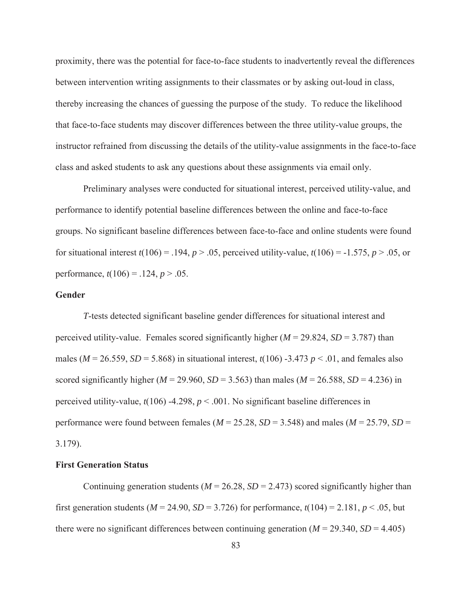proximity, there was the potential for face-to-face students to inadvertently reveal the differences between intervention writing assignments to their classmates or by asking out-loud in class, thereby increasing the chances of guessing the purpose of the study. To reduce the likelihood that face-to-face students may discover differences between the three utility-value groups, the instructor refrained from discussing the details of the utility-value assignments in the face-to-face class and asked students to ask any questions about these assignments via email only.

Preliminary analyses were conducted for situational interest, perceived utility-value, and performance to identify potential baseline differences between the online and face-to-face groups. No significant baseline differences between face-to-face and online students were found for situational interest  $t(106) = .194$ ,  $p > .05$ , perceived utility-value,  $t(106) = -1.575$ ,  $p > .05$ , or performance,  $t(106) = .124$ ,  $p > .05$ .

## **Gender**

*T*-tests detected significant baseline gender differences for situational interest and perceived utility-value. Females scored significantly higher  $(M = 29.824, SD = 3.787)$  than males ( $M = 26.559$ ,  $SD = 5.868$ ) in situational interest,  $t(106)$  -3.473  $p < .01$ , and females also scored significantly higher ( $M = 29.960$ ,  $SD = 3.563$ ) than males ( $M = 26.588$ ,  $SD = 4.236$ ) in perceived utility-value, *t*(106) -4.298, *p* < .001. No significant baseline differences in performance were found between females ( $M = 25.28$ ,  $SD = 3.548$ ) and males ( $M = 25.79$ ,  $SD =$ 3.179).

## **First Generation Status**

Continuing generation students ( $M = 26.28$ ,  $SD = 2.473$ ) scored significantly higher than first generation students ( $M = 24.90$ ,  $SD = 3.726$ ) for performance,  $t(104) = 2.181$ ,  $p < .05$ , but there were no significant differences between continuing generation  $(M = 29.340, SD = 4.405)$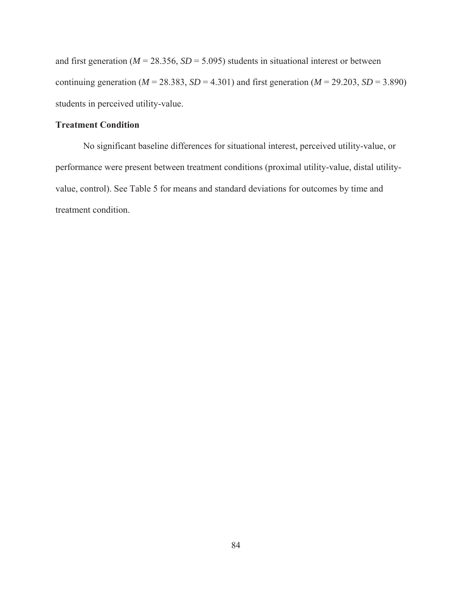and first generation ( $M = 28.356$ ,  $SD = 5.095$ ) students in situational interest or between continuing generation ( $M = 28.383$ ,  $SD = 4.301$ ) and first generation ( $M = 29.203$ ,  $SD = 3.890$ ) students in perceived utility-value.

# **Treatment Condition**

No significant baseline differences for situational interest, perceived utility-value, or performance were present between treatment conditions (proximal utility-value, distal utilityvalue, control). See Table 5 for means and standard deviations for outcomes by time and treatment condition.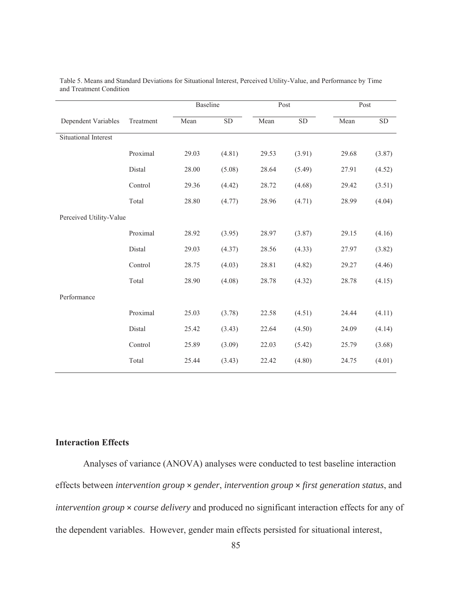|                         |           | Baseline |           | Post  |        | Post  |            |  |
|-------------------------|-----------|----------|-----------|-------|--------|-------|------------|--|
| Dependent Variables     | Treatment | Mean     | <b>SD</b> | Mean  | SD     | Mean  | ${\rm SD}$ |  |
| Situational Interest    |           |          |           |       |        |       |            |  |
|                         | Proximal  | 29.03    | (4.81)    | 29.53 | (3.91) | 29.68 | (3.87)     |  |
|                         | Distal    | 28.00    | (5.08)    | 28.64 | (5.49) | 27.91 | (4.52)     |  |
|                         | Control   | 29.36    | (4.42)    | 28.72 | (4.68) | 29.42 | (3.51)     |  |
|                         | Total     | 28.80    | (4.77)    | 28.96 | (4.71) | 28.99 | (4.04)     |  |
| Perceived Utility-Value |           |          |           |       |        |       |            |  |
|                         | Proximal  | 28.92    | (3.95)    | 28.97 | (3.87) | 29.15 | (4.16)     |  |
|                         | Distal    | 29.03    | (4.37)    | 28.56 | (4.33) | 27.97 | (3.82)     |  |
|                         | Control   | 28.75    | (4.03)    | 28.81 | (4.82) | 29.27 | (4.46)     |  |
|                         | Total     | 28.90    | (4.08)    | 28.78 | (4.32) | 28.78 | (4.15)     |  |
| Performance             |           |          |           |       |        |       |            |  |
|                         | Proximal  | 25.03    | (3.78)    | 22.58 | (4.51) | 24.44 | (4.11)     |  |
|                         | Distal    | 25.42    | (3.43)    | 22.64 | (4.50) | 24.09 | (4.14)     |  |
|                         | Control   | 25.89    | (3.09)    | 22.03 | (5.42) | 25.79 | (3.68)     |  |
|                         | Total     | 25.44    | (3.43)    | 22.42 | (4.80) | 24.75 | (4.01)     |  |

Table 5. Means and Standard Deviations for Situational Interest, Perceived Utility-Value, and Performance by Time and Treatment Condition

# **Interaction Effects**

Analyses of variance (ANOVA) analyses were conducted to test baseline interaction effects between *intervention group* × *gender*, *intervention group* × *first generation status*, and *intervention group* × *course delivery* and produced no significant interaction effects for any of the dependent variables. However, gender main effects persisted for situational interest,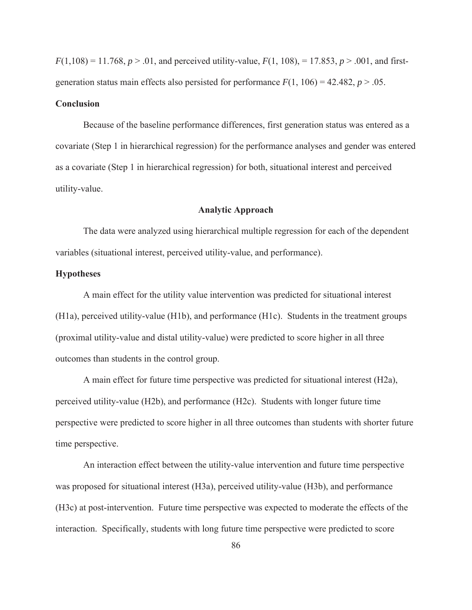$F(1,108) = 11.768$ ,  $p > .01$ , and perceived utility-value,  $F(1, 108) = 17.853$ ,  $p > .001$ , and firstgeneration status main effects also persisted for performance  $F(1, 106) = 42.482$ ,  $p > .05$ .

## **Conclusion**

Because of the baseline performance differences, first generation status was entered as a covariate (Step 1 in hierarchical regression) for the performance analyses and gender was entered as a covariate (Step 1 in hierarchical regression) for both, situational interest and perceived utility-value.

## **Analytic Approach**

 The data were analyzed using hierarchical multiple regression for each of the dependent variables (situational interest, perceived utility-value, and performance).

# **Hypotheses**

A main effect for the utility value intervention was predicted for situational interest (H1a), perceived utility-value (H1b), and performance (H1c). Students in the treatment groups (proximal utility-value and distal utility-value) were predicted to score higher in all three outcomes than students in the control group.

A main effect for future time perspective was predicted for situational interest (H2a), perceived utility-value (H2b), and performance (H2c). Students with longer future time perspective were predicted to score higher in all three outcomes than students with shorter future time perspective.

An interaction effect between the utility-value intervention and future time perspective was proposed for situational interest (H3a), perceived utility-value (H3b), and performance (H3c) at post-intervention. Future time perspective was expected to moderate the effects of the interaction. Specifically, students with long future time perspective were predicted to score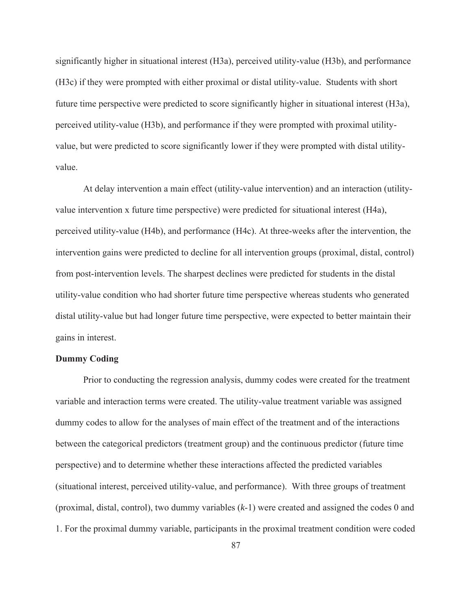significantly higher in situational interest (H3a), perceived utility-value (H3b), and performance (H3c) if they were prompted with either proximal or distal utility-value. Students with short future time perspective were predicted to score significantly higher in situational interest (H3a), perceived utility-value (H3b), and performance if they were prompted with proximal utilityvalue, but were predicted to score significantly lower if they were prompted with distal utilityvalue.

At delay intervention a main effect (utility-value intervention) and an interaction (utilityvalue intervention x future time perspective) were predicted for situational interest (H4a), perceived utility-value (H4b), and performance (H4c). At three-weeks after the intervention, the intervention gains were predicted to decline for all intervention groups (proximal, distal, control) from post-intervention levels. The sharpest declines were predicted for students in the distal utility-value condition who had shorter future time perspective whereas students who generated distal utility-value but had longer future time perspective, were expected to better maintain their gains in interest.

# **Dummy Coding**

Prior to conducting the regression analysis, dummy codes were created for the treatment variable and interaction terms were created. The utility-value treatment variable was assigned dummy codes to allow for the analyses of main effect of the treatment and of the interactions between the categorical predictors (treatment group) and the continuous predictor (future time perspective) and to determine whether these interactions affected the predicted variables (situational interest, perceived utility-value, and performance). With three groups of treatment (proximal, distal, control), two dummy variables (*k*-1) were created and assigned the codes 0 and 1. For the proximal dummy variable, participants in the proximal treatment condition were coded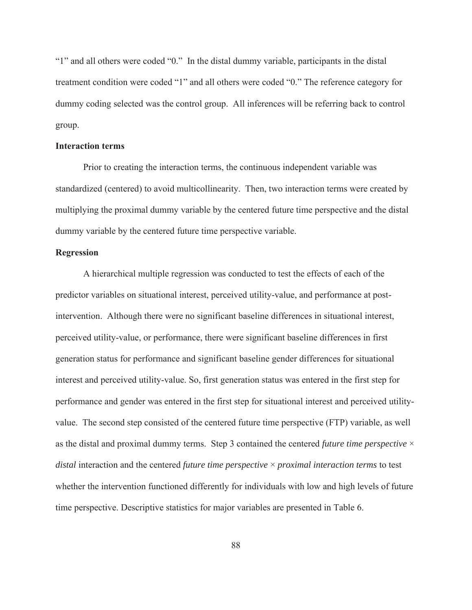"1" and all others were coded "0." In the distal dummy variable, participants in the distal treatment condition were coded "1" and all others were coded "0." The reference category for dummy coding selected was the control group. All inferences will be referring back to control group.

#### **Interaction terms**

Prior to creating the interaction terms, the continuous independent variable was standardized (centered) to avoid multicollinearity. Then, two interaction terms were created by multiplying the proximal dummy variable by the centered future time perspective and the distal dummy variable by the centered future time perspective variable.

## **Regression**

A hierarchical multiple regression was conducted to test the effects of each of the predictor variables on situational interest, perceived utility-value, and performance at postintervention. Although there were no significant baseline differences in situational interest, perceived utility-value, or performance, there were significant baseline differences in first generation status for performance and significant baseline gender differences for situational interest and perceived utility-value. So, first generation status was entered in the first step for performance and gender was entered in the first step for situational interest and perceived utilityvalue. The second step consisted of the centered future time perspective (FTP) variable, as well as the distal and proximal dummy terms. Step 3 contained the centered *future time perspective* × *distal* interaction and the centered *future time perspective* × *proximal interaction terms* to test whether the intervention functioned differently for individuals with low and high levels of future time perspective. Descriptive statistics for major variables are presented in Table 6.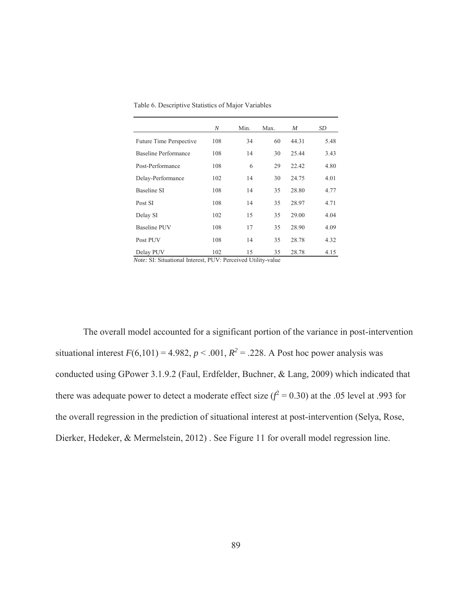Table 6. Descriptive Statistics of Major Variables

|                                                                                                              | N                   | Min.            | Max.               | M     | SD   |
|--------------------------------------------------------------------------------------------------------------|---------------------|-----------------|--------------------|-------|------|
| Future Time Perspective                                                                                      | 108                 | 34              | 60                 | 44.31 | 5.48 |
| Baseline Performance                                                                                         | 108                 | 14              | 30                 | 25.44 | 3.43 |
| Post-Performance                                                                                             | 108                 | 6               | 29                 | 22.42 | 4.80 |
| Delay-Performance                                                                                            | 102                 | 14              | 30                 | 24.75 | 4.01 |
| Baseline SI                                                                                                  | 108                 | 14              | 35                 | 28.80 | 4.77 |
| Post SI                                                                                                      | 108                 | 14              | 35                 | 28.97 | 4.71 |
| Delay SI                                                                                                     | 102                 | 15              | 35                 | 29.00 | 4.04 |
| <b>Baseline PUV</b>                                                                                          | 108                 | 17              | 35                 | 28.90 | 4.09 |
| Post PUV                                                                                                     | 108                 | 14              | 35                 | 28.78 | 4.32 |
| Delay PUV<br>$\mathbf{r}$ $\mathbf{r}$ $\mathbf{r}$ $\mathbf{r}$ $\mathbf{r}$ $\mathbf{r}$<br>$1 \mathbf{Y}$ | 102<br>$\sqrt{NTT}$ | 15<br>1.7.7.11. | 35<br>$\mathbf{I}$ | 28.78 | 4.15 |

*Note:* SI: Situational Interest, PUV: Perceived Utility-value

 The overall model accounted for a significant portion of the variance in post-intervention situational interest  $F(6,101) = 4.982$ ,  $p < .001$ ,  $R^2 = .228$ . A Post hoc power analysis was conducted using GPower 3.1.9.2 (Faul, Erdfelder, Buchner, & Lang, 2009) which indicated that there was adequate power to detect a moderate effect size  $(f^2 = 0.30)$  at the .05 level at .993 for the overall regression in the prediction of situational interest at post-intervention (Selya, Rose, Dierker, Hedeker, & Mermelstein, 2012) . See Figure 11 for overall model regression line.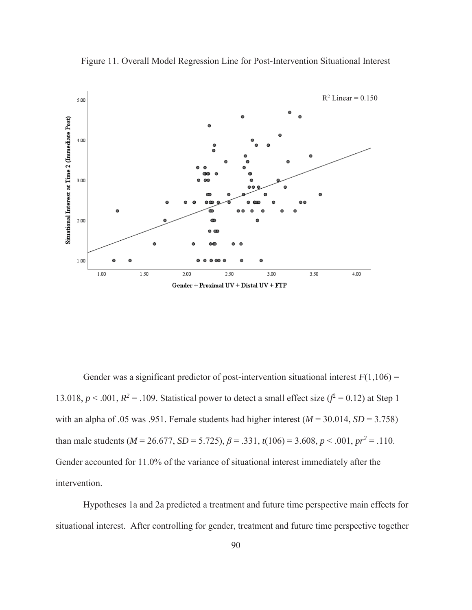

Figure 11. Overall Model Regression Line for Post-Intervention Situational Interest

Gender was a significant predictor of post-intervention situational interest  $F(1,106)$  = 13.018,  $p < .001$ ,  $R^2 = .109$ . Statistical power to detect a small effect size  $(f^2 = 0.12)$  at Step 1 with an alpha of .05 was .951. Female students had higher interest  $(M = 30.014, SD = 3.758)$ than male students ( $M = 26.677$ ,  $SD = 5.725$ ),  $\beta = .331$ ,  $t(106) = 3.608$ ,  $p < .001$ ,  $pr^2 = .110$ . Gender accounted for 11.0% of the variance of situational interest immediately after the intervention.

Hypotheses 1a and 2a predicted a treatment and future time perspective main effects for situational interest. After controlling for gender, treatment and future time perspective together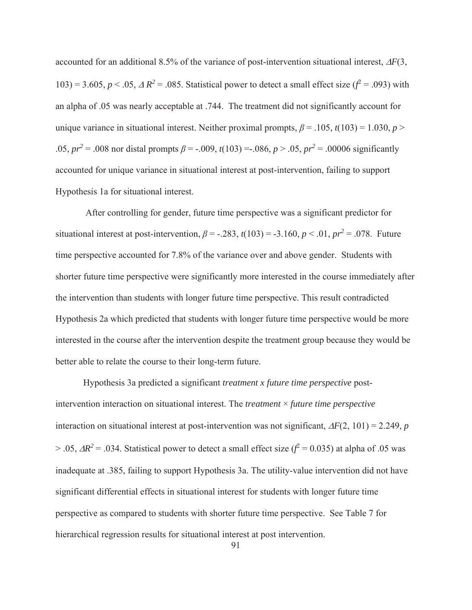accounted for an additional 8.5% of the variance of post-intervention situational interest,  $\Delta F(3)$ , 103) = 3.605,  $p < .05$ ,  $\triangle R^2 = .085$ . Statistical power to detect a small effect size ( $\hat{f} = .093$ ) with an alpha of .05 was nearly acceptable at .744. The treatment did not significantly account for unique variance in situational interest. Neither proximal prompts,  $\beta$  = .105,  $t(103)$  = 1.030, *p* > .05,  $pr^2 = 0.008$  nor distal prompts  $\beta = -.009$ ,  $t(103) = .086$ ,  $p > .05$ ,  $pr^2 = .00006$  significantly accounted for unique variance in situational interest at post-intervention, failing to support Hypothesis 1a for situational interest.

 After controlling for gender, future time perspective was a significant predictor for situational interest at post-intervention,  $\beta$  = -.283,  $t(103)$  = -3.160,  $p < .01$ ,  $pr^2$  = .078. Future time perspective accounted for 7.8% of the variance over and above gender. Students with shorter future time perspective were significantly more interested in the course immediately after the intervention than students with longer future time perspective. This result contradicted Hypothesis 2a which predicted that students with longer future time perspective would be more interested in the course after the intervention despite the treatment group because they would be better able to relate the course to their long-term future.

Hypothesis 3a predicted a significant *treatment x future time perspective* postintervention interaction on situational interest. The *treatment* × *future time perspective* interaction on situational interest at post-intervention was not significant,  $\Delta F(2, 101) = 2.249$ , *p*  $> .05$ ,  $\Delta R^2 = .034$ . Statistical power to detect a small effect size ( $f^2 = 0.035$ ) at alpha of .05 was inadequate at .385, failing to support Hypothesis 3a. The utility-value intervention did not have significant differential effects in situational interest for students with longer future time perspective as compared to students with shorter future time perspective. See Table 7 for hierarchical regression results for situational interest at post intervention.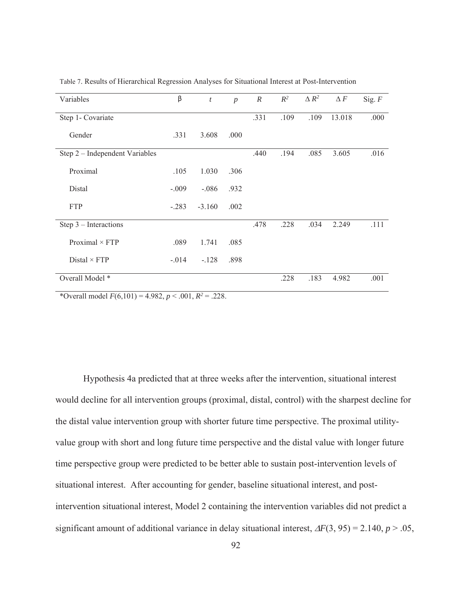| Variables                      | β       | $\boldsymbol{t}$ | $\boldsymbol{p}$ | $\boldsymbol{R}$ | $\mathbb{R}^2$ | $\Delta R^2$ | $\Delta F$ | Sig. $F$ |
|--------------------------------|---------|------------------|------------------|------------------|----------------|--------------|------------|----------|
| Step 1- Covariate              |         |                  |                  | .331             | .109           | .109         | 13.018     | .000     |
| Gender                         | .331    | 3.608            | .000             |                  |                |              |            |          |
| Step 2 - Independent Variables |         |                  |                  | .440             | .194           | .085         | 3.605      | .016     |
| Proximal                       | .105    | 1.030            | .306             |                  |                |              |            |          |
| Distal                         | $-.009$ | $-.086$          | .932             |                  |                |              |            |          |
| <b>FTP</b>                     | $-.283$ | $-3.160$         | .002             |                  |                |              |            |          |
| Step $3$ – Interactions        |         |                  |                  | .478             | .228           | .034         | 2.249      | .111     |
| Proximal $\times$ FTP          | .089    | 1.741            | .085             |                  |                |              |            |          |
| Distal $\times$ FTP            | $-.014$ | $-.128$          | .898             |                  |                |              |            |          |
| Overall Model *                |         |                  |                  |                  | .228           | .183         | 4.982      | .001     |

Table 7. Results of Hierarchical Regression Analyses for Situational Interest at Post-Intervention

\*Overall model  $F(6,101) = 4.982, p < .001, R^2 = .228$ .

Hypothesis 4a predicted that at three weeks after the intervention, situational interest would decline for all intervention groups (proximal, distal, control) with the sharpest decline for the distal value intervention group with shorter future time perspective. The proximal utilityvalue group with short and long future time perspective and the distal value with longer future time perspective group were predicted to be better able to sustain post-intervention levels of situational interest. After accounting for gender, baseline situational interest, and postintervention situational interest, Model 2 containing the intervention variables did not predict a significant amount of additional variance in delay situational interest,  $\Delta F(3, 95) = 2.140$ ,  $p > .05$ ,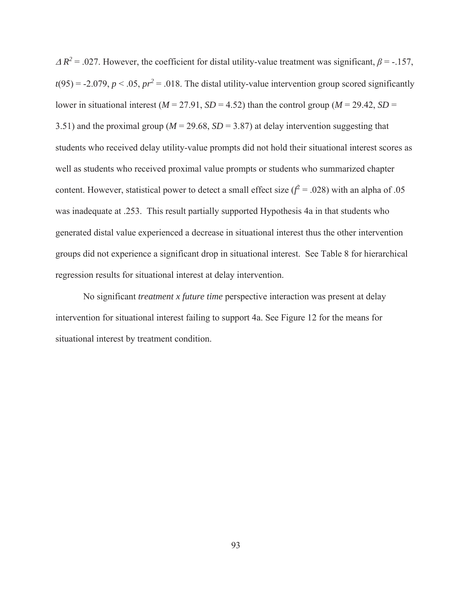$\Delta R^2$  = .027. However, the coefficient for distal utility-value treatment was significant,  $\beta$  = -.157,  $t(95) = -2.079$ ,  $p < .05$ ,  $pr^2 = .018$ . The distal utility-value intervention group scored significantly lower in situational interest ( $M = 27.91$ ,  $SD = 4.52$ ) than the control group ( $M = 29.42$ ,  $SD =$ 3.51) and the proximal group ( $M = 29.68$ ,  $SD = 3.87$ ) at delay intervention suggesting that students who received delay utility-value prompts did not hold their situational interest scores as well as students who received proximal value prompts or students who summarized chapter content. However, statistical power to detect a small effect size  $(f^2 = .028)$  with an alpha of .05 was inadequate at .253. This result partially supported Hypothesis 4a in that students who generated distal value experienced a decrease in situational interest thus the other intervention groups did not experience a significant drop in situational interest. See Table 8 for hierarchical regression results for situational interest at delay intervention.

No significant *treatment x future time* perspective interaction was present at delay intervention for situational interest failing to support 4a. See Figure 12 for the means for situational interest by treatment condition.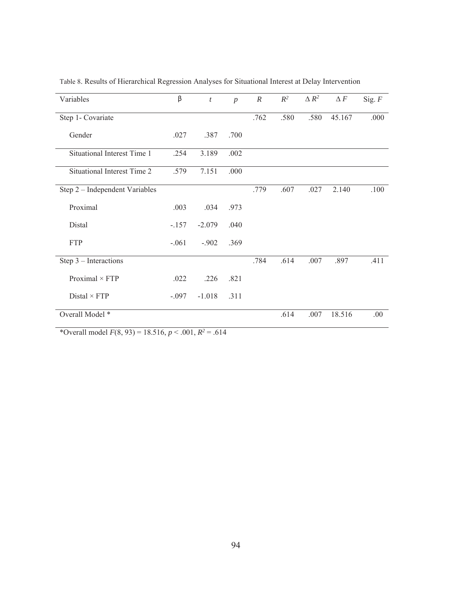| Variables                      | β       | $\boldsymbol{t}$ | $\boldsymbol{p}$ | $\boldsymbol{R}$ | $R^2$ | $\triangle R^2$ | $\Delta\,F$ | Sig. $F$ |
|--------------------------------|---------|------------------|------------------|------------------|-------|-----------------|-------------|----------|
| Step 1- Covariate              |         |                  |                  | .762             | .580  | .580            | 45.167      | .000     |
| Gender                         | .027    | .387             | .700             |                  |       |                 |             |          |
| Situational Interest Time 1    | .254    | 3.189            | .002             |                  |       |                 |             |          |
| Situational Interest Time 2    | .579    | 7.151            | .000             |                  |       |                 |             |          |
| Step 2 - Independent Variables |         |                  |                  | .779             | .607  | .027            | 2.140       | .100     |
| Proximal                       | .003    | .034             | .973             |                  |       |                 |             |          |
| Distal                         | $-.157$ | $-2.079$         | .040             |                  |       |                 |             |          |
| <b>FTP</b>                     | $-.061$ | $-.902$          | .369             |                  |       |                 |             |          |
| Step 3 - Interactions          |         |                  |                  | .784             | .614  | .007            | .897        | .411     |
| Proximal $\times$ FTP          | .022    | .226             | .821             |                  |       |                 |             |          |
| Distal $\times$ FTP            | $-.097$ | $-1.018$         | .311             |                  |       |                 |             |          |
| Overall Model *                |         |                  |                  |                  | .614  | .007            | 18.516      | .00.     |

Table 8. Results of Hierarchical Regression Analyses for Situational Interest at Delay Intervention

\*Overall model  $F(8, 93) = 18.516, p < .001, R^2 = .614$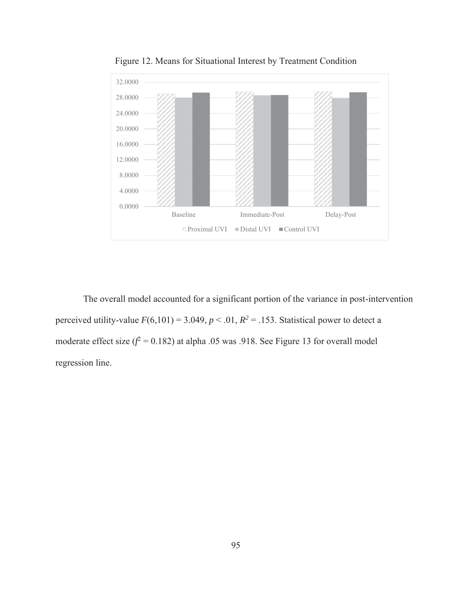

Figure 12. Means for Situational Interest by Treatment Condition

The overall model accounted for a significant portion of the variance in post-intervention perceived utility-value  $F(6,101) = 3.049, p < .01, R^2 = .153$ . Statistical power to detect a moderate effect size  $(f^2 = 0.182)$  at alpha .05 was .918. See Figure 13 for overall model regression line.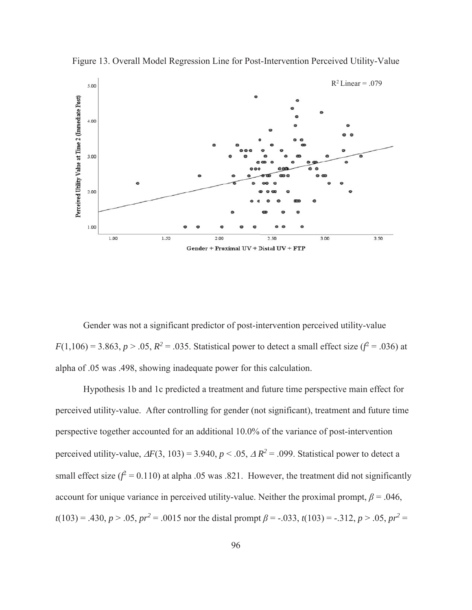

Figure 13. Overall Model Regression Line for Post-Intervention Perceived Utility-Value

Gender was not a significant predictor of post-intervention perceived utility-value  $F(1,106) = 3.863, p > .05, R^2 = .035$ . Statistical power to detect a small effect size ( $f^2 = .036$ ) at alpha of .05 was .498, showing inadequate power for this calculation.

Hypothesis 1b and 1c predicted a treatment and future time perspective main effect for perceived utility-value. After controlling for gender (not significant), treatment and future time perspective together accounted for an additional 10.0% of the variance of post-intervention perceived utility-value,  $\Delta F(3, 103) = 3.940, p < .05, \Delta R^2 = .099$ . Statistical power to detect a small effect size  $(f^2 = 0.110)$  at alpha .05 was .821. However, the treatment did not significantly account for unique variance in perceived utility-value. Neither the proximal prompt,  $\beta$  = .046,  $t(103) = .430, p > .05, pr^2 = .0015$  nor the distal prompt  $\beta = -.033, t(103) = -.312, p > .05, pr^2 =$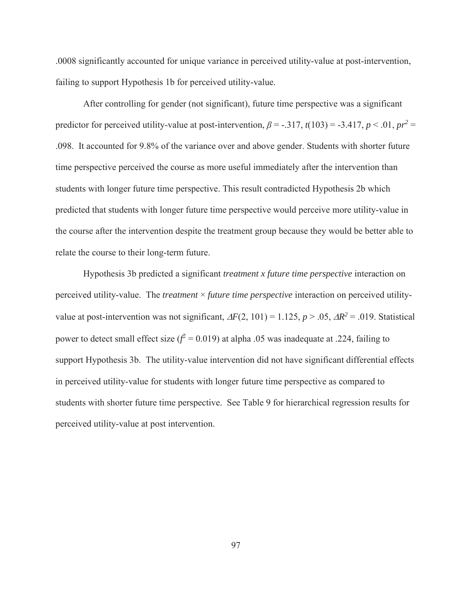.0008 significantly accounted for unique variance in perceived utility-value at post-intervention, failing to support Hypothesis 1b for perceived utility-value.

After controlling for gender (not significant), future time perspective was a significant predictor for perceived utility-value at post-intervention,  $\beta$  = -.317,  $t(103)$  = -3.417,  $p < .01$ ,  $pr^2$  = .098. It accounted for 9.8% of the variance over and above gender. Students with shorter future time perspective perceived the course as more useful immediately after the intervention than students with longer future time perspective. This result contradicted Hypothesis 2b which predicted that students with longer future time perspective would perceive more utility-value in the course after the intervention despite the treatment group because they would be better able to relate the course to their long-term future.

Hypothesis 3b predicted a significant *treatment x future time perspective* interaction on perceived utility-value. The *treatment* × *future time perspective* interaction on perceived utilityvalue at post-intervention was not significant,  $\Delta F(2, 101) = 1.125$ ,  $p > .05$ ,  $\Delta R^2 = .019$ . Statistical power to detect small effect size  $(f^2 = 0.019)$  at alpha .05 was inadequate at .224, failing to support Hypothesis 3b. The utility-value intervention did not have significant differential effects in perceived utility-value for students with longer future time perspective as compared to students with shorter future time perspective. See Table 9 for hierarchical regression results for perceived utility-value at post intervention.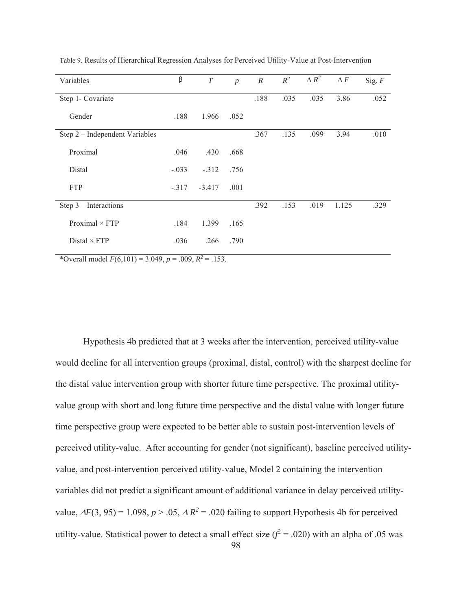| Variables                      | β       | T        | $\boldsymbol{p}$ | $\boldsymbol{R}$ | $R^2$ | $\Delta R^2$ | $\Delta F$ | Sig. $F$ |
|--------------------------------|---------|----------|------------------|------------------|-------|--------------|------------|----------|
| Step 1- Covariate              |         |          |                  | .188             | .035  | .035         | 3.86       | .052     |
| Gender                         | .188    | 1.966    | .052             |                  |       |              |            |          |
| Step 2 - Independent Variables |         |          |                  | .367             | .135  | .099         | 3.94       | .010     |
| Proximal                       | .046    | .430     | .668             |                  |       |              |            |          |
| Distal                         | $-.033$ | $-.312$  | .756             |                  |       |              |            |          |
| <b>FTP</b>                     | $-.317$ | $-3.417$ | .001             |                  |       |              |            |          |
| Step $3$ – Interactions        |         |          |                  | .392             | .153  | .019         | 1.125      | .329     |
| Proximal $\times$ FTP          | .184    | 1.399    | .165             |                  |       |              |            |          |
| $Distal \times FTP$            | .036    | .266     | .790             |                  |       |              |            |          |

Table 9. Results of Hierarchical Regression Analyses for Perceived Utility-Value at Post-Intervention

\*Overall model  $F(6,101) = 3.049$ ,  $p = .009$ ,  $R^2 = .153$ .

Hypothesis 4b predicted that at 3 weeks after the intervention, perceived utility-value would decline for all intervention groups (proximal, distal, control) with the sharpest decline for the distal value intervention group with shorter future time perspective. The proximal utilityvalue group with short and long future time perspective and the distal value with longer future time perspective group were expected to be better able to sustain post-intervention levels of perceived utility-value. After accounting for gender (not significant), baseline perceived utilityvalue, and post-intervention perceived utility-value, Model 2 containing the intervention variables did not predict a significant amount of additional variance in delay perceived utilityvalue,  $\Delta F(3, 95) = 1.098$ ,  $p > .05$ ,  $\Delta R^2 = .020$  failing to support Hypothesis 4b for perceived utility-value. Statistical power to detect a small effect size  $(f^2 = .020)$  with an alpha of .05 was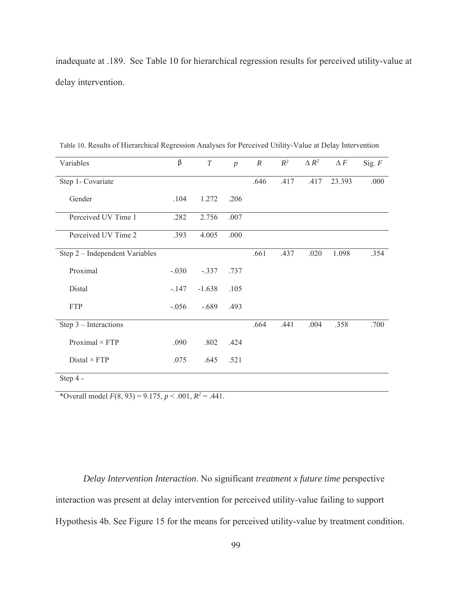inadequate at .189. See Table 10 for hierarchical regression results for perceived utility-value at delay intervention.

| Variables                      | β       | $\cal T$ | $\boldsymbol{p}$ | $\cal R$ | $R^2$ | $\Delta R^2$ | $\Delta F$ | Sig. $F$ |
|--------------------------------|---------|----------|------------------|----------|-------|--------------|------------|----------|
| Step 1- Covariate              |         |          |                  | .646     | .417  | .417         | 23.393     | .000     |
| Gender                         | .104    | 1.272    | .206             |          |       |              |            |          |
| Perceived UV Time 1            | .282    | 2.756    | .007             |          |       |              |            |          |
| Perceived UV Time 2            | .393    | 4.005    | .000             |          |       |              |            |          |
| Step 2 - Independent Variables |         |          |                  | .661     | .437  | .020         | 1.098      | .354     |
| Proximal                       | $-.030$ | $-.337$  | .737             |          |       |              |            |          |
| Distal                         | $-.147$ | $-1.638$ | .105             |          |       |              |            |          |
| <b>FTP</b>                     | $-.056$ | $-.689$  | .493             |          |       |              |            |          |
| Step $3$ – Interactions        |         |          |                  | .664     | .441  | .004         | .358       | .700     |
| Proximal $\times$ FTP          | .090    | .802     | .424             |          |       |              |            |          |
| Distal $\times$ FTP            | .075    | .645     | .521             |          |       |              |            |          |
| Step 4 -                       |         |          |                  |          |       |              |            |          |

Table 10. Results of Hierarchical Regression Analyses for Perceived Utility-Value at Delay Intervention

\*Overall model  $F(8, 93) = 9.175$ ,  $p < .001$ ,  $R^2 = .441$ .

*Delay Intervention Interaction*. No significant *treatment x future time* perspective interaction was present at delay intervention for perceived utility-value failing to support Hypothesis 4b. See Figure 15 for the means for perceived utility-value by treatment condition.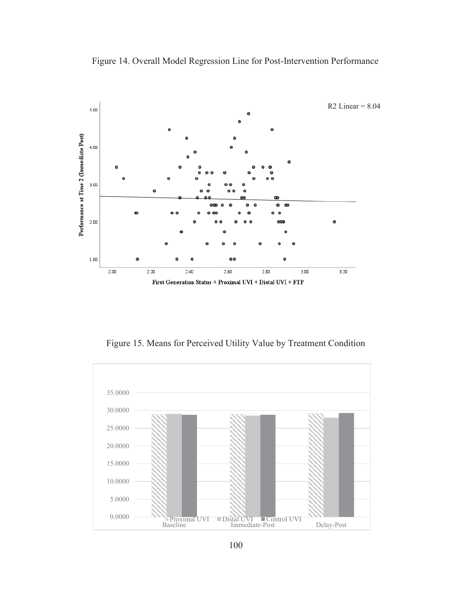

Figure 14. Overall Model Regression Line for Post-Intervention Performance

Figure 15. Means for Perceived Utility Value by Treatment Condition

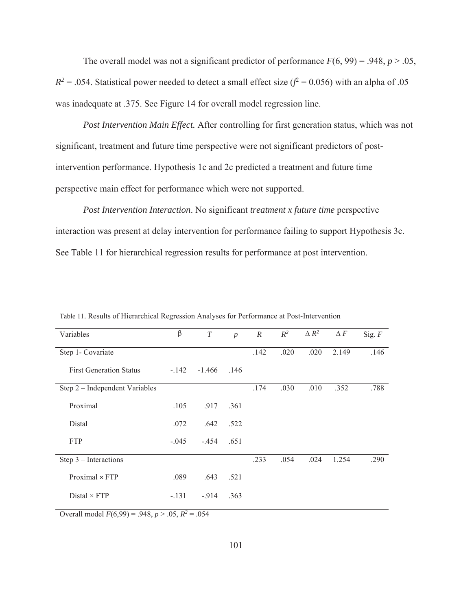The overall model was not a significant predictor of performance  $F(6, 99) = .948$ ,  $p > .05$ ,  $R^2 = 0.054$ . Statistical power needed to detect a small effect size ( $f^2 = 0.056$ ) with an alpha of 0.05 was inadequate at .375. See Figure 14 for overall model regression line.

*Post Intervention Main Effect.* After controlling for first generation status, which was not significant, treatment and future time perspective were not significant predictors of postintervention performance. Hypothesis 1c and 2c predicted a treatment and future time perspective main effect for performance which were not supported.

*Post Intervention Interaction*. No significant *treatment x future time* perspective interaction was present at delay intervention for performance failing to support Hypothesis 3c. See Table 11 for hierarchical regression results for performance at post intervention.

| Variables                      | β       | $\boldsymbol{T}$ | $\boldsymbol{p}$ | $\mathbb{R}$ | $R^2$ | $\Delta R^2$ | $\Delta F$ | Sig. $F$ |
|--------------------------------|---------|------------------|------------------|--------------|-------|--------------|------------|----------|
| Step 1- Covariate              |         |                  |                  | .142         | .020  | .020         | 2.149      | .146     |
| <b>First Generation Status</b> | $-.142$ | $-1.466$ .146    |                  |              |       |              |            |          |
| Step 2 – Independent Variables |         |                  |                  | .174         | .030  | .010         | .352       | .788     |
| Proximal                       | .105    | .917             | .361             |              |       |              |            |          |
| Distal                         | .072    | .642             | .522             |              |       |              |            |          |
| <b>FTP</b>                     | $-.045$ | $-.454$          | .651             |              |       |              |            |          |
| Step $3$ – Interactions        |         |                  |                  | .233         | .054  | .024         | 1.254      | .290     |
| $Proximal \times FTP$          | .089    | .643             | .521             |              |       |              |            |          |
| $Distal \times FTP$            | $-.131$ | $-914$           | .363             |              |       |              |            |          |

Table 11. Results of Hierarchical Regression Analyses for Performance at Post-Intervention

Overall model  $F(6,99) = .948$ ,  $p > .05$ ,  $R^2 = .054$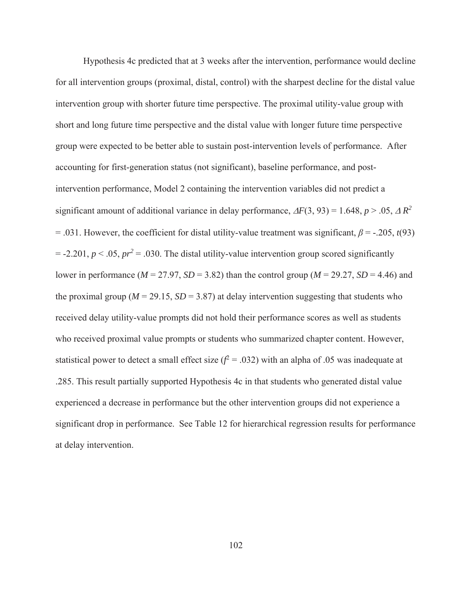Hypothesis 4c predicted that at 3 weeks after the intervention, performance would decline for all intervention groups (proximal, distal, control) with the sharpest decline for the distal value intervention group with shorter future time perspective. The proximal utility-value group with short and long future time perspective and the distal value with longer future time perspective group were expected to be better able to sustain post-intervention levels of performance. After accounting for first-generation status (not significant), baseline performance, and postintervention performance, Model 2 containing the intervention variables did not predict a significant amount of additional variance in delay performance,  $\Delta F(3, 93) = 1.648$ ,  $p > .05$ ,  $\Delta R^2$ = .031. However, the coefficient for distal utility-value treatment was significant,  $\beta$  = -.205, *t*(93)  $= -2.201, p < .05, pr<sup>2</sup> = .030$ . The distal utility-value intervention group scored significantly lower in performance ( $M = 27.97$ ,  $SD = 3.82$ ) than the control group ( $M = 29.27$ ,  $SD = 4.46$ ) and the proximal group ( $M = 29.15$ ,  $SD = 3.87$ ) at delay intervention suggesting that students who received delay utility-value prompts did not hold their performance scores as well as students who received proximal value prompts or students who summarized chapter content. However, statistical power to detect a small effect size  $(f^2 = .032)$  with an alpha of .05 was inadequate at .285. This result partially supported Hypothesis 4c in that students who generated distal value experienced a decrease in performance but the other intervention groups did not experience a significant drop in performance. See Table 12 for hierarchical regression results for performance at delay intervention.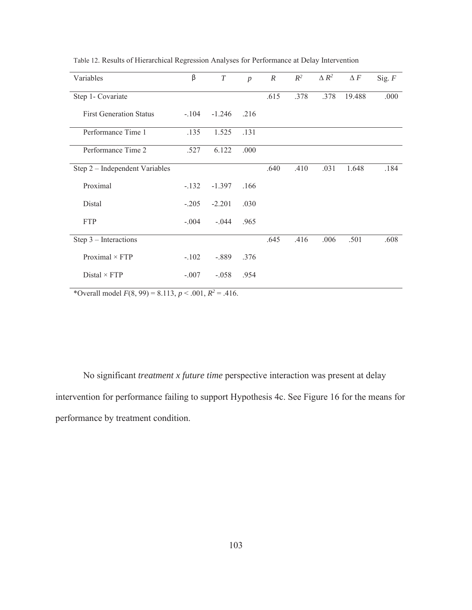| Variables                      | β       | $\cal T$ | $\boldsymbol{p}$ | $\boldsymbol{R}$ | $R^2$ | $\Delta$ $R^2$ | $\Delta F$ | Sig. $F$ |
|--------------------------------|---------|----------|------------------|------------------|-------|----------------|------------|----------|
| Step 1- Covariate              |         |          |                  | .615             | .378  | .378           | 19.488     | .000     |
| <b>First Generation Status</b> | $-.104$ | $-1.246$ | .216             |                  |       |                |            |          |
| Performance Time 1             | .135    | 1.525    | .131             |                  |       |                |            |          |
| Performance Time 2             | .527    | 6.122    | .000             |                  |       |                |            |          |
| Step 2 - Independent Variables |         |          |                  | .640             | .410  | .031           | 1.648      | .184     |
| Proximal                       | $-.132$ | $-1.397$ | .166             |                  |       |                |            |          |
| Distal                         | $-.205$ | $-2.201$ | .030             |                  |       |                |            |          |
| <b>FTP</b>                     | $-.004$ | $-.044$  | .965             |                  |       |                |            |          |
| Step $3$ – Interactions        |         |          |                  | .645             | .416  | .006           | .501       | .608     |
| Proximal $\times$ FTP          | $-.102$ | $-.889$  | .376             |                  |       |                |            |          |
| $Distal \times FTP$            | $-.007$ | $-.058$  | .954             |                  |       |                |            |          |

Table 12. Results of Hierarchical Regression Analyses for Performance at Delay Intervention

\*Overall model  $F(8, 99) = 8.113$ ,  $p < .001$ ,  $R^2 = .416$ .

No significant *treatment x future time* perspective interaction was present at delay intervention for performance failing to support Hypothesis 4c. See Figure 16 for the means for performance by treatment condition.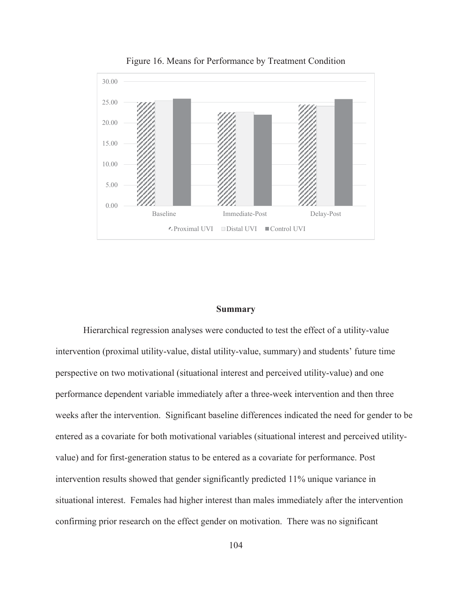

Figure 16. Means for Performance by Treatment Condition

#### **Summary**

 Hierarchical regression analyses were conducted to test the effect of a utility-value intervention (proximal utility-value, distal utility-value, summary) and students' future time perspective on two motivational (situational interest and perceived utility-value) and one performance dependent variable immediately after a three-week intervention and then three weeks after the intervention. Significant baseline differences indicated the need for gender to be entered as a covariate for both motivational variables (situational interest and perceived utilityvalue) and for first-generation status to be entered as a covariate for performance. Post intervention results showed that gender significantly predicted 11% unique variance in situational interest. Females had higher interest than males immediately after the intervention confirming prior research on the effect gender on motivation. There was no significant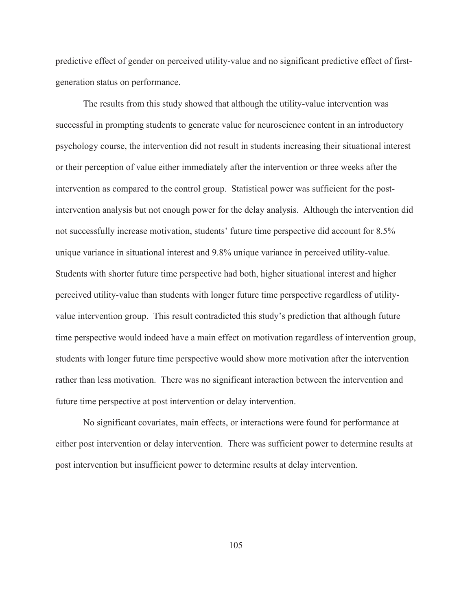predictive effect of gender on perceived utility-value and no significant predictive effect of firstgeneration status on performance.

The results from this study showed that although the utility-value intervention was successful in prompting students to generate value for neuroscience content in an introductory psychology course, the intervention did not result in students increasing their situational interest or their perception of value either immediately after the intervention or three weeks after the intervention as compared to the control group. Statistical power was sufficient for the postintervention analysis but not enough power for the delay analysis. Although the intervention did not successfully increase motivation, students' future time perspective did account for 8.5% unique variance in situational interest and 9.8% unique variance in perceived utility-value. Students with shorter future time perspective had both, higher situational interest and higher perceived utility-value than students with longer future time perspective regardless of utilityvalue intervention group. This result contradicted this study's prediction that although future time perspective would indeed have a main effect on motivation regardless of intervention group, students with longer future time perspective would show more motivation after the intervention rather than less motivation. There was no significant interaction between the intervention and future time perspective at post intervention or delay intervention.

No significant covariates, main effects, or interactions were found for performance at either post intervention or delay intervention. There was sufficient power to determine results at post intervention but insufficient power to determine results at delay intervention.

105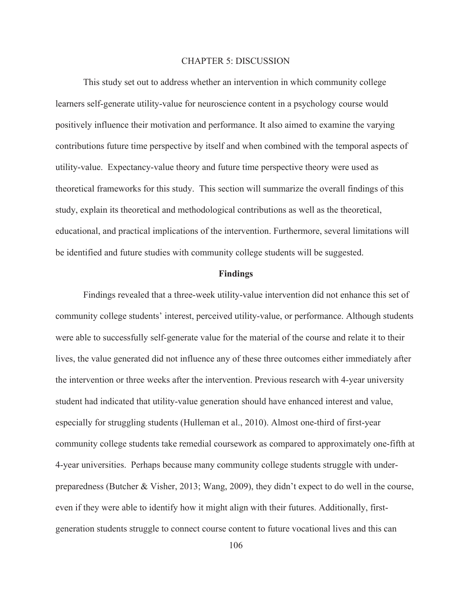#### CHAPTER 5: DISCUSSION

This study set out to address whether an intervention in which community college learners self-generate utility-value for neuroscience content in a psychology course would positively influence their motivation and performance. It also aimed to examine the varying contributions future time perspective by itself and when combined with the temporal aspects of utility-value. Expectancy-value theory and future time perspective theory were used as theoretical frameworks for this study. This section will summarize the overall findings of this study, explain its theoretical and methodological contributions as well as the theoretical, educational, and practical implications of the intervention. Furthermore, several limitations will be identified and future studies with community college students will be suggested.

#### **Findings**

Findings revealed that a three-week utility-value intervention did not enhance this set of community college students' interest, perceived utility-value, or performance. Although students were able to successfully self-generate value for the material of the course and relate it to their lives, the value generated did not influence any of these three outcomes either immediately after the intervention or three weeks after the intervention. Previous research with 4-year university student had indicated that utility-value generation should have enhanced interest and value, especially for struggling students (Hulleman et al., 2010). Almost one-third of first-year community college students take remedial coursework as compared to approximately one-fifth at 4-year universities. Perhaps because many community college students struggle with underpreparedness (Butcher & Visher, 2013; Wang, 2009), they didn't expect to do well in the course, even if they were able to identify how it might align with their futures. Additionally, firstgeneration students struggle to connect course content to future vocational lives and this can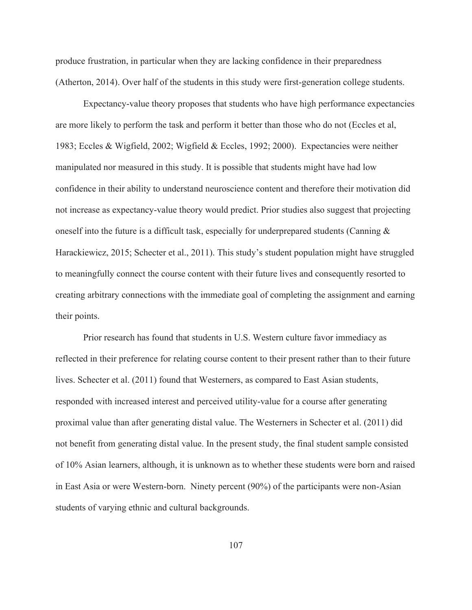produce frustration, in particular when they are lacking confidence in their preparedness (Atherton, 2014). Over half of the students in this study were first-generation college students.

 Expectancy-value theory proposes that students who have high performance expectancies are more likely to perform the task and perform it better than those who do not (Eccles et al, 1983; Eccles & Wigfield, 2002; Wigfield & Eccles, 1992; 2000). Expectancies were neither manipulated nor measured in this study. It is possible that students might have had low confidence in their ability to understand neuroscience content and therefore their motivation did not increase as expectancy-value theory would predict. Prior studies also suggest that projecting oneself into the future is a difficult task, especially for underprepared students (Canning & Harackiewicz, 2015; Schecter et al., 2011). This study's student population might have struggled to meaningfully connect the course content with their future lives and consequently resorted to creating arbitrary connections with the immediate goal of completing the assignment and earning their points.

Prior research has found that students in U.S. Western culture favor immediacy as reflected in their preference for relating course content to their present rather than to their future lives. Schecter et al. (2011) found that Westerners, as compared to East Asian students, responded with increased interest and perceived utility-value for a course after generating proximal value than after generating distal value. The Westerners in Schecter et al. (2011) did not benefit from generating distal value. In the present study, the final student sample consisted of 10% Asian learners, although, it is unknown as to whether these students were born and raised in East Asia or were Western-born. Ninety percent (90%) of the participants were non-Asian students of varying ethnic and cultural backgrounds.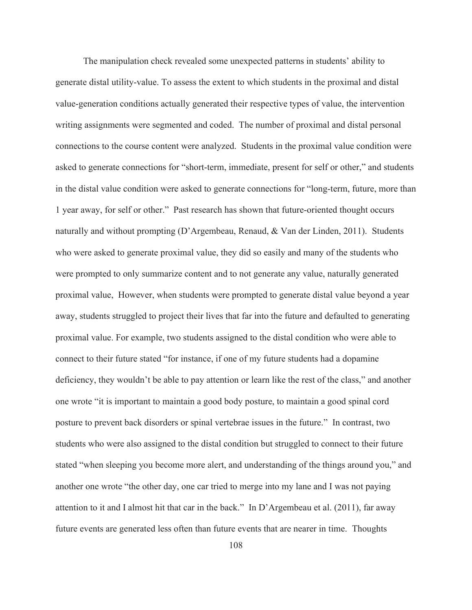The manipulation check revealed some unexpected patterns in students' ability to generate distal utility-value. To assess the extent to which students in the proximal and distal value-generation conditions actually generated their respective types of value, the intervention writing assignments were segmented and coded. The number of proximal and distal personal connections to the course content were analyzed. Students in the proximal value condition were asked to generate connections for "short-term, immediate, present for self or other," and students in the distal value condition were asked to generate connections for "long-term, future, more than 1 year away, for self or other." Past research has shown that future-oriented thought occurs naturally and without prompting (D'Argembeau, Renaud, & Van der Linden, 2011). Students who were asked to generate proximal value, they did so easily and many of the students who were prompted to only summarize content and to not generate any value, naturally generated proximal value, However, when students were prompted to generate distal value beyond a year away, students struggled to project their lives that far into the future and defaulted to generating proximal value. For example, two students assigned to the distal condition who were able to connect to their future stated "for instance, if one of my future students had a dopamine deficiency, they wouldn't be able to pay attention or learn like the rest of the class," and another one wrote "it is important to maintain a good body posture, to maintain a good spinal cord posture to prevent back disorders or spinal vertebrae issues in the future." In contrast, two students who were also assigned to the distal condition but struggled to connect to their future stated "when sleeping you become more alert, and understanding of the things around you," and another one wrote "the other day, one car tried to merge into my lane and I was not paying attention to it and I almost hit that car in the back." In D'Argembeau et al. (2011), far away future events are generated less often than future events that are nearer in time. Thoughts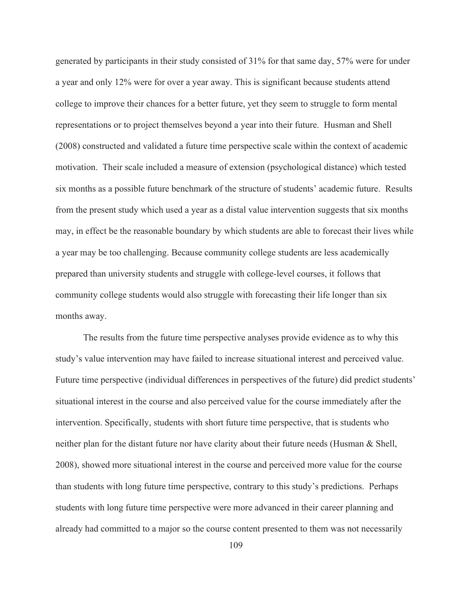generated by participants in their study consisted of 31% for that same day, 57% were for under a year and only 12% were for over a year away. This is significant because students attend college to improve their chances for a better future, yet they seem to struggle to form mental representations or to project themselves beyond a year into their future. Husman and Shell (2008) constructed and validated a future time perspective scale within the context of academic motivation. Their scale included a measure of extension (psychological distance) which tested six months as a possible future benchmark of the structure of students' academic future. Results from the present study which used a year as a distal value intervention suggests that six months may, in effect be the reasonable boundary by which students are able to forecast their lives while a year may be too challenging. Because community college students are less academically prepared than university students and struggle with college-level courses, it follows that community college students would also struggle with forecasting their life longer than six months away.

The results from the future time perspective analyses provide evidence as to why this study's value intervention may have failed to increase situational interest and perceived value. Future time perspective (individual differences in perspectives of the future) did predict students' situational interest in the course and also perceived value for the course immediately after the intervention. Specifically, students with short future time perspective, that is students who neither plan for the distant future nor have clarity about their future needs (Husman & Shell, 2008), showed more situational interest in the course and perceived more value for the course than students with long future time perspective, contrary to this study's predictions. Perhaps students with long future time perspective were more advanced in their career planning and already had committed to a major so the course content presented to them was not necessarily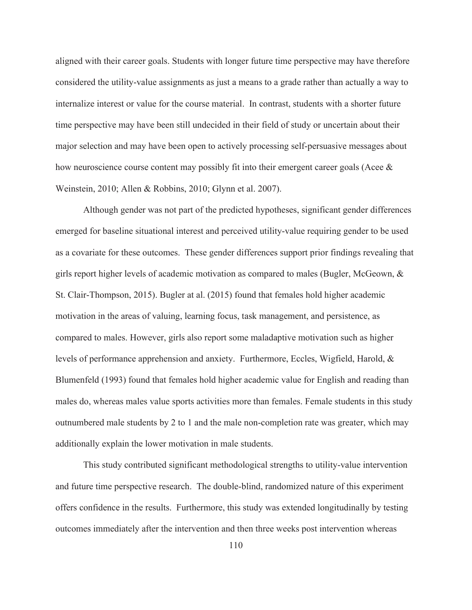aligned with their career goals. Students with longer future time perspective may have therefore considered the utility-value assignments as just a means to a grade rather than actually a way to internalize interest or value for the course material. In contrast, students with a shorter future time perspective may have been still undecided in their field of study or uncertain about their major selection and may have been open to actively processing self-persuasive messages about how neuroscience course content may possibly fit into their emergent career goals (Acee & Weinstein, 2010; Allen & Robbins, 2010; Glynn et al. 2007).

Although gender was not part of the predicted hypotheses, significant gender differences emerged for baseline situational interest and perceived utility-value requiring gender to be used as a covariate for these outcomes. These gender differences support prior findings revealing that girls report higher levels of academic motivation as compared to males (Bugler, McGeown, & St. Clair-Thompson, 2015). Bugler at al. (2015) found that females hold higher academic motivation in the areas of valuing, learning focus, task management, and persistence, as compared to males. However, girls also report some maladaptive motivation such as higher levels of performance apprehension and anxiety. Furthermore, Eccles, Wigfield, Harold, & Blumenfeld (1993) found that females hold higher academic value for English and reading than males do, whereas males value sports activities more than females. Female students in this study outnumbered male students by 2 to 1 and the male non-completion rate was greater, which may additionally explain the lower motivation in male students.

This study contributed significant methodological strengths to utility-value intervention and future time perspective research. The double-blind, randomized nature of this experiment offers confidence in the results. Furthermore, this study was extended longitudinally by testing outcomes immediately after the intervention and then three weeks post intervention whereas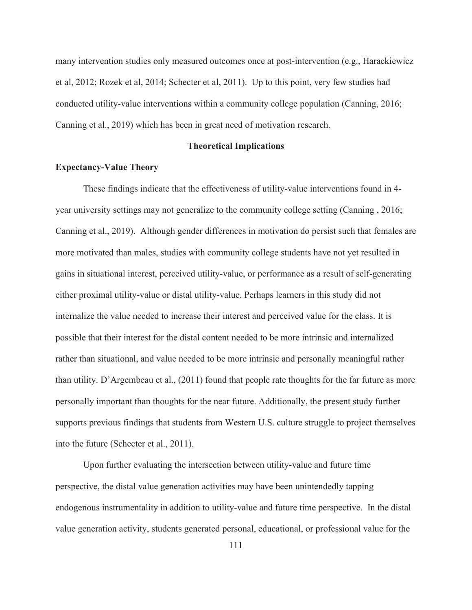many intervention studies only measured outcomes once at post-intervention (e.g., Harackiewicz et al, 2012; Rozek et al, 2014; Schecter et al, 2011). Up to this point, very few studies had conducted utility-value interventions within a community college population (Canning, 2016; Canning et al., 2019) which has been in great need of motivation research.

#### **Theoretical Implications**

#### **Expectancy-Value Theory**

These findings indicate that the effectiveness of utility-value interventions found in 4 year university settings may not generalize to the community college setting (Canning , 2016; Canning et al., 2019). Although gender differences in motivation do persist such that females are more motivated than males, studies with community college students have not yet resulted in gains in situational interest, perceived utility-value, or performance as a result of self-generating either proximal utility-value or distal utility-value. Perhaps learners in this study did not internalize the value needed to increase their interest and perceived value for the class. It is possible that their interest for the distal content needed to be more intrinsic and internalized rather than situational, and value needed to be more intrinsic and personally meaningful rather than utility. D'Argembeau et al., (2011) found that people rate thoughts for the far future as more personally important than thoughts for the near future. Additionally, the present study further supports previous findings that students from Western U.S. culture struggle to project themselves into the future (Schecter et al., 2011).

Upon further evaluating the intersection between utility-value and future time perspective, the distal value generation activities may have been unintendedly tapping endogenous instrumentality in addition to utility-value and future time perspective. In the distal value generation activity, students generated personal, educational, or professional value for the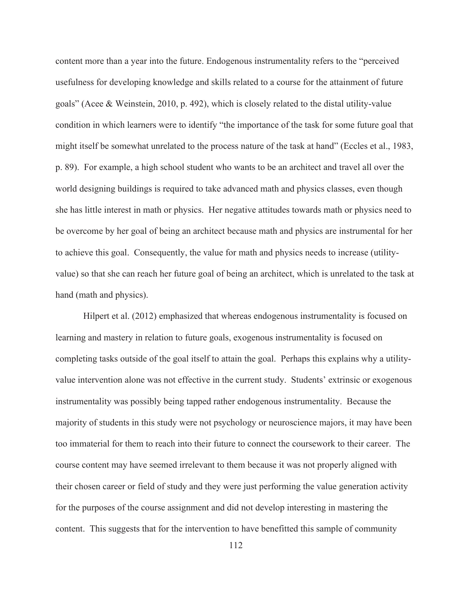content more than a year into the future. Endogenous instrumentality refers to the "perceived usefulness for developing knowledge and skills related to a course for the attainment of future goals" (Acee & Weinstein, 2010, p. 492), which is closely related to the distal utility-value condition in which learners were to identify "the importance of the task for some future goal that might itself be somewhat unrelated to the process nature of the task at hand" (Eccles et al., 1983, p. 89). For example, a high school student who wants to be an architect and travel all over the world designing buildings is required to take advanced math and physics classes, even though she has little interest in math or physics. Her negative attitudes towards math or physics need to be overcome by her goal of being an architect because math and physics are instrumental for her to achieve this goal. Consequently, the value for math and physics needs to increase (utilityvalue) so that she can reach her future goal of being an architect, which is unrelated to the task at hand (math and physics).

Hilpert et al. (2012) emphasized that whereas endogenous instrumentality is focused on learning and mastery in relation to future goals, exogenous instrumentality is focused on completing tasks outside of the goal itself to attain the goal. Perhaps this explains why a utilityvalue intervention alone was not effective in the current study. Students' extrinsic or exogenous instrumentality was possibly being tapped rather endogenous instrumentality. Because the majority of students in this study were not psychology or neuroscience majors, it may have been too immaterial for them to reach into their future to connect the coursework to their career. The course content may have seemed irrelevant to them because it was not properly aligned with their chosen career or field of study and they were just performing the value generation activity for the purposes of the course assignment and did not develop interesting in mastering the content. This suggests that for the intervention to have benefitted this sample of community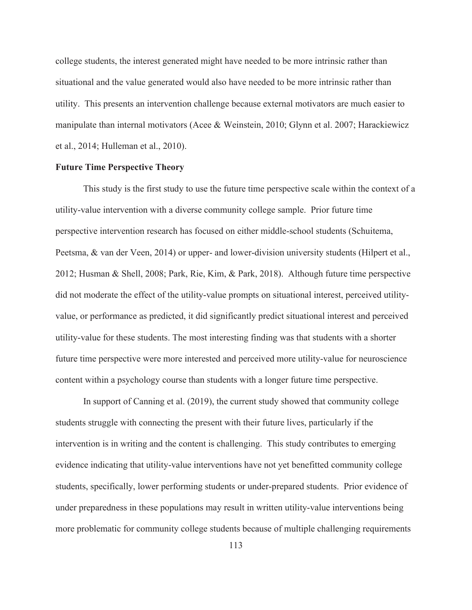college students, the interest generated might have needed to be more intrinsic rather than situational and the value generated would also have needed to be more intrinsic rather than utility. This presents an intervention challenge because external motivators are much easier to manipulate than internal motivators (Acee & Weinstein, 2010; Glynn et al. 2007; Harackiewicz et al., 2014; Hulleman et al., 2010).

### **Future Time Perspective Theory**

This study is the first study to use the future time perspective scale within the context of a utility-value intervention with a diverse community college sample. Prior future time perspective intervention research has focused on either middle-school students (Schuitema, Peetsma, & van der Veen, 2014) or upper- and lower-division university students (Hilpert et al., 2012; Husman & Shell, 2008; Park, Rie, Kim, & Park, 2018). Although future time perspective did not moderate the effect of the utility-value prompts on situational interest, perceived utilityvalue, or performance as predicted, it did significantly predict situational interest and perceived utility-value for these students. The most interesting finding was that students with a shorter future time perspective were more interested and perceived more utility-value for neuroscience content within a psychology course than students with a longer future time perspective.

In support of Canning et al. (2019), the current study showed that community college students struggle with connecting the present with their future lives, particularly if the intervention is in writing and the content is challenging. This study contributes to emerging evidence indicating that utility-value interventions have not yet benefitted community college students, specifically, lower performing students or under-prepared students. Prior evidence of under preparedness in these populations may result in written utility-value interventions being more problematic for community college students because of multiple challenging requirements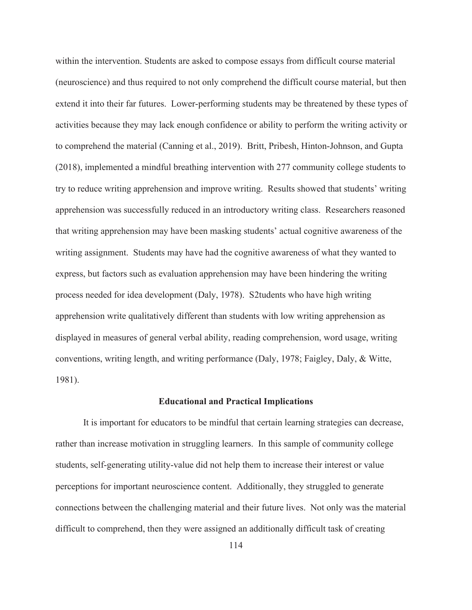within the intervention. Students are asked to compose essays from difficult course material (neuroscience) and thus required to not only comprehend the difficult course material, but then extend it into their far futures. Lower-performing students may be threatened by these types of activities because they may lack enough confidence or ability to perform the writing activity or to comprehend the material (Canning et al., 2019). Britt, Pribesh, Hinton-Johnson, and Gupta (2018), implemented a mindful breathing intervention with 277 community college students to try to reduce writing apprehension and improve writing. Results showed that students' writing apprehension was successfully reduced in an introductory writing class. Researchers reasoned that writing apprehension may have been masking students' actual cognitive awareness of the writing assignment. Students may have had the cognitive awareness of what they wanted to express, but factors such as evaluation apprehension may have been hindering the writing process needed for idea development (Daly, 1978). S2tudents who have high writing apprehension write qualitatively different than students with low writing apprehension as displayed in measures of general verbal ability, reading comprehension, word usage, writing conventions, writing length, and writing performance (Daly, 1978; Faigley, Daly, & Witte, 1981).

#### **Educational and Practical Implications**

 It is important for educators to be mindful that certain learning strategies can decrease, rather than increase motivation in struggling learners. In this sample of community college students, self-generating utility-value did not help them to increase their interest or value perceptions for important neuroscience content. Additionally, they struggled to generate connections between the challenging material and their future lives. Not only was the material difficult to comprehend, then they were assigned an additionally difficult task of creating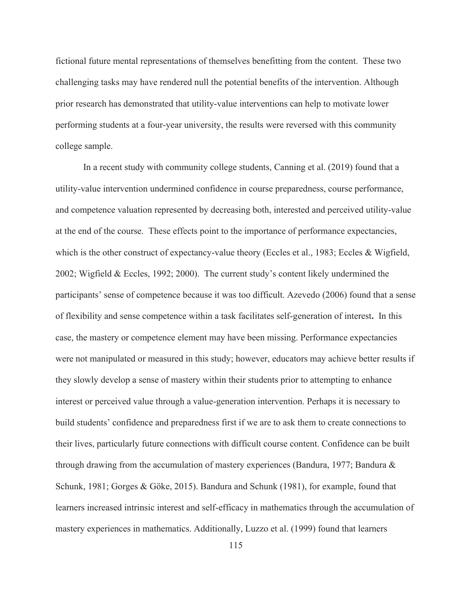fictional future mental representations of themselves benefitting from the content. These two challenging tasks may have rendered null the potential benefits of the intervention. Although prior research has demonstrated that utility-value interventions can help to motivate lower performing students at a four-year university, the results were reversed with this community college sample.

In a recent study with community college students, Canning et al. (2019) found that a utility-value intervention undermined confidence in course preparedness, course performance, and competence valuation represented by decreasing both, interested and perceived utility-value at the end of the course. These effects point to the importance of performance expectancies, which is the other construct of expectancy-value theory (Eccles et al., 1983; Eccles & Wigfield, 2002; Wigfield & Eccles, 1992; 2000). The current study's content likely undermined the participants' sense of competence because it was too difficult. Azevedo (2006) found that a sense of flexibility and sense competence within a task facilitates self-generation of interest**.** In this case, the mastery or competence element may have been missing. Performance expectancies were not manipulated or measured in this study; however, educators may achieve better results if they slowly develop a sense of mastery within their students prior to attempting to enhance interest or perceived value through a value-generation intervention. Perhaps it is necessary to build students' confidence and preparedness first if we are to ask them to create connections to their lives, particularly future connections with difficult course content. Confidence can be built through drawing from the accumulation of mastery experiences (Bandura, 1977; Bandura & Schunk, 1981; Gorges & Göke, 2015). Bandura and Schunk (1981), for example, found that learners increased intrinsic interest and self-efficacy in mathematics through the accumulation of mastery experiences in mathematics. Additionally, Luzzo et al. (1999) found that learners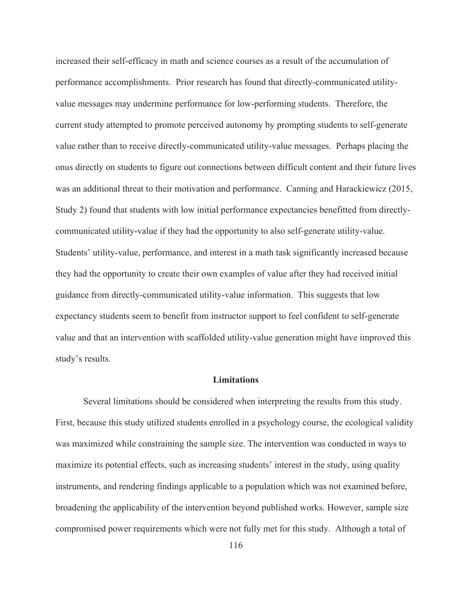increased their self-efficacy in math and science courses as a result of the accumulation of performance accomplishments. Prior research has found that directly-communicated utilityvalue messages may undermine performance for low-performing students. Therefore, the current study attempted to promote perceived autonomy by prompting students to self-generate value rather than to receive directly-communicated utility-value messages. Perhaps placing the onus directly on students to figure out connections between difficult content and their future lives was an additional threat to their motivation and performance. Canning and Harackiewicz (2015, Study 2) found that students with low initial performance expectancies benefitted from directlycommunicated utility-value if they had the opportunity to also self-generate utility-value. Students' utility-value, performance, and interest in a math task significantly increased because they had the opportunity to create their own examples of value after they had received initial guidance from directly-communicated utility-value information. This suggests that low expectancy students seem to benefit from instructor support to feel confident to self-generate value and that an intervention with scaffolded utility-value generation might have improved this study's results.

## **Limitations**

 Several limitations should be considered when interpreting the results from this study. First, because this study utilized students enrolled in a psychology course, the ecological validity was maximized while constraining the sample size. The intervention was conducted in ways to maximize its potential effects, such as increasing students' interest in the study, using quality instruments, and rendering findings applicable to a population which was not examined before, broadening the applicability of the intervention beyond published works. However, sample size compromised power requirements which were not fully met for this study. Although a total of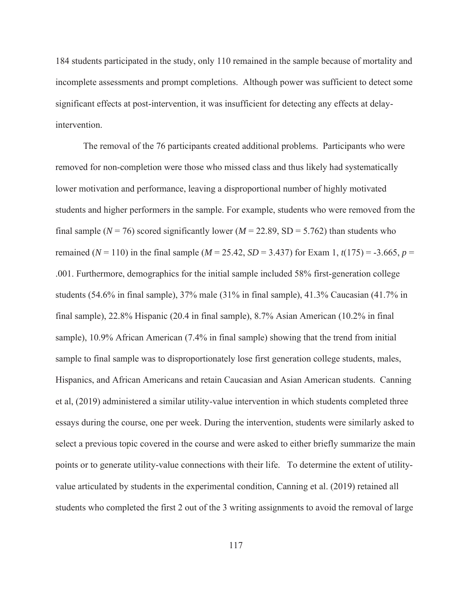184 students participated in the study, only 110 remained in the sample because of mortality and incomplete assessments and prompt completions. Although power was sufficient to detect some significant effects at post-intervention, it was insufficient for detecting any effects at delayintervention.

The removal of the 76 participants created additional problems. Participants who were removed for non-completion were those who missed class and thus likely had systematically lower motivation and performance, leaving a disproportional number of highly motivated students and higher performers in the sample. For example, students who were removed from the final sample ( $N = 76$ ) scored significantly lower ( $M = 22.89$ , SD = 5.762) than students who remained ( $N = 110$ ) in the final sample ( $M = 25.42$ ,  $SD = 3.437$ ) for Exam 1,  $t(175) = -3.665$ ,  $p =$ .001. Furthermore, demographics for the initial sample included 58% first-generation college students (54.6% in final sample), 37% male (31% in final sample), 41.3% Caucasian (41.7% in final sample), 22.8% Hispanic (20.4 in final sample), 8.7% Asian American (10.2% in final sample), 10.9% African American (7.4% in final sample) showing that the trend from initial sample to final sample was to disproportionately lose first generation college students, males, Hispanics, and African Americans and retain Caucasian and Asian American students. Canning et al, (2019) administered a similar utility-value intervention in which students completed three essays during the course, one per week. During the intervention, students were similarly asked to select a previous topic covered in the course and were asked to either briefly summarize the main points or to generate utility-value connections with their life. To determine the extent of utilityvalue articulated by students in the experimental condition, Canning et al. (2019) retained all students who completed the first 2 out of the 3 writing assignments to avoid the removal of large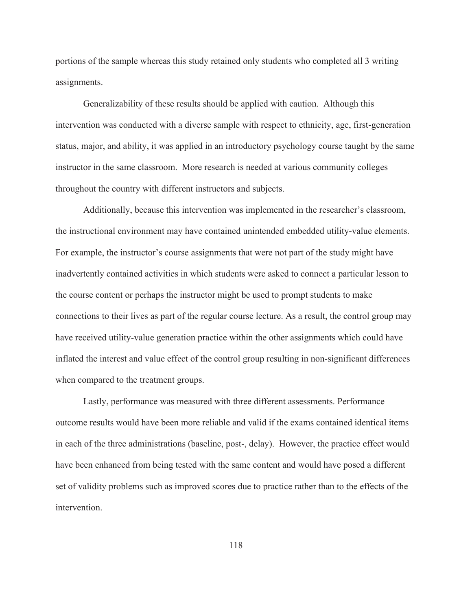portions of the sample whereas this study retained only students who completed all 3 writing assignments.

Generalizability of these results should be applied with caution. Although this intervention was conducted with a diverse sample with respect to ethnicity, age, first-generation status, major, and ability, it was applied in an introductory psychology course taught by the same instructor in the same classroom. More research is needed at various community colleges throughout the country with different instructors and subjects.

Additionally, because this intervention was implemented in the researcher's classroom, the instructional environment may have contained unintended embedded utility-value elements. For example, the instructor's course assignments that were not part of the study might have inadvertently contained activities in which students were asked to connect a particular lesson to the course content or perhaps the instructor might be used to prompt students to make connections to their lives as part of the regular course lecture. As a result, the control group may have received utility-value generation practice within the other assignments which could have inflated the interest and value effect of the control group resulting in non-significant differences when compared to the treatment groups.

Lastly, performance was measured with three different assessments. Performance outcome results would have been more reliable and valid if the exams contained identical items in each of the three administrations (baseline, post-, delay). However, the practice effect would have been enhanced from being tested with the same content and would have posed a different set of validity problems such as improved scores due to practice rather than to the effects of the intervention.

118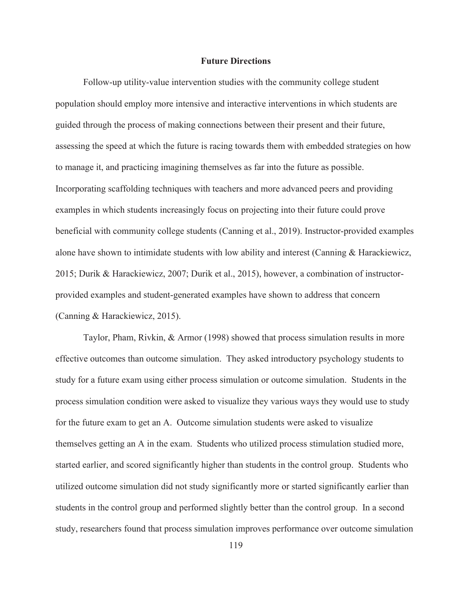#### **Future Directions**

Follow-up utility-value intervention studies with the community college student population should employ more intensive and interactive interventions in which students are guided through the process of making connections between their present and their future, assessing the speed at which the future is racing towards them with embedded strategies on how to manage it, and practicing imagining themselves as far into the future as possible. Incorporating scaffolding techniques with teachers and more advanced peers and providing examples in which students increasingly focus on projecting into their future could prove beneficial with community college students (Canning et al., 2019). Instructor-provided examples alone have shown to intimidate students with low ability and interest (Canning & Harackiewicz, 2015; Durik & Harackiewicz, 2007; Durik et al., 2015), however, a combination of instructorprovided examples and student-generated examples have shown to address that concern (Canning & Harackiewicz, 2015).

Taylor, Pham, Rivkin, & Armor (1998) showed that process simulation results in more effective outcomes than outcome simulation. They asked introductory psychology students to study for a future exam using either process simulation or outcome simulation. Students in the process simulation condition were asked to visualize they various ways they would use to study for the future exam to get an A. Outcome simulation students were asked to visualize themselves getting an A in the exam. Students who utilized process stimulation studied more, started earlier, and scored significantly higher than students in the control group. Students who utilized outcome simulation did not study significantly more or started significantly earlier than students in the control group and performed slightly better than the control group. In a second study, researchers found that process simulation improves performance over outcome simulation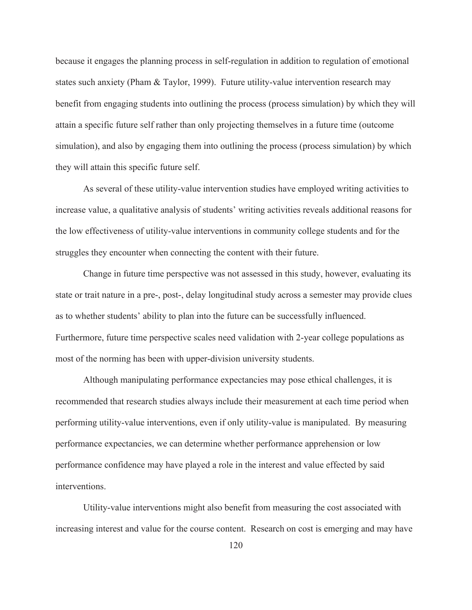because it engages the planning process in self-regulation in addition to regulation of emotional states such anxiety (Pham & Taylor, 1999). Future utility-value intervention research may benefit from engaging students into outlining the process (process simulation) by which they will attain a specific future self rather than only projecting themselves in a future time (outcome simulation), and also by engaging them into outlining the process (process simulation) by which they will attain this specific future self.

As several of these utility-value intervention studies have employed writing activities to increase value, a qualitative analysis of students' writing activities reveals additional reasons for the low effectiveness of utility-value interventions in community college students and for the struggles they encounter when connecting the content with their future.

Change in future time perspective was not assessed in this study, however, evaluating its state or trait nature in a pre-, post-, delay longitudinal study across a semester may provide clues as to whether students' ability to plan into the future can be successfully influenced. Furthermore, future time perspective scales need validation with 2-year college populations as most of the norming has been with upper-division university students.

Although manipulating performance expectancies may pose ethical challenges, it is recommended that research studies always include their measurement at each time period when performing utility-value interventions, even if only utility-value is manipulated. By measuring performance expectancies, we can determine whether performance apprehension or low performance confidence may have played a role in the interest and value effected by said interventions.

Utility-value interventions might also benefit from measuring the cost associated with increasing interest and value for the course content. Research on cost is emerging and may have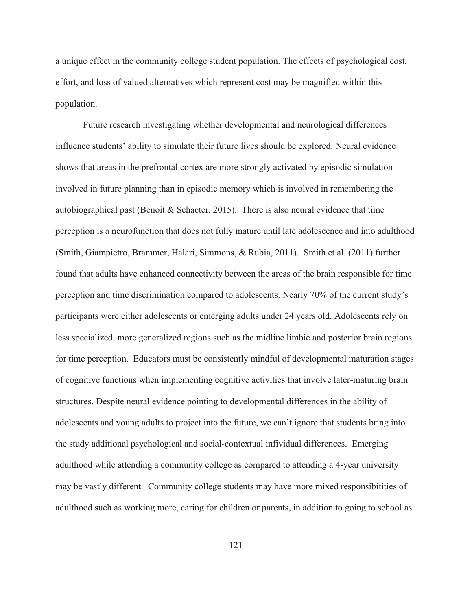a unique effect in the community college student population. The effects of psychological cost, effort, and loss of valued alternatives which represent cost may be magnified within this population.

Future research investigating whether developmental and neurological differences influence students' ability to simulate their future lives should be explored. Neural evidence shows that areas in the prefrontal cortex are more strongly activated by episodic simulation involved in future planning than in episodic memory which is involved in remembering the autobiographical past (Benoit & Schacter, 2015). There is also neural evidence that time perception is a neurofunction that does not fully mature until late adolescence and into adulthood (Smith, Giampietro, Brammer, Halari, Simmons, & Rubia, 2011). Smith et al. (2011) further found that adults have enhanced connectivity between the areas of the brain responsible for time perception and time discrimination compared to adolescents. Nearly 70% of the current study's participants were either adolescents or emerging adults under 24 years old. Adolescents rely on less specialized, more generalized regions such as the midline limbic and posterior brain regions for time perception. Educators must be consistently mindful of developmental maturation stages of cognitive functions when implementing cognitive activities that involve later-maturing brain structures. Despite neural evidence pointing to developmental differences in the ability of adolescents and young adults to project into the future, we can't ignore that students bring into the study additional psychological and social-contextual infividual differences. Emerging adulthood while attending a community college as compared to attending a 4-year university may be vastly different. Community college students may have more mixed responsibitities of adulthood such as working more, caring for children or parents, in addition to going to school as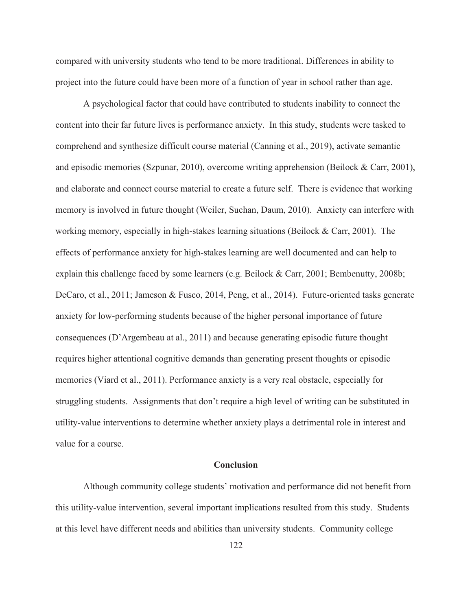compared with university students who tend to be more traditional. Differences in ability to project into the future could have been more of a function of year in school rather than age.

A psychological factor that could have contributed to students inability to connect the content into their far future lives is performance anxiety. In this study, students were tasked to comprehend and synthesize difficult course material (Canning et al., 2019), activate semantic and episodic memories (Szpunar, 2010), overcome writing apprehension (Beilock & Carr, 2001), and elaborate and connect course material to create a future self. There is evidence that working memory is involved in future thought (Weiler, Suchan, Daum, 2010). Anxiety can interfere with working memory, especially in high-stakes learning situations (Beilock & Carr, 2001). The effects of performance anxiety for high-stakes learning are well documented and can help to explain this challenge faced by some learners (e.g. Beilock & Carr, 2001; Bembenutty, 2008b; DeCaro, et al., 2011; Jameson & Fusco, 2014, Peng, et al., 2014). Future-oriented tasks generate anxiety for low-performing students because of the higher personal importance of future consequences (D'Argembeau at al., 2011) and because generating episodic future thought requires higher attentional cognitive demands than generating present thoughts or episodic memories (Viard et al., 2011). Performance anxiety is a very real obstacle, especially for struggling students. Assignments that don't require a high level of writing can be substituted in utility-value interventions to determine whether anxiety plays a detrimental role in interest and value for a course.

### **Conclusion**

Although community college students' motivation and performance did not benefit from this utility-value intervention, several important implications resulted from this study. Students at this level have different needs and abilities than university students. Community college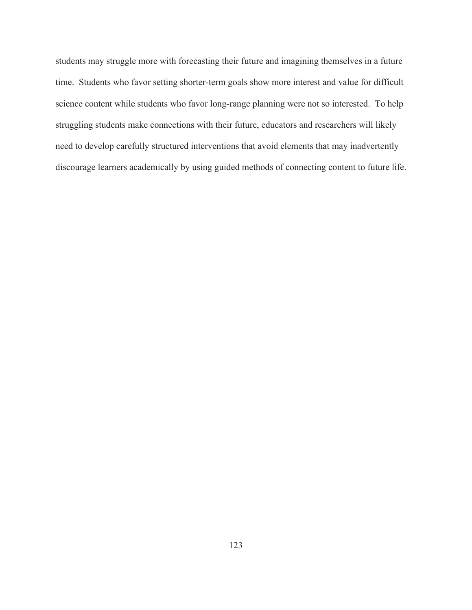students may struggle more with forecasting their future and imagining themselves in a future time. Students who favor setting shorter-term goals show more interest and value for difficult science content while students who favor long-range planning were not so interested. To help struggling students make connections with their future, educators and researchers will likely need to develop carefully structured interventions that avoid elements that may inadvertently discourage learners academically by using guided methods of connecting content to future life.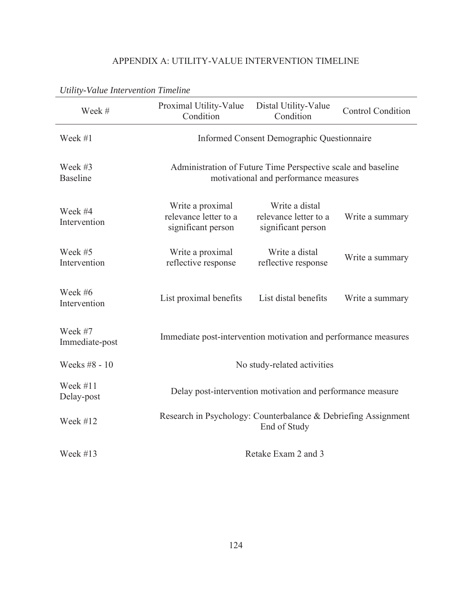# APPENDIX A: UTILITY-VALUE INTERVENTION TIMELINE

| omny vanie miervennoù rimenne |                                                                                                       |                                                               |  |  |  |  |  |  |  |
|-------------------------------|-------------------------------------------------------------------------------------------------------|---------------------------------------------------------------|--|--|--|--|--|--|--|
| Week #                        | Proximal Utility-Value<br>Condition                                                                   | <b>Control Condition</b>                                      |  |  |  |  |  |  |  |
| Week #1                       | Informed Consent Demographic Questionnaire                                                            |                                                               |  |  |  |  |  |  |  |
| Week #3<br><b>Baseline</b>    | Administration of Future Time Perspective scale and baseline<br>motivational and performance measures |                                                               |  |  |  |  |  |  |  |
| Week #4<br>Intervention       | Write a proximal<br>relevance letter to a<br>significant person                                       | Write a distal<br>relevance letter to a<br>significant person |  |  |  |  |  |  |  |
| Week #5<br>Intervention       | Write a proximal<br>reflective response                                                               | Write a distal<br>reflective response                         |  |  |  |  |  |  |  |
| Week #6<br>Intervention       | List proximal benefits                                                                                | List distal benefits                                          |  |  |  |  |  |  |  |
| Week #7<br>Immediate-post     | Immediate post-intervention motivation and performance measures                                       |                                                               |  |  |  |  |  |  |  |
| Weeks #8 - 10                 | No study-related activities                                                                           |                                                               |  |  |  |  |  |  |  |
| Week $\#11$<br>Delay-post     | Delay post-intervention motivation and performance measure                                            |                                                               |  |  |  |  |  |  |  |
| Week #12                      | Research in Psychology: Counterbalance & Debriefing Assignment<br>End of Study                        |                                                               |  |  |  |  |  |  |  |
| Week $#13$                    | Retake Exam 2 and 3                                                                                   |                                                               |  |  |  |  |  |  |  |

# *Utility-Value Intervention Timeline*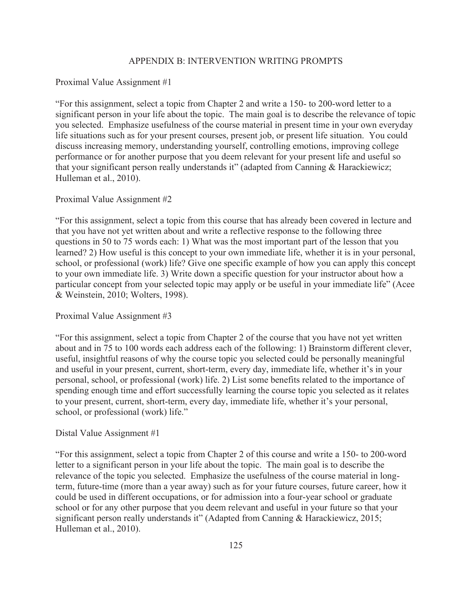#### APPENDIX B: INTERVENTION WRITING PROMPTS

#### Proximal Value Assignment #1

"For this assignment, select a topic from Chapter 2 and write a 150- to 200-word letter to a significant person in your life about the topic. The main goal is to describe the relevance of topic you selected. Emphasize usefulness of the course material in present time in your own everyday life situations such as for your present courses, present job, or present life situation. You could discuss increasing memory, understanding yourself, controlling emotions, improving college performance or for another purpose that you deem relevant for your present life and useful so that your significant person really understands it" (adapted from Canning & Harackiewicz; Hulleman et al., 2010).

#### Proximal Value Assignment #2

"For this assignment, select a topic from this course that has already been covered in lecture and that you have not yet written about and write a reflective response to the following three questions in 50 to 75 words each: 1) What was the most important part of the lesson that you learned? 2) How useful is this concept to your own immediate life, whether it is in your personal, school, or professional (work) life? Give one specific example of how you can apply this concept to your own immediate life. 3) Write down a specific question for your instructor about how a particular concept from your selected topic may apply or be useful in your immediate life" (Acee & Weinstein, 2010; Wolters, 1998).

#### Proximal Value Assignment #3

"For this assignment, select a topic from Chapter 2 of the course that you have not yet written about and in 75 to 100 words each address each of the following: 1) Brainstorm different clever, useful, insightful reasons of why the course topic you selected could be personally meaningful and useful in your present, current, short-term, every day, immediate life, whether it's in your personal, school, or professional (work) life. 2) List some benefits related to the importance of spending enough time and effort successfully learning the course topic you selected as it relates to your present, current, short-term, every day, immediate life, whether it's your personal, school, or professional (work) life."

#### Distal Value Assignment #1

"For this assignment, select a topic from Chapter 2 of this course and write a 150- to 200-word letter to a significant person in your life about the topic. The main goal is to describe the relevance of the topic you selected. Emphasize the usefulness of the course material in longterm, future-time (more than a year away) such as for your future courses, future career, how it could be used in different occupations, or for admission into a four-year school or graduate school or for any other purpose that you deem relevant and useful in your future so that your significant person really understands it" (Adapted from Canning & Harackiewicz, 2015; Hulleman et al., 2010).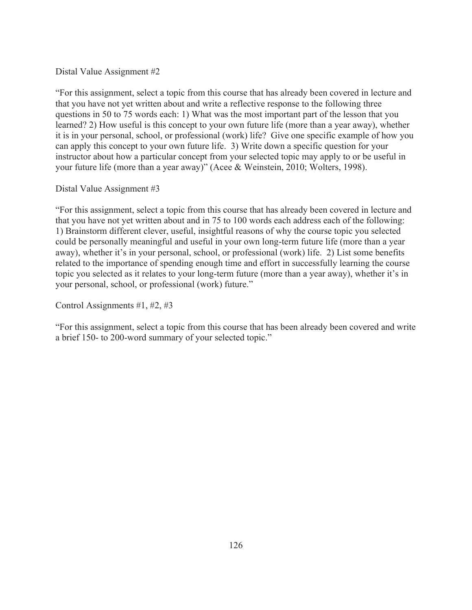## Distal Value Assignment #2

"For this assignment, select a topic from this course that has already been covered in lecture and that you have not yet written about and write a reflective response to the following three questions in 50 to 75 words each: 1) What was the most important part of the lesson that you learned? 2) How useful is this concept to your own future life (more than a year away), whether it is in your personal, school, or professional (work) life? Give one specific example of how you can apply this concept to your own future life. 3) Write down a specific question for your instructor about how a particular concept from your selected topic may apply to or be useful in your future life (more than a year away)" (Acee & Weinstein, 2010; Wolters, 1998).

## Distal Value Assignment #3

"For this assignment, select a topic from this course that has already been covered in lecture and that you have not yet written about and in 75 to 100 words each address each of the following: 1) Brainstorm different clever, useful, insightful reasons of why the course topic you selected could be personally meaningful and useful in your own long-term future life (more than a year away), whether it's in your personal, school, or professional (work) life. 2) List some benefits related to the importance of spending enough time and effort in successfully learning the course topic you selected as it relates to your long-term future (more than a year away), whether it's in your personal, school, or professional (work) future."

Control Assignments #1, #2, #3

"For this assignment, select a topic from this course that has been already been covered and write a brief 150- to 200-word summary of your selected topic."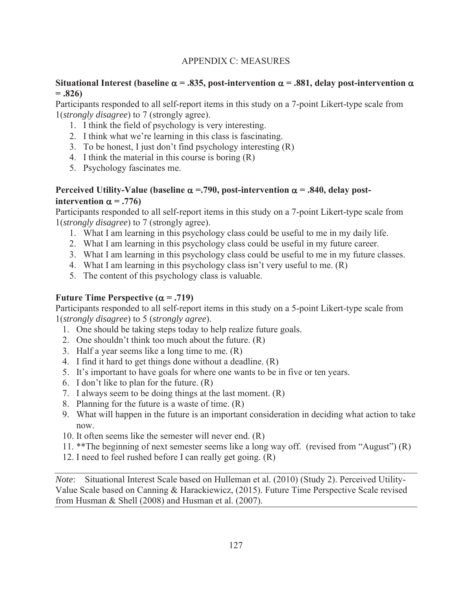# APPENDIX C: MEASURES

# **Situational Interest (baseline**  $\alpha = .835$ **, post-intervention**  $\alpha = .881$ **, delay post-intervention**  $\alpha$  $=.826)$

Participants responded to all self-report items in this study on a 7-point Likert-type scale from 1(*strongly disagree*) to 7 (strongly agree).

- 1. I think the field of psychology is very interesting.
- 2. I think what we're learning in this class is fascinating.
- 3. To be honest, I just don't find psychology interesting (R)
- 4. I think the material in this course is boring (R)
- 5. Psychology fascinates me.

# **Perceived Utility-Value (baseline**  $\alpha = 790$ **, post-intervention**  $\alpha = .840$ **, delay postintervention**  $\alpha$  = .776)

Participants responded to all self-report items in this study on a 7-point Likert-type scale from 1(*strongly disagree*) to 7 (strongly agree).

- 1. What I am learning in this psychology class could be useful to me in my daily life.
- 2. What I am learning in this psychology class could be useful in my future career.
- 3. What I am learning in this psychology class could be useful to me in my future classes.
- 4. What I am learning in this psychology class isn't very useful to me. (R)
- 5. The content of this psychology class is valuable.

# Future Time Perspective  $(\alpha = .719)$

Participants responded to all self-report items in this study on a 5-point Likert-type scale from 1(*strongly disagree*) to 5 (*strongly agree*).

- 1. One should be taking steps today to help realize future goals.
- 2. One shouldn't think too much about the future. (R)
- 3. Half a year seems like a long time to me. (R)
- 4. I find it hard to get things done without a deadline. (R)
- 5. It's important to have goals for where one wants to be in five or ten years.
- 6. I don't like to plan for the future. (R)
- 7. I always seem to be doing things at the last moment. (R)
- 8. Planning for the future is a waste of time. (R)
- 9. What will happen in the future is an important consideration in deciding what action to take now.
- 10. It often seems like the semester will never end. (R)
- 11. \*\*The beginning of next semester seems like a long way off. (revised from "August") (R)
- 12. I need to feel rushed before I can really get going. (R)

*Note*: Situational Interest Scale based on Hulleman et al. (2010) (Study 2). Perceived Utility-Value Scale based on Canning & Harackiewicz, (2015). Future Time Perspective Scale revised from Husman & Shell (2008) and Husman et al. (2007).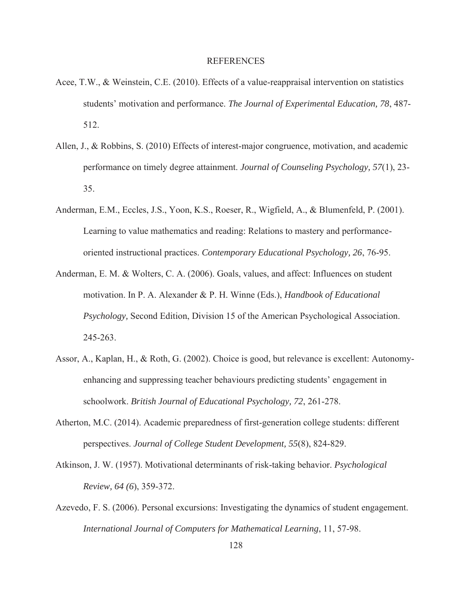#### REFERENCES

- Acee, T.W., & Weinstein, C.E. (2010). Effects of a value-reappraisal intervention on statistics students' motivation and performance. *The Journal of Experimental Education, 78*, 487- 512.
- Allen, J., & Robbins, S. (2010) Effects of interest-major congruence, motivation, and academic performance on timely degree attainment. *Journal of Counseling Psychology, 57*(1), 23- 35.
- Anderman, E.M., Eccles, J.S., Yoon, K.S., Roeser, R., Wigfield, A., & Blumenfeld, P. (2001). Learning to value mathematics and reading: Relations to mastery and performanceoriented instructional practices. *Contemporary Educational Psychology, 26*, 76-95.
- Anderman, E. M. & Wolters, C. A. (2006). Goals, values, and affect: Influences on student motivation. In P. A. Alexander & P. H. Winne (Eds.), *Handbook of Educational Psychology,* Second Edition, Division 15 of the American Psychological Association. 245-263.
- Assor, A., Kaplan, H., & Roth, G. (2002). Choice is good, but relevance is excellent: Autonomyenhancing and suppressing teacher behaviours predicting students' engagement in schoolwork. *British Journal of Educational Psychology, 72*, 261-278.
- Atherton, M.C. (2014). Academic preparedness of first-generation college students: different perspectives. *Journal of College Student Development, 55*(8), 824-829.
- Atkinson, J. W. (1957). Motivational determinants of risk-taking behavior. *Psychological Review, 64 (6*), 359-372.
- Azevedo, F. S. (2006). Personal excursions: Investigating the dynamics of student engagement. *International Journal of Computers for Mathematical Learning*, 11, 57-98.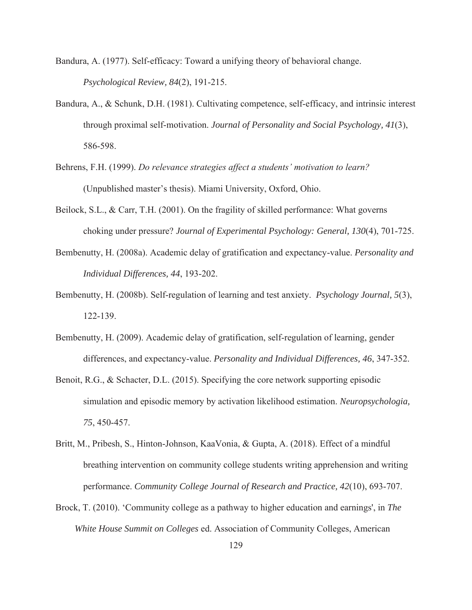Bandura, A. (1977). Self-efficacy: Toward a unifying theory of behavioral change. *Psychological Review, 84*(2), 191-215.

- Bandura, A., & Schunk, D.H. (1981). Cultivating competence, self-efficacy, and intrinsic interest through proximal self-motivation. *Journal of Personality and Social Psychology, 41*(3), 586-598.
- Behrens, F.H. (1999). *Do relevance strategies affect a students' motivation to learn?* (Unpublished master's thesis). Miami University, Oxford, Ohio.
- Beilock, S.L., & Carr, T.H. (2001). On the fragility of skilled performance: What governs choking under pressure? *Journal of Experimental Psychology: General, 130*(4), 701-725.
- Bembenutty, H. (2008a). Academic delay of gratification and expectancy-value. *Personality and Individual Differences, 44*, 193-202.
- Bembenutty, H. (2008b). Self-regulation of learning and test anxiety. *Psychology Journal, 5*(3), 122-139.
- Bembenutty, H. (2009). Academic delay of gratification, self-regulation of learning, gender differences, and expectancy-value. *Personality and Individual Differences, 46*, 347-352.
- Benoit, R.G., & Schacter, D.L. (2015). Specifying the core network supporting episodic simulation and episodic memory by activation likelihood estimation. *Neuropsychologia, 75*, 450-457.
- Britt, M., Pribesh, S., Hinton-Johnson, KaaVonia, & Gupta, A. (2018). Effect of a mindful breathing intervention on community college students writing apprehension and writing performance. *Community College Journal of Research and Practice, 42*(10), 693-707.
- Brock, T. (2010). 'Community college as a pathway to higher education and earnings', in *The White House Summit on Colleges* ed. Association of Community Colleges, American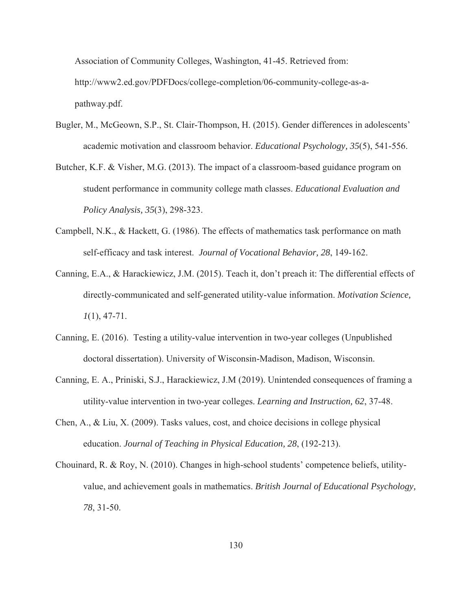Association of Community Colleges, Washington, 41-45. Retrieved from: http://www2.ed.gov/PDFDocs/college-completion/06-community-college-as-apathway.pdf.

- Bugler, M., McGeown, S.P., St. Clair-Thompson, H. (2015). Gender differences in adolescents' academic motivation and classroom behavior. *Educational Psychology, 35*(5), 541-556.
- Butcher, K.F. & Visher, M.G. (2013). The impact of a classroom-based guidance program on student performance in community college math classes. *Educational Evaluation and Policy Analysis, 35*(3), 298-323.
- Campbell, N.K., & Hackett, G. (1986). The effects of mathematics task performance on math self-efficacy and task interest. *Journal of Vocational Behavior, 28*, 149-162.
- Canning, E.A., & Harackiewicz, J.M. (2015). Teach it, don't preach it: The differential effects of directly-communicated and self-generated utility-value information. *Motivation Science, 1*(1), 47-71.
- Canning, E. (2016). Testing a utility-value intervention in two-year colleges (Unpublished doctoral dissertation). University of Wisconsin-Madison, Madison, Wisconsin.
- Canning, E. A., Priniski, S.J., Harackiewicz, J.M (2019). Unintended consequences of framing a utility-value intervention in two-year colleges. *Learning and Instruction, 62*, 37-48.
- Chen, A., & Liu, X. (2009). Tasks values, cost, and choice decisions in college physical education. *Journal of Teaching in Physical Education, 28*, (192-213).
- Chouinard, R. & Roy, N. (2010). Changes in high-school students' competence beliefs, utilityvalue, and achievement goals in mathematics. *British Journal of Educational Psychology, 78*, 31-50.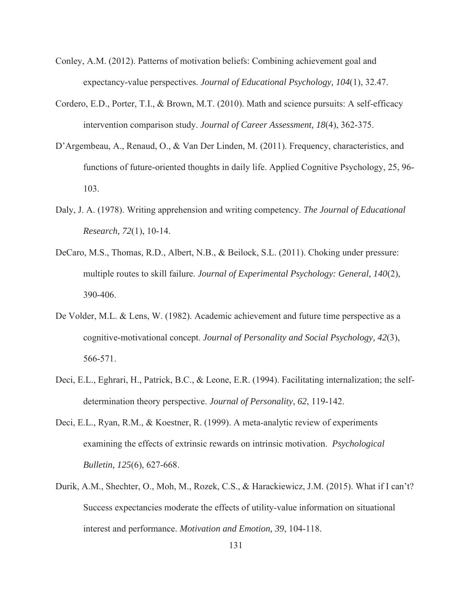- Conley, A.M. (2012). Patterns of motivation beliefs: Combining achievement goal and expectancy-value perspectives. *Journal of Educational Psychology, 104*(1), 32.47.
- Cordero, E.D., Porter, T.I., & Brown, M.T. (2010). Math and science pursuits: A self-efficacy intervention comparison study. *Journal of Career Assessment, 18*(4), 362-375.
- D'Argembeau, A., Renaud, O., & Van Der Linden, M. (2011). Frequency, characteristics, and functions of future-oriented thoughts in daily life. Applied Cognitive Psychology, 25, 96- 103.
- Daly, J. A. (1978). Writing apprehension and writing competency. *The Journal of Educational Research, 72*(1), 10-14.
- DeCaro, M.S., Thomas, R.D., Albert, N.B., & Beilock, S.L. (2011). Choking under pressure: multiple routes to skill failure. *Journal of Experimental Psychology: General, 140*(2), 390-406.
- De Volder, M.L. & Lens, W. (1982). Academic achievement and future time perspective as a cognitive-motivational concept. *Journal of Personality and Social Psychology, 42*(3), 566-571.
- Deci, E.L., Eghrari, H., Patrick, B.C., & Leone, E.R. (1994). Facilitating internalization; the selfdetermination theory perspective. *Journal of Personality*, *62*, 119-142.
- Deci, E.L., Ryan, R.M., & Koestner, R. (1999). A meta-analytic review of experiments examining the effects of extrinsic rewards on intrinsic motivation. *Psychological Bulletin, 125*(6), 627-668.
- Durik, A.M., Shechter, O., Moh, M., Rozek, C.S., & Harackiewicz, J.M. (2015). What if I can't? Success expectancies moderate the effects of utility-value information on situational interest and performance. *Motivation and Emotion, 39*, 104-118.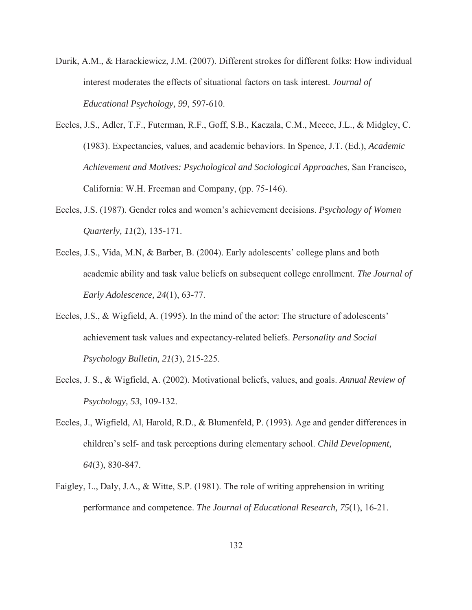- Durik, A.M., & Harackiewicz, J.M. (2007). Different strokes for different folks: How individual interest moderates the effects of situational factors on task interest. *Journal of Educational Psychology, 99*, 597-610.
- Eccles, J.S., Adler, T.F., Futerman, R.F., Goff, S.B., Kaczala, C.M., Meece, J.L., & Midgley, C. (1983). Expectancies, values, and academic behaviors. In Spence, J.T. (Ed.), *Academic Achievement and Motives: Psychological and Sociological Approaches*, San Francisco, California: W.H. Freeman and Company, (pp. 75-146).
- Eccles, J.S. (1987). Gender roles and women's achievement decisions. *Psychology of Women Quarterly, 11*(2), 135-171.
- Eccles, J.S., Vida, M.N, & Barber, B. (2004). Early adolescents' college plans and both academic ability and task value beliefs on subsequent college enrollment. *The Journal of Early Adolescence, 24*(1), 63-77.
- Eccles, J.S., & Wigfield, A. (1995). In the mind of the actor: The structure of adolescents' achievement task values and expectancy-related beliefs. *Personality and Social Psychology Bulletin, 21*(3), 215-225.
- Eccles, J. S., & Wigfield, A. (2002). Motivational beliefs, values, and goals. *Annual Review of Psychology, 53*, 109-132.
- Eccles, J., Wigfield, Al, Harold, R.D., & Blumenfeld, P. (1993). Age and gender differences in children's self- and task perceptions during elementary school. *Child Development, 64*(3), 830-847.
- Faigley, L., Daly, J.A., & Witte, S.P. (1981). The role of writing apprehension in writing performance and competence. *The Journal of Educational Research, 75*(1), 16-21.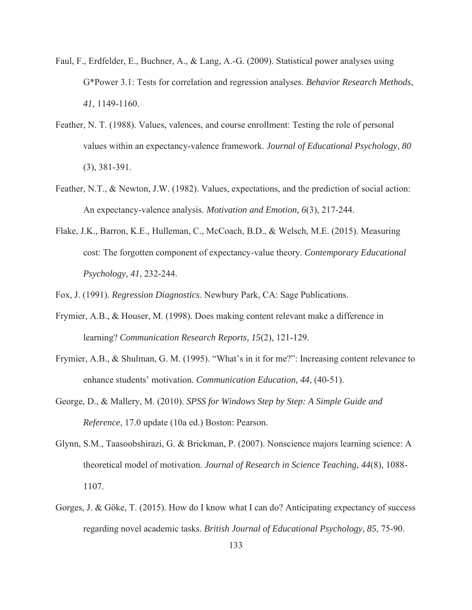- Faul, F., Erdfelder, E., Buchner, A., & Lang, A.-G. (2009). Statistical power analyses using G\*Power 3.1: Tests for correlation and regression analyses. *Behavior Research Methods*, *41*, 1149-1160.
- Feather, N. T. (1988). Values, valences, and course enrollment: Testing the role of personal values within an expectancy-valence framework. *Journal of Educational Psychology, 80*  (3), 381-391.
- Feather, N.T., & Newton, J.W. (1982). Values, expectations, and the prediction of social action: An expectancy-valence analysis. *Motivation and Emotion, 6*(3), 217-244.
- Flake, J.K., Barron, K.E., Hulleman, C., McCoach, B.D., & Welsch, M.E. (2015). Measuring cost: The forgotten component of expectancy-value theory. *Contemporary Educational Psychology, 41*, 232-244.

Fox, J. (1991). *Regression Diagnostics*. Newbury Park, CA: Sage Publications.

- Frymier, A.B., & Houser, M. (1998). Does making content relevant make a difference in learning? *Communication Research Reports, 15*(2), 121-129.
- Frymier, A.B., & Shulman, G. M. (1995). "What's in it for me?": Increasing content relevance to enhance students' motivation. *Communication Education, 44*, (40-51).
- George, D., & Mallery, M. (2010). *SPSS for Windows Step by Step: A Simple Guide and Reference*, 17.0 update (10a ed.) Boston: Pearson.
- Glynn, S.M., Taasoobshirazi, G. & Brickman, P. (2007). Nonscience majors learning science: A theoretical model of motivation. *Journal of Research in Science Teaching, 44*(8), 1088- 1107.
- Gorges, J. & Göke, T. (2015). How do I know what I can do? Anticipating expectancy of success regarding novel academic tasks. *British Journal of Educational Psychology, 85*, 75-90.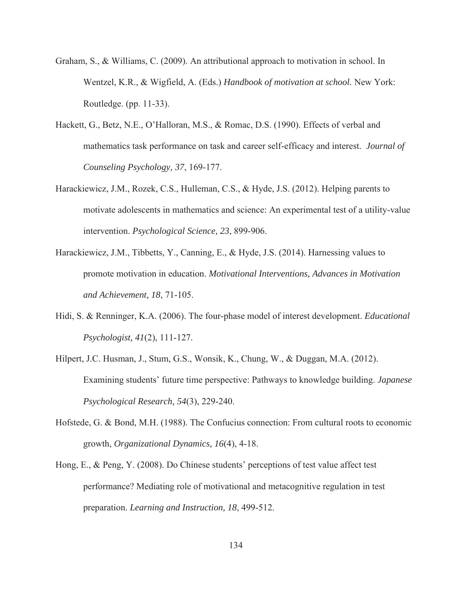- Graham, S., & Williams, C. (2009). An attributional approach to motivation in school. In Wentzel, K.R., & Wigfield, A. (Eds.) *Handbook of motivation at school.* New York: Routledge. (pp. 11-33).
- Hackett, G., Betz, N.E., O'Halloran, M.S., & Romac, D.S. (1990). Effects of verbal and mathematics task performance on task and career self-efficacy and interest. *Journal of Counseling Psychology, 37*, 169-177.
- Harackiewicz, J.M., Rozek, C.S., Hulleman, C.S., & Hyde, J.S. (2012). Helping parents to motivate adolescents in mathematics and science: An experimental test of a utility-value intervention. *Psychological Science, 23*, 899-906.
- Harackiewicz, J.M., Tibbetts, Y., Canning, E., & Hyde, J.S. (2014). Harnessing values to promote motivation in education. *Motivational Interventions, Advances in Motivation and Achievement, 18*, 71-105.
- Hidi, S. & Renninger, K.A. (2006). The four-phase model of interest development. *Educational Psychologist, 41*(2), 111-127.
- Hilpert, J.C. Husman, J., Stum, G.S., Wonsik, K., Chung, W., & Duggan, M.A. (2012). Examining students' future time perspective: Pathways to knowledge building. *Japanese Psychological Research, 54*(3), 229-240.
- Hofstede, G. & Bond, M.H. (1988). The Confucius connection: From cultural roots to economic growth, *Organizational Dynamics, 16*(4), 4-18.
- Hong, E., & Peng, Y. (2008). Do Chinese students' perceptions of test value affect test performance? Mediating role of motivational and metacognitive regulation in test preparation. *Learning and Instruction, 18*, 499-512.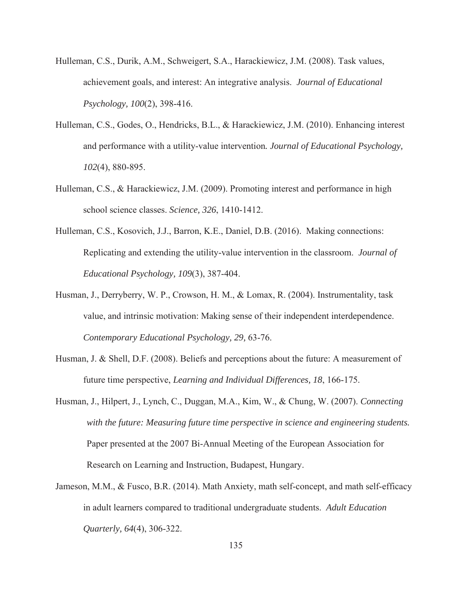- Hulleman, C.S., Durik, A.M., Schweigert, S.A., Harackiewicz, J.M. (2008). Task values, achievement goals, and interest: An integrative analysis. *Journal of Educational Psychology, 100*(2), 398-416.
- Hulleman, C.S., Godes, O., Hendricks, B.L., & Harackiewicz, J.M. (2010). Enhancing interest and performance with a utility-value intervention*. Journal of Educational Psychology, 102*(4), 880-895.
- Hulleman, C.S., & Harackiewicz, J.M. (2009). Promoting interest and performance in high school science classes. *Science, 326*, 1410-1412.
- Hulleman, C.S., Kosovich, J.J., Barron, K.E., Daniel, D.B. (2016). Making connections: Replicating and extending the utility-value intervention in the classroom. *Journal of Educational Psychology, 109*(3), 387-404.
- Husman, J., Derryberry, W. P., Crowson, H. M., & Lomax, R. (2004). Instrumentality, task value, and intrinsic motivation: Making sense of their independent interdependence. *Contemporary Educational Psychology, 29,* 63-76.
- Husman, J. & Shell, D.F. (2008). Beliefs and perceptions about the future: A measurement of future time perspective, *Learning and Individual Differences, 18*, 166-175.
- Husman, J., Hilpert, J., Lynch, C., Duggan, M.A., Kim, W., & Chung, W. (2007). *Connecting with the future: Measuring future time perspective in science and engineering students.*  Paper presented at the 2007 Bi-Annual Meeting of the European Association for Research on Learning and Instruction, Budapest, Hungary.
- Jameson, M.M., & Fusco, B.R. (2014). Math Anxiety, math self-concept, and math self-efficacy in adult learners compared to traditional undergraduate students. *Adult Education Quarterly, 64*(4), 306-322.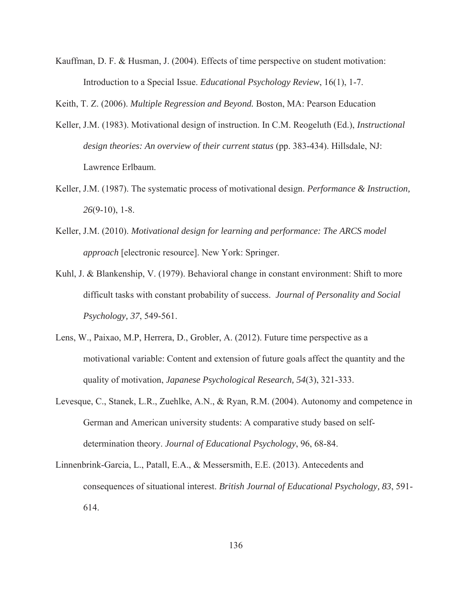Kauffman, D. F. & Husman, J. (2004). Effects of time perspective on student motivation: Introduction to a Special Issue. *Educational Psychology Review*, 16(1), 1-7.

Keith, T. Z. (2006). *Multiple Regression and Beyond.* Boston, MA: Pearson Education

- Keller, J.M. (1983). Motivational design of instruction. In C.M. Reogeluth (Ed.), *Instructional design theories: An overview of their current status* (pp. 383-434). Hillsdale, NJ: Lawrence Erlbaum.
- Keller, J.M. (1987). The systematic process of motivational design. *Performance & Instruction, 26*(9-10), 1-8.
- Keller, J.M. (2010). *Motivational design for learning and performance: The ARCS model approach* [electronic resource]. New York: Springer.
- Kuhl, J. & Blankenship, V. (1979). Behavioral change in constant environment: Shift to more difficult tasks with constant probability of success. *Journal of Personality and Social Psychology, 37*, 549-561.
- Lens, W., Paixao, M.P, Herrera, D., Grobler, A. (2012). Future time perspective as a motivational variable: Content and extension of future goals affect the quantity and the quality of motivation, *Japanese Psychological Research, 54*(3), 321-333.
- Levesque, C., Stanek, L.R., Zuehlke, A.N., & Ryan, R.M. (2004). Autonomy and competence in German and American university students: A comparative study based on selfdetermination theory. *Journal of Educational Psychology*, 96, 68-84.
- Linnenbrink-Garcia, L., Patall, E.A., & Messersmith, E.E. (2013). Antecedents and consequences of situational interest. *British Journal of Educational Psychology, 83*, 591- 614.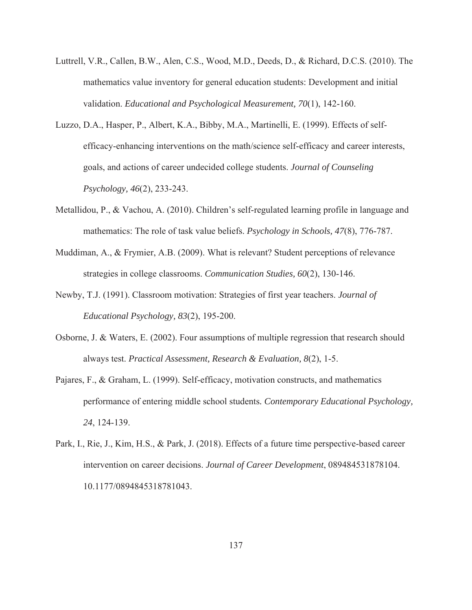- Luttrell, V.R., Callen, B.W., Alen, C.S., Wood, M.D., Deeds, D., & Richard, D.C.S. (2010). The mathematics value inventory for general education students: Development and initial validation. *Educational and Psychological Measurement, 70*(1), 142-160.
- Luzzo, D.A., Hasper, P., Albert, K.A., Bibby, M.A., Martinelli, E. (1999). Effects of selfefficacy-enhancing interventions on the math/science self-efficacy and career interests, goals, and actions of career undecided college students. *Journal of Counseling Psychology, 46*(2), 233-243.
- Metallidou, P., & Vachou, A. (2010). Children's self-regulated learning profile in language and mathematics: The role of task value beliefs. *Psychology in Schools, 47*(8), 776-787.
- Muddiman, A., & Frymier, A.B. (2009). What is relevant? Student perceptions of relevance strategies in college classrooms. *Communication Studies, 60*(2), 130-146.
- Newby, T.J. (1991). Classroom motivation: Strategies of first year teachers. *Journal of Educational Psychology, 83*(2), 195-200.
- Osborne, J. & Waters, E. (2002). Four assumptions of multiple regression that research should always test. *Practical Assessment, Research & Evaluation, 8*(2), 1-5.
- Pajares, F., & Graham, L. (1999). Self-efficacy, motivation constructs, and mathematics performance of entering middle school students*. Contemporary Educational Psychology, 24*, 124-139.
- Park, I., Rie, J., Kim, H.S., & Park, J. (2018). Effects of a future time perspective-based career intervention on career decisions. *Journal of Career Development*, 089484531878104. 10.1177/0894845318781043.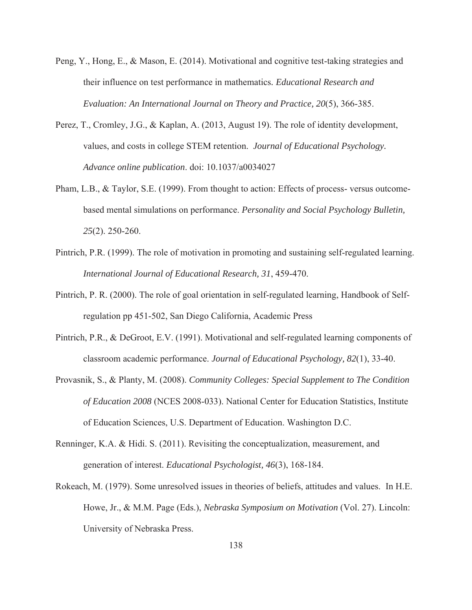- Peng, Y., Hong, E., & Mason, E. (2014). Motivational and cognitive test-taking strategies and their influence on test performance in mathematics*. Educational Research and Evaluation: An International Journal on Theory and Practice, 20*(5), 366-385.
- Perez, T., Cromley, J.G., & Kaplan, A. (2013, August 19). The role of identity development, values, and costs in college STEM retention. *Journal of Educational Psychology. Advance online publication*. doi: 10.1037/a0034027
- Pham, L.B., & Taylor, S.E. (1999). From thought to action: Effects of process- versus outcomebased mental simulations on performance. *Personality and Social Psychology Bulletin, 25*(2). 250-260.
- Pintrich, P.R. (1999). The role of motivation in promoting and sustaining self-regulated learning. *International Journal of Educational Research, 31*, 459-470.
- Pintrich, P. R. (2000). The role of goal orientation in self-regulated learning, Handbook of Selfregulation pp 451-502, San Diego California, Academic Press
- Pintrich, P.R., & DeGroot, E.V. (1991). Motivational and self-regulated learning components of classroom academic performance. *Journal of Educational Psychology, 82*(1), 33-40.
- Provasnik, S., & Planty, M. (2008). *Community Colleges: Special Supplement to The Condition of Education 2008* (NCES 2008-033). National Center for Education Statistics, Institute of Education Sciences, U.S. Department of Education. Washington D.C.
- Renninger, K.A. & Hidi. S. (2011). Revisiting the conceptualization, measurement, and generation of interest. *Educational Psychologist, 46*(3), 168-184.
- Rokeach, M. (1979). Some unresolved issues in theories of beliefs, attitudes and values. In H.E. Howe, Jr., & M.M. Page (Eds.), *Nebraska Symposium on Motivation* (Vol. 27). Lincoln: University of Nebraska Press.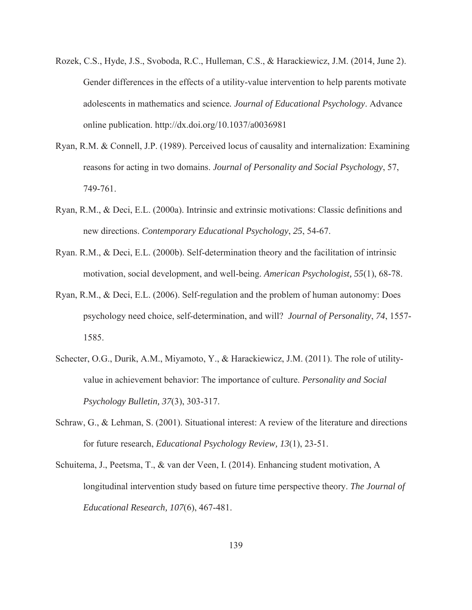- Rozek, C.S., Hyde, J.S., Svoboda, R.C., Hulleman, C.S., & Harackiewicz, J.M. (2014, June 2). Gender differences in the effects of a utility-value intervention to help parents motivate adolescents in mathematics and science*. Journal of Educational Psychology*. Advance online publication. http://dx.doi.org/10.1037/a0036981
- Ryan, R.M. & Connell, J.P. (1989). Perceived locus of causality and internalization: Examining reasons for acting in two domains. *Journal of Personality and Social Psychology*, 57, 749-761.
- Ryan, R.M., & Deci, E.L. (2000a). Intrinsic and extrinsic motivations: Classic definitions and new directions. *Contemporary Educational Psychology*, *25*, 54-67.
- Ryan. R.M., & Deci, E.L. (2000b). Self-determination theory and the facilitation of intrinsic motivation, social development, and well-being. *American Psychologist, 55*(1), 68-78.
- Ryan, R.M., & Deci, E.L. (2006). Self-regulation and the problem of human autonomy: Does psychology need choice, self-determination, and will? *Journal of Personality*, *74*, 1557- 1585.
- Schecter, O.G., Durik, A.M., Miyamoto, Y., & Harackiewicz, J.M. (2011). The role of utilityvalue in achievement behavior: The importance of culture. *Personality and Social Psychology Bulletin, 37*(3), 303-317.
- Schraw, G., & Lehman, S. (2001). Situational interest: A review of the literature and directions for future research, *Educational Psychology Review, 13*(1), 23-51.
- Schuitema, J., Peetsma, T., & van der Veen, I. (2014). Enhancing student motivation, A longitudinal intervention study based on future time perspective theory. *The Journal of Educational Research, 107*(6), 467-481.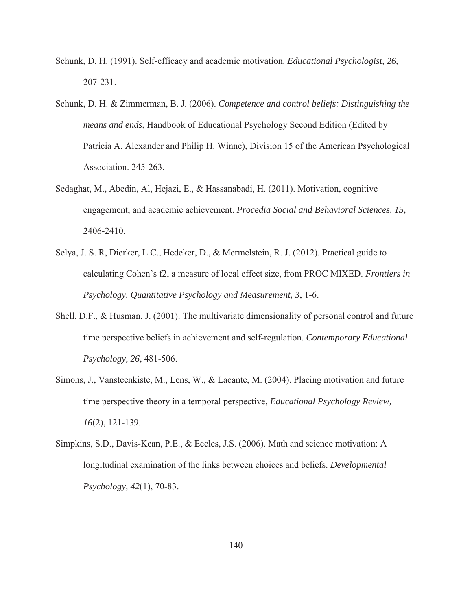- Schunk, D. H. (1991). Self-efficacy and academic motivation. *Educational Psychologist, 26*, 207-231.
- Schunk, D. H. & Zimmerman, B. J. (2006). *Competence and control beliefs: Distinguishing the means and ends*, Handbook of Educational Psychology Second Edition (Edited by Patricia A. Alexander and Philip H. Winne), Division 15 of the American Psychological Association. 245-263.
- Sedaghat, M., Abedin, Al, Hejazi, E., & Hassanabadi, H. (2011). Motivation, cognitive engagement, and academic achievement. *Procedia Social and Behavioral Sciences, 15,* 2406-2410.
- Selya, J. S. R, Dierker, L.C., Hedeker, D., & Mermelstein, R. J. (2012). Practical guide to calculating Cohen's f2, a measure of local effect size, from PROC MIXED. *Frontiers in Psychology. Quantitative Psychology and Measurement, 3*, 1-6.
- Shell, D.F., & Husman, J. (2001). The multivariate dimensionality of personal control and future time perspective beliefs in achievement and self-regulation. *Contemporary Educational Psychology, 26*, 481-506.
- Simons, J., Vansteenkiste, M., Lens, W., & Lacante, M. (2004). Placing motivation and future time perspective theory in a temporal perspective, *Educational Psychology Review, 16*(2), 121-139.
- Simpkins, S.D., Davis-Kean, P.E., & Eccles, J.S. (2006). Math and science motivation: A longitudinal examination of the links between choices and beliefs. *Developmental Psychology, 42*(1), 70-83.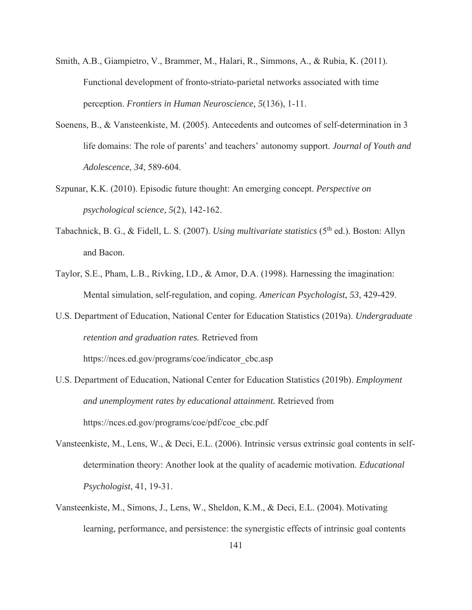- Smith, A.B., Giampietro, V., Brammer, M., Halari, R., Simmons, A., & Rubia, K. (2011). Functional development of fronto-striato-parietal networks associated with time perception. *Frontiers in Human Neuroscience, 5*(136), 1-11.
- Soenens, B., & Vansteenkiste, M. (2005). Antecedents and outcomes of self-determination in 3 life domains: The role of parents' and teachers' autonomy support. *Journal of Youth and Adolescence*, *34*, 589-604.
- Szpunar, K.K. (2010). Episodic future thought: An emerging concept. *Perspective on psychological science, 5*(2), 142-162.
- Tabachnick, B. G., & Fidell, L. S. (2007). *Using multivariate statistics* (5<sup>th</sup> ed.). Boston: Allyn and Bacon.
- Taylor, S.E., Pham, L.B., Rivking, I.D., & Amor, D.A. (1998). Harnessing the imagination: Mental simulation, self-regulation, and coping. *American Psychologist, 53*, 429-429.
- U.S. Department of Education, National Center for Education Statistics (2019a). *Undergraduate retention and graduation rates.* Retrieved from

https://nces.ed.gov/programs/coe/indicator\_cbc.asp

- U.S. Department of Education, National Center for Education Statistics (2019b). *Employment and unemployment rates by educational attainment.* Retrieved from https://nces.ed.gov/programs/coe/pdf/coe\_cbc.pdf
- Vansteenkiste, M., Lens, W., & Deci, E.L. (2006). Intrinsic versus extrinsic goal contents in selfdetermination theory: Another look at the quality of academic motivation. *Educational Psychologist*, 41, 19-31.
- Vansteenkiste, M., Simons, J., Lens, W., Sheldon, K.M., & Deci, E.L. (2004). Motivating learning, performance, and persistence: the synergistic effects of intrinsic goal contents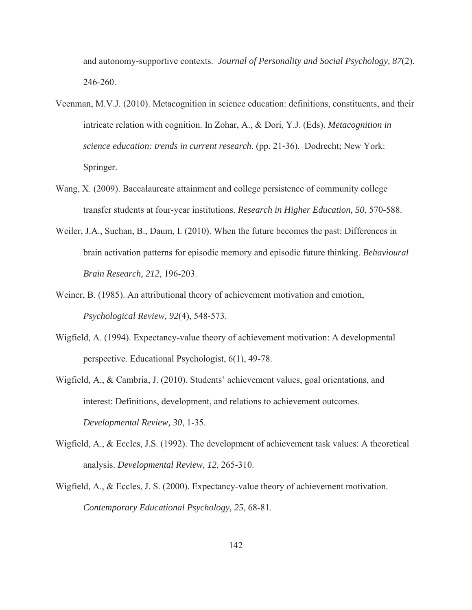and autonomy-supportive contexts. *Journal of Personality and Social Psychology, 87*(2). 246-260.

- Veenman, M.V.J. (2010). Metacognition in science education: definitions, constituents, and their intricate relation with cognition. In Zohar, A., & Dori, Y.J. (Eds). *Metacognition in science education: trends in current research.* (pp. 21-36). Dodrecht; New York: Springer.
- Wang, X. (2009). Baccalaureate attainment and college persistence of community college transfer students at four-year institutions. *Research in Higher Education, 50*, 570-588.
- Weiler, J.A., Suchan, B., Daum, I. (2010). When the future becomes the past: Differences in brain activation patterns for episodic memory and episodic future thinking. *Behavioural Brain Research, 212*, 196-203.
- Weiner, B. (1985). An attributional theory of achievement motivation and emotion, *Psychological Review, 92*(4), 548-573.
- Wigfield, A. (1994). Expectancy-value theory of achievement motivation: A developmental perspective. Educational Psychologist, 6(1), 49-78.
- Wigfield, A., & Cambria, J. (2010). Students' achievement values, goal orientations, and interest: Definitions, development, and relations to achievement outcomes. *Developmental Review, 30*, 1-35.
- Wigfield, A., & Eccles, J.S. (1992). The development of achievement task values: A theoretical analysis. *Developmental Review, 12*, 265-310.
- Wigfield, A., & Eccles, J. S. (2000). Expectancy-value theory of achievement motivation. *Contemporary Educational Psychology, 25*, 68-81.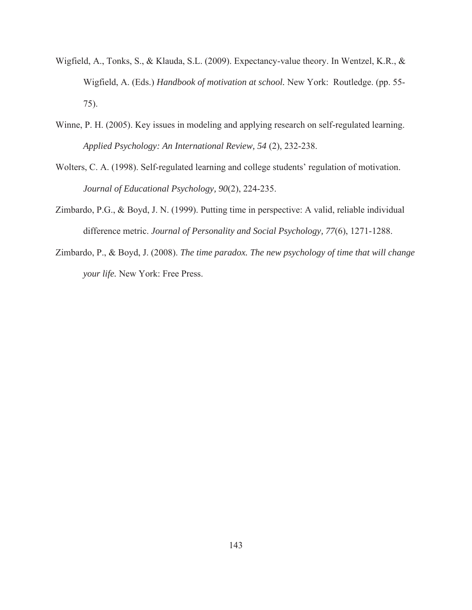- Wigfield, A., Tonks, S., & Klauda, S.L. (2009). Expectancy-value theory. In Wentzel, K.R., & Wigfield, A. (Eds.) *Handbook of motivation at school.* New York: Routledge. (pp. 55- 75).
- Winne, P. H. (2005). Key issues in modeling and applying research on self-regulated learning. *Applied Psychology: An International Review, 54* (2), 232-238.
- Wolters, C. A. (1998). Self-regulated learning and college students' regulation of motivation. *Journal of Educational Psychology, 90*(2), 224-235.
- Zimbardo, P.G., & Boyd, J. N. (1999). Putting time in perspective: A valid, reliable individual difference metric. *Journal of Personality and Social Psychology, 77*(6), 1271-1288.
- Zimbardo, P., & Boyd, J. (2008). *The time paradox. The new psychology of time that will change your life.* New York: Free Press.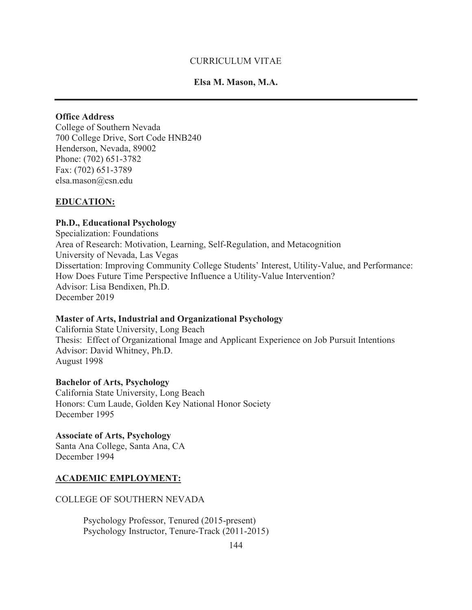### CURRICULUM VITAE

## **Elsa M. Mason, M.A.**

### **Office Address**

College of Southern Nevada 700 College Drive, Sort Code HNB240 Henderson, Nevada, 89002 Phone: (702) 651-3782 Fax: (702) 651-3789 elsa.mason@csn.edu

#### **EDUCATION:**

#### **Ph.D., Educational Psychology**

Specialization: Foundations Area of Research: Motivation, Learning, Self-Regulation, and Metacognition University of Nevada, Las Vegas Dissertation: Improving Community College Students' Interest, Utility-Value, and Performance: How Does Future Time Perspective Influence a Utility-Value Intervention? Advisor: Lisa Bendixen, Ph.D. December 2019

#### **Master of Arts, Industrial and Organizational Psychology**

California State University, Long Beach Thesis: Effect of Organizational Image and Applicant Experience on Job Pursuit Intentions Advisor: David Whitney, Ph.D. August 1998

#### **Bachelor of Arts, Psychology**

California State University, Long Beach Honors: Cum Laude, Golden Key National Honor Society December 1995

#### **Associate of Arts, Psychology**

Santa Ana College, Santa Ana, CA December 1994

### **ACADEMIC EMPLOYMENT:**

#### COLLEGE OF SOUTHERN NEVADA

 Psychology Professor, Tenured (2015-present) Psychology Instructor, Tenure-Track (2011-2015)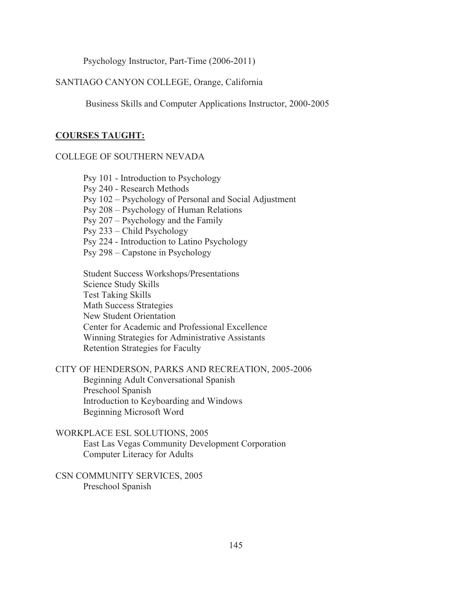Psychology Instructor, Part-Time (2006-2011)

### SANTIAGO CANYON COLLEGE, Orange, California

Business Skills and Computer Applications Instructor, 2000-2005

#### **COURSES TAUGHT:**

#### COLLEGE OF SOUTHERN NEVADA

Psy 101 - Introduction to Psychology Psy 240 - Research Methods Psy 102 – Psychology of Personal and Social Adjustment Psy 208 – Psychology of Human Relations Psy 207 – Psychology and the Family Psy 233 – Child Psychology Psy 224 - Introduction to Latino Psychology Psy 298 – Capstone in Psychology

Student Success Workshops/Presentations Science Study Skills Test Taking Skills Math Success Strategies New Student Orientation Center for Academic and Professional Excellence Winning Strategies for Administrative Assistants Retention Strategies for Faculty

### CITY OF HENDERSON, PARKS AND RECREATION, 2005-2006

Beginning Adult Conversational Spanish Preschool Spanish Introduction to Keyboarding and Windows Beginning Microsoft Word

## WORKPLACE ESL SOLUTIONS, 2005

East Las Vegas Community Development Corporation Computer Literacy for Adults

CSN COMMUNITY SERVICES, 2005 Preschool Spanish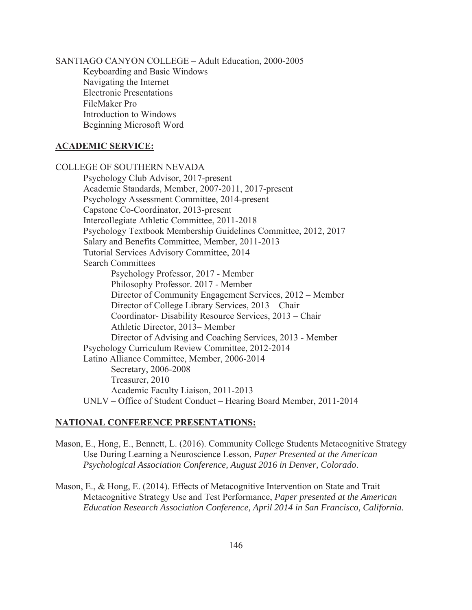SANTIAGO CANYON COLLEGE – Adult Education, 2000-2005 Keyboarding and Basic Windows Navigating the Internet Electronic Presentations FileMaker Pro Introduction to Windows Beginning Microsoft Word

## **ACADEMIC SERVICE:**

COLLEGE OF SOUTHERN NEVADA Psychology Club Advisor, 2017-present Academic Standards, Member, 2007-2011, 2017-present Psychology Assessment Committee, 2014-present Capstone Co-Coordinator, 2013-present Intercollegiate Athletic Committee, 2011-2018 Psychology Textbook Membership Guidelines Committee, 2012, 2017 Salary and Benefits Committee, Member, 2011-2013 Tutorial Services Advisory Committee, 2014 Search Committees Psychology Professor, 2017 - Member Philosophy Professor. 2017 - Member Director of Community Engagement Services, 2012 – Member Director of College Library Services, 2013 – Chair Coordinator- Disability Resource Services, 2013 – Chair Athletic Director, 2013– Member Director of Advising and Coaching Services, 2013 - Member Psychology Curriculum Review Committee, 2012-2014 Latino Alliance Committee, Member, 2006-2014 Secretary, 2006-2008 Treasurer, 2010 Academic Faculty Liaison, 2011-2013 UNLV – Office of Student Conduct – Hearing Board Member, 2011-2014

# **NATIONAL CONFERENCE PRESENTATIONS:**

- Mason, E., Hong, E., Bennett, L. (2016). Community College Students Metacognitive Strategy Use During Learning a Neuroscience Lesson, *Paper Presented at the American Psychological Association Conference, August 2016 in Denver, Colorado*.
- Mason, E., & Hong, E. (2014). Effects of Metacognitive Intervention on State and Trait Metacognitive Strategy Use and Test Performance, *Paper presented at the American Education Research Association Conference, April 2014 in San Francisco, California.*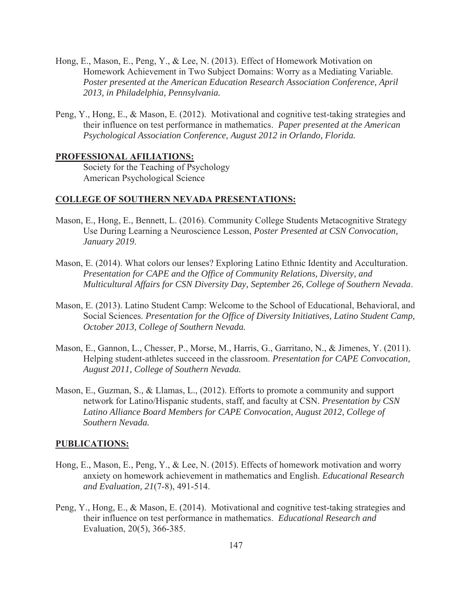- Hong, E., Mason, E., Peng, Y., & Lee, N. (2013). Effect of Homework Motivation on Homework Achievement in Two Subject Domains: Worry as a Mediating Variable. *Poster presented at the American Education Research Association Conference, April 2013, in Philadelphia, Pennsylvania.*
- Peng, Y., Hong, E., & Mason, E. (2012). Motivational and cognitive test-taking strategies and their influence on test performance in mathematics. *Paper presented at the American Psychological Association Conference, August 2012 in Orlando, Florida.*

#### **PROFESSIONAL AFILIATIONS:**

Society for the Teaching of Psychology American Psychological Science

### **COLLEGE OF SOUTHERN NEVADA PRESENTATIONS:**

- Mason, E., Hong, E., Bennett, L. (2016). Community College Students Metacognitive Strategy Use During Learning a Neuroscience Lesson, *Poster Presented at CSN Convocation, January 2019*.
- Mason, E. (2014). What colors our lenses? Exploring Latino Ethnic Identity and Acculturation. *Presentation for CAPE and the Office of Community Relations, Diversity, and Multicultural Affairs for CSN Diversity Day, September 26, College of Southern Nevada*.
- Mason, E. (2013). Latino Student Camp: Welcome to the School of Educational, Behavioral, and Social Sciences. *Presentation for the Office of Diversity Initiatives, Latino Student Camp, October 2013, College of Southern Nevada.*
- Mason, E., Gannon, L., Chesser, P., Morse, M., Harris, G., Garritano, N., & Jimenes, Y. (2011). Helping student-athletes succeed in the classroom. *Presentation for CAPE Convocation, August 2011, College of Southern Nevada.*
- Mason, E., Guzman, S., & Llamas, L., (2012). Efforts to promote a community and support network for Latino/Hispanic students, staff, and faculty at CSN. *Presentation by CSN Latino Alliance Board Members for CAPE Convocation, August 2012, College of Southern Nevada.*

#### **PUBLICATIONS:**

- Hong, E., Mason, E., Peng, Y., & Lee, N. (2015). Effects of homework motivation and worry anxiety on homework achievement in mathematics and English. *Educational Research and Evaluation, 21*(7-8), 491-514.
- Peng, Y., Hong, E., & Mason, E. (2014). Motivational and cognitive test-taking strategies and their influence on test performance in mathematics. *Educational Research and*  Evaluation, 20(5), 366-385.